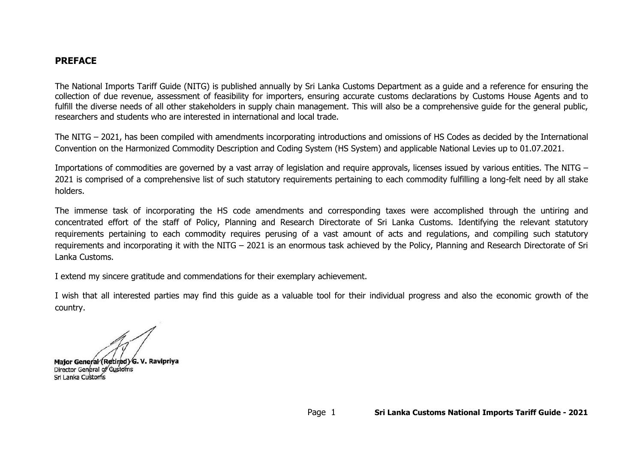### **PREFACE**

The National Imports Tariff Guide (NITG) is published annually by Sri Lanka Customs Department as a guide and a reference for ensuring the collection of due revenue, assessment of feasibility for importers, ensuring accurate customs declarations by Customs House Agents and to fulfill the diverse needs of all other stakeholders in supply chain management. This will also be a comprehensive guide for the general public, researchers and students who are interested in international and local trade.

The NITG – 2021, has been compiled with amendments incorporating introductions and omissions of HS Codes as decided by the International Convention on the Harmonized Commodity Description and Coding System (HS System) and applicable National Levies up to 01.07.2021.

Importations of commodities are governed by a vast array of legislation and require approvals, licenses issued by various entities. The NITG – 2021 is comprised of a comprehensive list of such statutory requirements pertaining to each commodity fulfilling a long-felt need by all stake holders.

The immense task of incorporating the HS code amendments and corresponding taxes were accomplished through the untiring and concentrated effort of the staff of Policy, Planning and Research Directorate of Sri Lanka Customs. Identifying the relevant statutory requirements pertaining to each commodity requires perusing of a vast amount of acts and regulations, and compiling such statutory requirements and incorporating it with the NITG – 2021 is an enormous task achieved by the Policy, Planning and Research Directorate of Sri Lanka Customs.

I extend my sincere gratitude and commendations for their exemplary achievement.

I wish that all interested parties may find this guide as a valuable tool for their individual progress and also the economic growth of the country.

Major General (Retired) G. V. Ravipriya Director General of Customs Srl Lanka Customs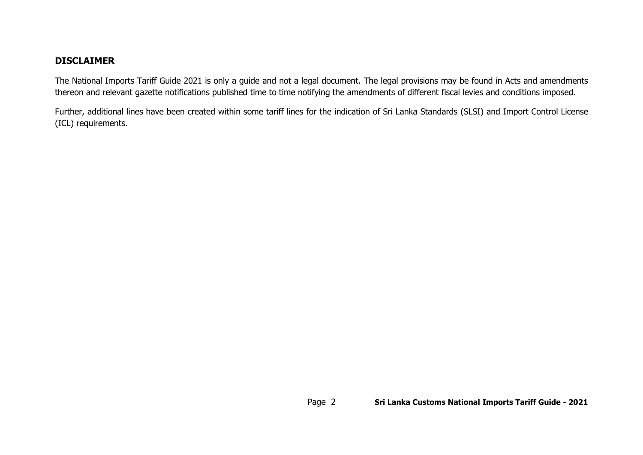# **DISCLAIMER**

The National Imports Tariff Guide 2021 is only a guide and not a legal document. The legal provisions may be found in Acts and amendments thereon and relevant gazette notifications published time to time notifying the amendments of different fiscal levies and conditions imposed.

Further, additional lines have been created within some tariff lines for the indication of Sri Lanka Standards (SLSI) and Import Control License (ICL) requirements.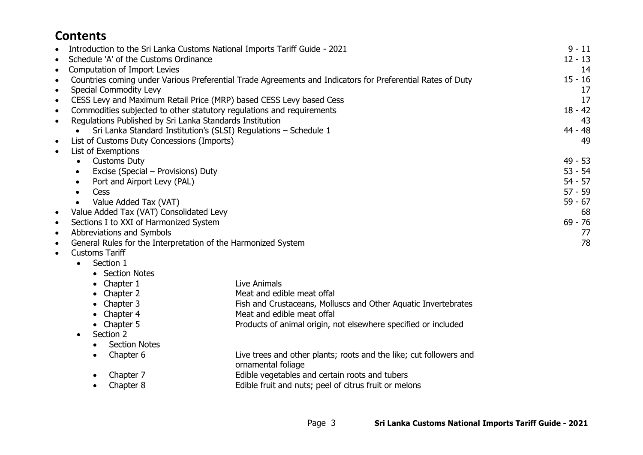# **Contents**

| $\bullet$ | Introduction to the Sri Lanka Customs National Imports Tariff Guide - 2021 |                                                                                                            | $9 - 11$  |
|-----------|----------------------------------------------------------------------------|------------------------------------------------------------------------------------------------------------|-----------|
| $\bullet$ | Schedule 'A' of the Customs Ordinance                                      |                                                                                                            | $12 - 13$ |
| $\bullet$ | Computation of Import Levies                                               |                                                                                                            | 14        |
| $\bullet$ |                                                                            | Countries coming under Various Preferential Trade Agreements and Indicators for Preferential Rates of Duty | $15 - 16$ |
| $\bullet$ | Special Commodity Levy                                                     |                                                                                                            | 17        |
| $\bullet$ | CESS Levy and Maximum Retail Price (MRP) based CESS Levy based Cess        |                                                                                                            | 17        |
| $\bullet$ | Commodities subjected to other statutory regulations and requirements      |                                                                                                            | $18 - 42$ |
| $\bullet$ | Regulations Published by Sri Lanka Standards Institution                   |                                                                                                            | 43        |
|           | Sri Lanka Standard Institution's (SLSI) Regulations - Schedule 1           |                                                                                                            | 44 - 48   |
| $\bullet$ | List of Customs Duty Concessions (Imports)                                 |                                                                                                            | 49        |
| $\bullet$ | List of Exemptions                                                         |                                                                                                            |           |
|           | <b>Customs Duty</b>                                                        |                                                                                                            | 49 - 53   |
|           | Excise (Special – Provisions) Duty<br>$\bullet$                            |                                                                                                            | $53 - 54$ |
|           | Port and Airport Levy (PAL)<br>$\bullet$                                   |                                                                                                            | $54 - 57$ |
|           | Cess<br>$\bullet$                                                          |                                                                                                            | $57 - 59$ |
|           | Value Added Tax (VAT)<br>$\bullet$                                         |                                                                                                            | $59 - 67$ |
| $\bullet$ | Value Added Tax (VAT) Consolidated Levy                                    |                                                                                                            | 68        |
| $\bullet$ | Sections I to XXI of Harmonized System                                     |                                                                                                            | $69 - 76$ |
| $\bullet$ | Abbreviations and Symbols                                                  |                                                                                                            | 77        |
| $\bullet$ | General Rules for the Interpretation of the Harmonized System              |                                                                                                            | 78        |
| $\bullet$ | <b>Customs Tariff</b>                                                      |                                                                                                            |           |
|           | Section 1<br>$\bullet$                                                     |                                                                                                            |           |
|           | • Section Notes                                                            |                                                                                                            |           |
|           | Chapter 1                                                                  | Live Animals                                                                                               |           |
|           | Chapter 2                                                                  | Meat and edible meat offal                                                                                 |           |
|           | Chapter 3                                                                  | Fish and Crustaceans, Molluscs and Other Aquatic Invertebrates                                             |           |
|           | Chapter 4                                                                  | Meat and edible meat offal                                                                                 |           |
|           | Chapter 5                                                                  | Products of animal origin, not elsewhere specified or included                                             |           |

- Section 2
	- Section Notes
	-
	- Chapter 6 Live trees and other plants; roots and the like; cut followers and ornamental foliage
	- Chapter 7 Edible vegetables and certain roots and tubers
	- Chapter 8 Edible fruit and nuts; peel of citrus fruit or melons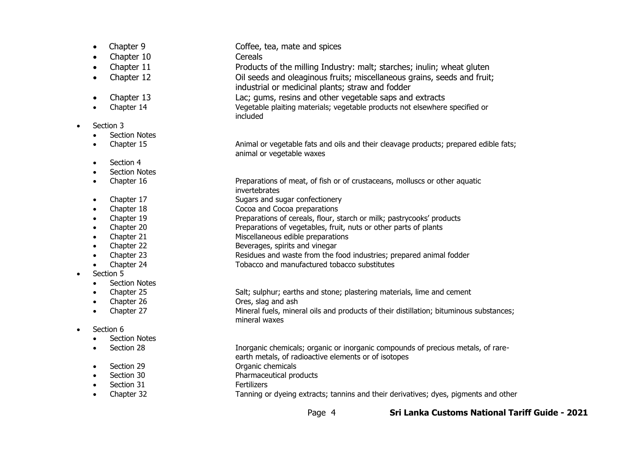- 
- Chapter 10 Cereals
- 
- 
- 
- 
- Section 3
	- Section Notes
	-
	- Section 4
	- Section Notes
	-
	-
	-
	-
	-
	-
	-
	-
	-
- Section 5
	- Section Notes
	-
	-
	-
- Section 6
	- Section Notes
	-
- 
- Section 29 Organic chemicals
- Section 30 Pharmaceutical products
- Section 31 Fertilizers
	- Chapter 32 Tanning or dyeing extracts; tannins and their derivatives; dyes, pigments and other
- Chapter 9 Coffee, tea, mate and spices
	-
- Chapter 11 Products of the milling Industry: malt; starches; inulin; wheat gluten
	- Chapter 12 Oil seeds and oleaginous fruits; miscellaneous grains, seeds and fruit;
		- industrial or medicinal plants; straw and fodder
	- Chapter 13 Lac; gums, resins and other vegetable saps and extracts
- Chapter 14 Vegetable plaiting materials; vegetable products not elsewhere specified or included
- Chapter 15 **Animal or vegetable fats and oils and their cleavage products; prepared edible fats;** animal or vegetable waxes
- Chapter 16 **Preparations of meat, of fish or of crustaceans, molluscs or other aquatic** invertebrates
- Chapter 17 Sugars and sugar confectionery
- Chapter 18 Cocoa and Cocoa preparations
	- Chapter 19 Preparations of cereals, flour, starch or milk; pastrycooks' products
	- Chapter 20 Preparations of vegetables, fruit, nuts or other parts of plants
	- **Chapter 21** Miscellaneous edible preparations
- Chapter 22 Beverages, spirits and vinegar
	- Chapter 23 Residues and waste from the food industries; prepared animal fodder
- Chapter 24 Tobacco and manufactured tobacco substitutes
	- Chapter 25 Salt; sulphur; earths and stone; plastering materials, lime and cement
- Chapter 26 Ores, slag and ash
	- Chapter 27 Mineral fuels, mineral oils and products of their distillation; bituminous substances; mineral waxes
		-
- Section 28 Inorganic chemicals; organic or inorganic compounds of precious metals, of rare
	- earth metals, of radioactive elements or of isotopes
	-
	-
	-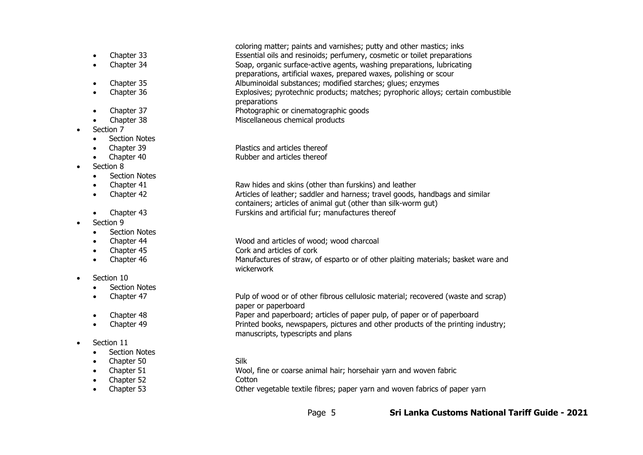- 
- 
- 
- 
- 
- 
- Section 7
	- Section Notes
	-
	-
- Section 8
	- Section Notes
	-
	-
	-
- Section 9
	- Section Notes
	-
	-
	-
- Section 10
	- Section Notes
	-
	-
	-
- Section 11
	- **Section Notes**
	- Chapter 50 Silk
	-
	- Chapter 52 Cotton
	-

• Chapter 33 Essential oils and resinoids; perfumery, cosmetic or toilet preparations • Chapter 34 Soap, organic surface-active agents, washing preparations, lubricating preparations, artificial waxes, prepared waxes, polishing or scour • Chapter 35 Albuminoidal substances; modified starches; glues; enzymes Explosives; pyrotechnic products; matches; pyrophoric alloys; certain combustible

coloring matter; paints and varnishes; putty and other mastics; inks

- preparations
- Chapter 37 Photographic or cinematographic goods
- Chapter 38 Miscellaneous chemical products
	- Chapter 39 Plastics and articles thereof • Chapter 40 Rubber and articles thereof

Chapter 41 **Chapter 41** Raw hides and skins (other than furskins) and leather • Chapter 42 Articles of leather; saddler and harness; travel goods, handbags and similar containers; articles of animal gut (other than silk-worm gut) • Chapter 43 Furskins and artificial fur; manufactures thereof

- Chapter 44 Wood and articles of wood; wood charcoal
- Chapter 45 Cork and articles of cork

• Chapter 46 Manufactures of straw, of esparto or of other plaiting materials; basket ware and wickerwork

• Chapter 47 Pulp of wood or of other fibrous cellulosic material; recovered (waste and scrap) paper or paperboard

• Chapter 48 Paper and paperboard; articles of paper pulp, of paper or of paperboard • Chapter 49 Printed books, newspapers, pictures and other products of the printing industry; manuscripts, typescripts and plans

- 
- Chapter 51 Wool, fine or coarse animal hair; horsehair yarn and woven fabric
	-
- Chapter 53 Other vegetable textile fibres; paper yarn and woven fabrics of paper yarn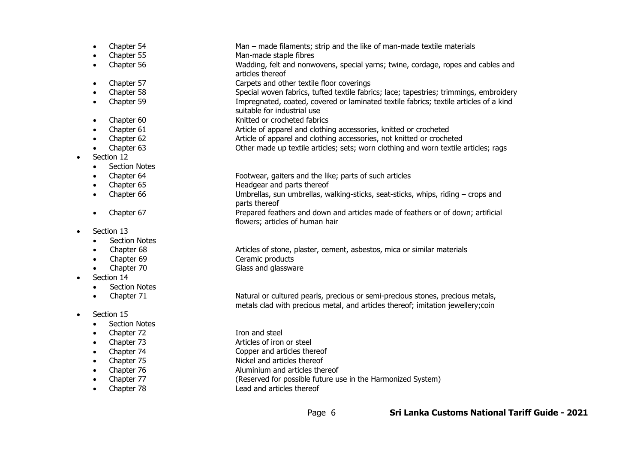|           | Chapter 54           | Man - made filaments; strip and the like of man-made textile materials                                                                                             |
|-----------|----------------------|--------------------------------------------------------------------------------------------------------------------------------------------------------------------|
| $\bullet$ | Chapter 55           | Man-made staple fibres                                                                                                                                             |
| $\bullet$ | Chapter 56           | Wadding, felt and nonwovens, special yarns; twine, cordage, ropes and cables and<br>articles thereof                                                               |
| ٠         | Chapter 57           | Carpets and other textile floor coverings                                                                                                                          |
| $\bullet$ | Chapter 58           | Special woven fabrics, tufted textile fabrics; lace; tapestries; trimmings, embroidery                                                                             |
| $\bullet$ | Chapter 59           | Impregnated, coated, covered or laminated textile fabrics; textile articles of a kind<br>suitable for industrial use                                               |
| $\bullet$ | Chapter 60           | Knitted or crocheted fabrics                                                                                                                                       |
| $\bullet$ | Chapter 61           | Article of apparel and clothing accessories, knitted or crocheted                                                                                                  |
|           | Chapter 62           | Article of apparel and clothing accessories, not knitted or crocheted                                                                                              |
|           | Chapter 63           | Other made up textile articles; sets; worn clothing and worn textile articles; rags                                                                                |
| $\bullet$ | Section 12           |                                                                                                                                                                    |
|           | <b>Section Notes</b> |                                                                                                                                                                    |
|           | Chapter 64           | Footwear, gaiters and the like; parts of such articles                                                                                                             |
|           | Chapter 65           | Headgear and parts thereof                                                                                                                                         |
| $\bullet$ | Chapter 66           | Umbrellas, sun umbrellas, walking-sticks, seat-sticks, whips, riding – crops and<br>parts thereof                                                                  |
| $\bullet$ | Chapter 67           | Prepared feathers and down and articles made of feathers or of down; artificial<br>flowers; articles of human hair                                                 |
| $\bullet$ | Section 13           |                                                                                                                                                                    |
|           | <b>Section Notes</b> |                                                                                                                                                                    |
|           | Chapter 68           | Articles of stone, plaster, cement, asbestos, mica or similar materials                                                                                            |
| $\bullet$ | Chapter 69           | Ceramic products                                                                                                                                                   |
|           | Chapter 70           | Glass and glassware                                                                                                                                                |
|           | Section 14           |                                                                                                                                                                    |
|           | <b>Section Notes</b> |                                                                                                                                                                    |
|           | Chapter 71           | Natural or cultured pearls, precious or semi-precious stones, precious metals,<br>metals clad with precious metal, and articles thereof; imitation jewellery; coin |

- Section 15
	- Section Notes
	- Chapter 72 Iron and steel
	-
	-
	-
	-
	-
	-

- 
- Chapter 73 Articles of iron or steel
- Chapter 74 Copper and articles thereof
	-
- Chapter 75 Nickel and articles thereof<br>• Chapter 76 Aluminium and articles the
- Chapter 76 **Aluminium and articles thereof**<br>• Chapter 77 **Aluminium and articles thereof** • Chapter 77 (Reserved for possible future use in the Harmonized System)<br>• Chapter 78 (Lead and articles thereof
- Chapter 78 Lead and articles thereof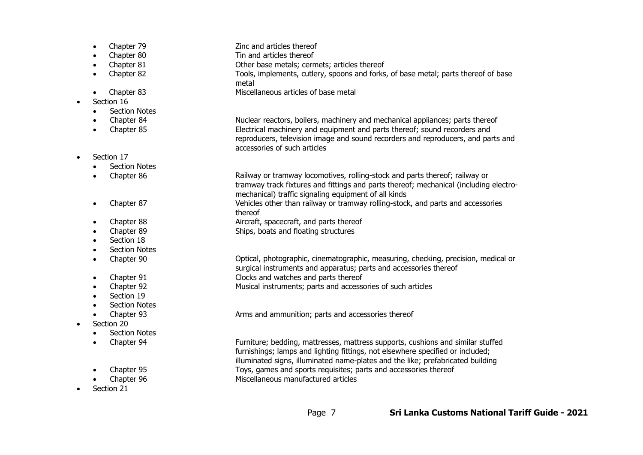- Chapter 79 Zinc and articles thereof
- **Chapter 80 Chapter 80** Tin and articles thereof
	- Chapter 81 Chapter 81 Chapter Base metals; cermets; articles thereof
- Chapter 82 Tools, implements, cutlery, spoons and forks, of base metal; parts thereof of base
- 
- Section 16
	- **Section Notes**
	-
	-
- Section 17
	- Section Notes
	-
	-
	-
	-
	- Section 18
	- **Section Notes**
	-
	-
	-
	- Section 19
	- Section Notes
	-
- Section 20
	- Section Notes
	-
	-
	-
- Section 21

metal • Chapter 83 Miscellaneous articles of base metal • Chapter 84 **Nuclear reactors, boilers, machinery and mechanical appliances; parts thereof** • Chapter 85 Electrical machinery and equipment and parts thereof; sound recorders and reproducers, television image and sound recorders and reproducers, and parts and accessories of such articles

Chapter 86 **Railway or tramway locomotives, rolling-stock and parts thereof; railway or** tramway track fixtures and fittings and parts thereof; mechanical (including electromechanical) traffic signaling equipment of all kinds • Chapter 87 Vehicles other than railway or tramway rolling-stock, and parts and accessories thereof • Chapter 88 Aircraft, spacecraft, and parts thereof

• Chapter 89 Ships, boats and floating structures

• Chapter 90 Optical, photographic, cinematographic, measuring, checking, precision, medical or surgical instruments and apparatus; parts and accessories thereof Chapter 91 Clocks and watches and parts thereof • Chapter 92 Musical instruments; parts and accessories of such articles

• Chapter 93 **Arms and ammunition; parts and accessories thereof** 

• Chapter 94 Furniture; bedding, mattresses, mattress supports, cushions and similar stuffed furnishings; lamps and lighting fittings, not elsewhere specified or included; illuminated signs, illuminated name-plates and the like; prefabricated building • Chapter 95 Toys, games and sports requisites; parts and accessories thereof • Chapter 96 Miscellaneous manufactured articles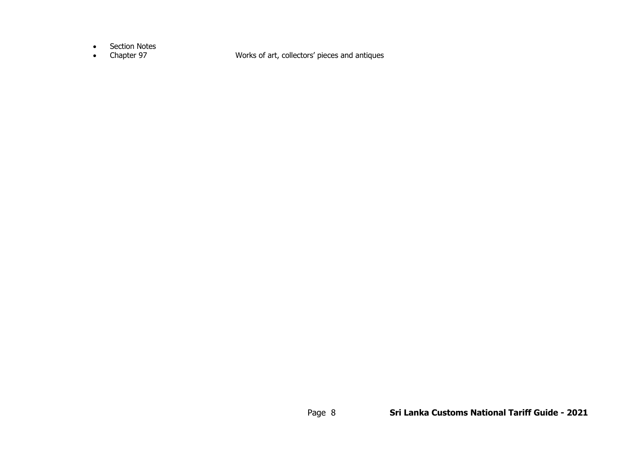- Section Notes<br>• Chapter 97
- 

• Chapter 97 Works of art, collectors' pieces and antiques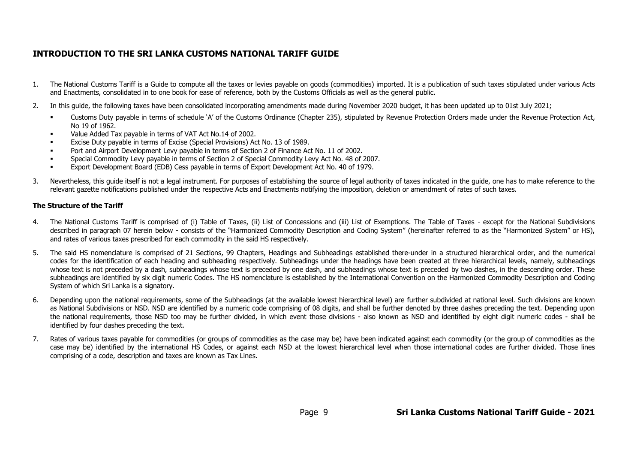# **INTRODUCTION TO THE SRI LANKA CUSTOMS NATIONAL TARIFF GUIDE**

- 1. The National Customs Tariff is a Guide to compute all the taxes or levies payable on goods (commodities) imported. It is a publication of such taxes stipulated under various Acts and Enactments, consolidated in to one book for ease of reference, both by the Customs Officials as well as the general public.
- 2. In this guide, the following taxes have been consolidated incorporating amendments made during November 2020 budget, it has been updated up to 01st July 2021;
	- Customs Duty payable in terms of schedule 'A' of the Customs Ordinance (Chapter 235), stipulated by Revenue Protection Orders made under the Revenue Protection Act, No 19 of 1962.
	- Value Added Tax payable in terms of VAT Act No.14 of 2002.
	- Excise Duty payable in terms of Excise (Special Provisions) Act No. 13 of 1989.
	- Port and Airport Development Levy payable in terms of Section 2 of Finance Act No. 11 of 2002.
	- Special Commodity Levy payable in terms of Section 2 of Special Commodity Levy Act No. 48 of 2007.
	- Export Development Board (EDB) Cess payable in terms of Export Development Act No. 40 of 1979.
- 3. Nevertheless, this guide itself is not a legal instrument. For purposes of establishing the source of legal authority of taxes indicated in the guide, one has to make reference to the relevant gazette notifications published under the respective Acts and Enactments notifying the imposition, deletion or amendment of rates of such taxes.

### **The Structure of the Tariff**

- 4. The National Customs Tariff is comprised of (i) Table of Taxes, (ii) List of Concessions and (iii) List of Exemptions. The Table of Taxes except for the National Subdivisions described in paragraph 07 herein below - consists of the "Harmonized Commodity Description and Coding System" (hereinafter referred to as the "Harmonized System" or HS), and rates of various taxes prescribed for each commodity in the said HS respectively.
- 5. The said HS nomenclature is comprised of 21 Sections, 99 Chapters, Headings and Subheadings established there-under in a structured hierarchical order, and the numerical codes for the identification of each heading and subheading respectively. Subheadings under the headings have been created at three hierarchical levels, namely, subheadings whose text is not preceded by a dash, subheadings whose text is preceded by one dash, and subheadings whose text is preceded by two dashes, in the descending order. These subheadings are identified by six digit numeric Codes. The HS nomenclature is established by the International Convention on the Harmonized Commodity Description and Coding System of which Sri Lanka is a signatory.
- 6. Depending upon the national requirements, some of the Subheadings (at the available lowest hierarchical level) are further subdivided at national level. Such divisions are known as National Subdivisions or NSD. NSD are identified by a numeric code comprising of 08 digits, and shall be further denoted by three dashes preceding the text. Depending upon the national requirements, those NSD too may be further divided, in which event those divisions - also known as NSD and identified by eight digit numeric codes - shall be identified by four dashes preceding the text.
- 7. Rates of various taxes payable for commodities (or groups of commodities as the case may be) have been indicated against each commodity (or the group of commodities as the case may be) identified by the international HS Codes, or against each NSD at the lowest hierarchical level when those international codes are further divided. Those lines comprising of a code, description and taxes are known as Tax Lines.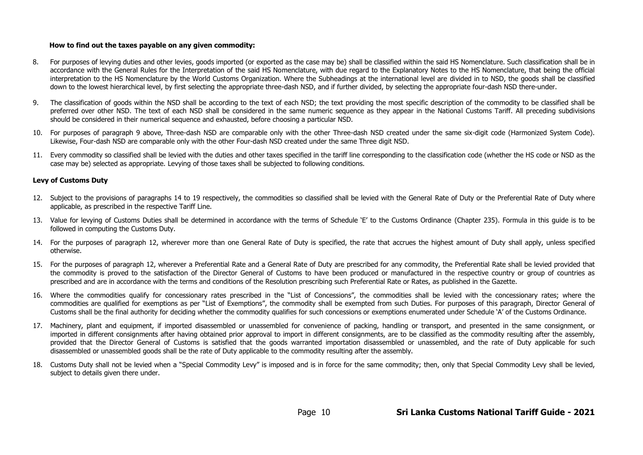#### **How to find out the taxes payable on any given commodity:**

- 8. For purposes of levying duties and other levies, goods imported (or exported as the case may be) shall be classified within the said HS Nomenclature. Such classification shall be in accordance with the General Rules for the Interpretation of the said HS Nomenclature, with due regard to the Explanatory Notes to the HS Nomenclature, that being the official interpretation to the HS Nomenclature by the World Customs Organization. Where the Subheadings at the international level are divided in to NSD, the goods shall be classified down to the lowest hierarchical level, by first selecting the appropriate three-dash NSD, and if further divided, by selecting the appropriate four-dash NSD there-under.
- 9. The classification of goods within the NSD shall be according to the text of each NSD; the text providing the most specific description of the commodity to be classified shall be preferred over other NSD. The text of each NSD shall be considered in the same numeric sequence as they appear in the National Customs Tariff. All preceding subdivisions should be considered in their numerical sequence and exhausted, before choosing a particular NSD.
- 10. For purposes of paragraph 9 above, Three-dash NSD are comparable only with the other Three-dash NSD created under the same six-digit code (Harmonized System Code). Likewise, Four-dash NSD are comparable only with the other Four-dash NSD created under the same Three digit NSD.
- 11. Every commodity so classified shall be levied with the duties and other taxes specified in the tariff line corresponding to the classification code (whether the HS code or NSD as the case may be) selected as appropriate. Levying of those taxes shall be subjected to following conditions.

#### **Levy of Customs Duty**

- 12. Subject to the provisions of paragraphs 14 to 19 respectively, the commodities so classified shall be levied with the General Rate of Duty or the Preferential Rate of Duty where applicable, as prescribed in the respective Tariff Line.
- 13. Value for levying of Customs Duties shall be determined in accordance with the terms of Schedule 'E' to the Customs Ordinance (Chapter 235). Formula in this guide is to be followed in computing the Customs Duty.
- 14. For the purposes of paragraph 12, wherever more than one General Rate of Duty is specified, the rate that accrues the highest amount of Duty shall apply, unless specified otherwise.
- 15. For the purposes of paragraph 12, wherever a Preferential Rate and a General Rate of Duty are prescribed for any commodity, the Preferential Rate shall be levied provided that the commodity is proved to the satisfaction of the Director General of Customs to have been produced or manufactured in the respective country or group of countries as prescribed and are in accordance with the terms and conditions of the Resolution prescribing such Preferential Rate or Rates, as published in the Gazette.
- 16. Where the commodities qualify for concessionary rates prescribed in the "List of Concessions", the commodities shall be levied with the concessionary rates; where the commodities are qualified for exemptions as per "List of Exemptions", the commodity shall be exempted from such Duties. For purposes of this paragraph, Director General of Customs shall be the final authority for deciding whether the commodity qualifies for such concessions or exemptions enumerated under Schedule 'A' of the Customs Ordinance.
- 17. Machinery, plant and equipment, if imported disassembled or unassembled for convenience of packing, handling or transport, and presented in the same consignment, or imported in different consignments after having obtained prior approval to import in different consignments, are to be classified as the commodity resulting after the assembly, provided that the Director General of Customs is satisfied that the goods warranted importation disassembled or unassembled, and the rate of Duty applicable for such disassembled or unassembled goods shall be the rate of Duty applicable to the commodity resulting after the assembly.
- 18. Customs Duty shall not be levied when a "Special Commodity Levy" is imposed and is in force for the same commodity; then, only that Special Commodity Levy shall be levied, subject to details given there under.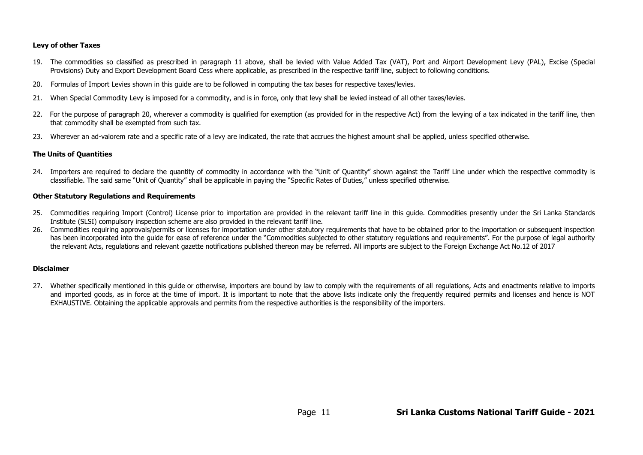#### **Levy of other Taxes**

- 19. The commodities so classified as prescribed in paragraph 11 above, shall be levied with Value Added Tax (VAT), Port and Airport Development Levy (PAL), Excise (Special Provisions) Duty and Export Development Board Cess where applicable, as prescribed in the respective tariff line, subject to following conditions.
- 20. Formulas of Import Levies shown in this guide are to be followed in computing the tax bases for respective taxes/levies.
- 21. When Special Commodity Levy is imposed for a commodity, and is in force, only that levy shall be levied instead of all other taxes/levies.
- 22. For the purpose of paragraph 20, wherever a commodity is qualified for exemption (as provided for in the respective Act) from the levying of a tax indicated in the tariff line, then that commodity shall be exempted from such tax.
- 23. Wherever an ad-valorem rate and a specific rate of a levy are indicated, the rate that accrues the highest amount shall be applied, unless specified otherwise.

#### **The Units of Quantities**

24. Importers are required to declare the quantity of commodity in accordance with the "Unit of Quantity" shown against the Tariff Line under which the respective commodity is classifiable. The said same "Unit of Quantity" shall be applicable in paying the "Specific Rates of Duties," unless specified otherwise.

#### **Other Statutory Regulations and Requirements**

- 25. Commodities requiring Import (Control) License prior to importation are provided in the relevant tariff line in this quide. Commodities presently under the Sri Lanka Standards Institute (SLSI) compulsory inspection scheme are also provided in the relevant tariff line.
- 26. Commodities requiring approvals/permits or licenses for importation under other statutory requirements that have to be obtained prior to the importation or subsequent inspection has been incorporated into the quide for ease of reference under the "Commodities subjected to other statutory regulations and requirements". For the purpose of legal authority the relevant Acts, regulations and relevant gazette notifications published thereon may be referred. All imports are subject to the Foreign Exchange Act No.12 of 2017

#### **Disclaimer**

27. Whether specifically mentioned in this quide or otherwise, importers are bound by law to comply with the requirements of all requlations, Acts and enactments relative to imports and imported goods, as in force at the time of import. It is important to note that the above lists indicate only the frequently required permits and licenses and hence is NOT EXHAUSTIVE. Obtaining the applicable approvals and permits from the respective authorities is the responsibility of the importers.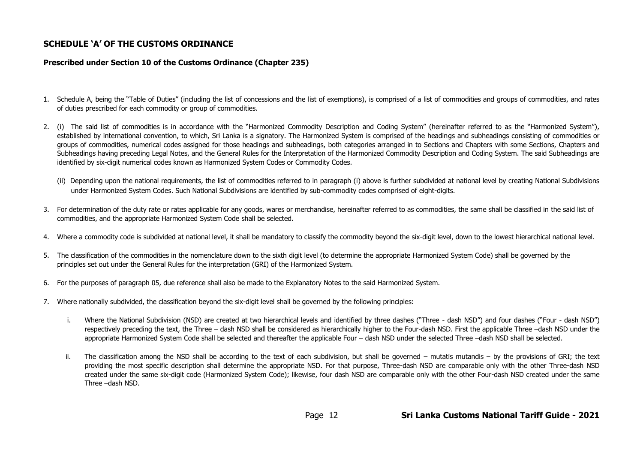### **SCHEDULE 'A' OF THE CUSTOMS ORDINANCE**

#### **Prescribed under Section 10 of the Customs Ordinance (Chapter 235)**

- 1. Schedule A, being the "Table of Duties" (including the list of concessions and the list of exemptions), is comprised of a list of commodities and groups of commodities, and rates of duties prescribed for each commodity or group of commodities.
- 2. (i) The said list of commodities is in accordance with the "Harmonized Commodity Description and Coding System" (hereinafter referred to as the "Harmonized System"), established by international convention, to which, Sri Lanka is a signatory. The Harmonized System is comprised of the headings and subheadings consisting of commodities or groups of commodities, numerical codes assigned for those headings and subheadings, both categories arranged in to Sections and Chapters with some Sections, Chapters and Subheadings having preceding Legal Notes, and the General Rules for the Interpretation of the Harmonized Commodity Description and Coding System. The said Subheadings are identified by six-digit numerical codes known as Harmonized System Codes or Commodity Codes.
	- (ii) Depending upon the national requirements, the list of commodities referred to in paragraph (i) above is further subdivided at national level by creating National Subdivisions under Harmonized System Codes. Such National Subdivisions are identified by sub-commodity codes comprised of eight-digits.
- 3. For determination of the duty rate or rates applicable for any goods, wares or merchandise, hereinafter referred to as commodities, the same shall be classified in the said list of commodities, and the appropriate Harmonized System Code shall be selected.
- 4. Where a commodity code is subdivided at national level, it shall be mandatory to classify the commodity beyond the six-digit level, down to the lowest hierarchical national level.
- 5. The classification of the commodities in the nomenclature down to the sixth digit level (to determine the appropriate Harmonized System Code) shall be governed by the principles set out under the General Rules for the interpretation (GRI) of the Harmonized System.
- 6. For the purposes of paragraph 05, due reference shall also be made to the Explanatory Notes to the said Harmonized System.
- 7. Where nationally subdivided, the classification beyond the six-digit level shall be governed by the following principles:
	- i. Where the National Subdivision (NSD) are created at two hierarchical levels and identified by three dashes ("Three dash NSD") and four dashes ("Four dash NSD") respectively preceding the text, the Three – dash NSD shall be considered as hierarchically higher to the Four-dash NSD. First the applicable Three –dash NSD under the appropriate Harmonized System Code shall be selected and thereafter the applicable Four – dash NSD under the selected Three –dash NSD shall be selected.
	- ii. The classification among the NSD shall be according to the text of each subdivision, but shall be governed mutatis mutandis by the provisions of GRI; the text providing the most specific description shall determine the appropriate NSD. For that purpose, Three-dash NSD are comparable only with the other Three-dash NSD created under the same six-digit code (Harmonized System Code); likewise, four dash NSD are comparable only with the other Four-dash NSD created under the same Three –dash NSD.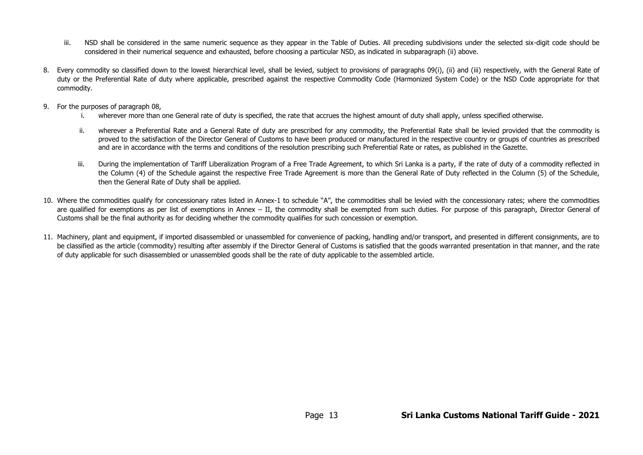- iii. NSD shall be considered in the same numeric sequence as they appear in the Table of Duties. All preceding subdivisions under the selected six-digit code should be considered in their numerical sequence and exhausted, before choosing a particular NSD, as indicated in subparagraph (ii) above.
- 8. Every commodity so classified down to the lowest hierarchical level, shall be levied, subject to provisions of paragraphs 09(i), (ii) and (iii) respectively, with the General Rate of duty or the Preferential Rate of duty where applicable, prescribed against the respective Commodity Code (Harmonized System Code) or the NSD Code appropriate for that commodity.
- 9. For the purposes of paragraph 08,
	- i. wherever more than one General rate of duty is specified, the rate that accrues the highest amount of duty shall apply, unless specified otherwise.
	- ii. wherever a Preferential Rate and a General Rate of duty are prescribed for any commodity, the Preferential Rate shall be levied provided that the commodity is proved to the satisfaction of the Director General of Customs to have been produced or manufactured in the respective country or groups of countries as prescribed and are in accordance with the terms and conditions of the resolution prescribing such Preferential Rate or rates, as published in the Gazette.
	- iii. During the implementation of Tariff Liberalization Program of a Free Trade Agreement, to which Sri Lanka is a party, if the rate of duty of a commodity reflected in the Column (4) of the Schedule against the respective Free Trade Agreement is more than the General Rate of Duty reflected in the Column (5) of the Schedule, then the General Rate of Duty shall be applied.
- 10. Where the commodities qualify for concessionary rates listed in Annex-1 to schedule "A", the commodities shall be levied with the concessionary rates; where the commodities are qualified for exemptions as per list of exemptions in Annex – II, the commodity shall be exempted from such duties. For purpose of this paragraph, Director General of Customs shall be the final authority as for deciding whether the commodity qualifies for such concession or exemption.
- 11. Machinery, plant and equipment, if imported disassembled or unassembled for convenience of packing, handling and/or transport, and presented in different consignments, are to be classified as the article (commodity) resulting after assembly if the Director General of Customs is satisfied that the goods warranted presentation in that manner, and the rate of duty applicable for such disassembled or unassembled goods shall be the rate of duty applicable to the assembled article.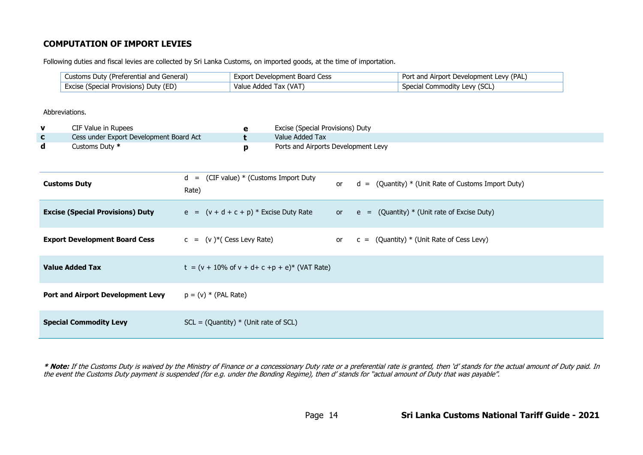## **COMPUTATION OF IMPORT LEVIES**

Following duties and fiscal levies are collected by Sri Lanka Customs, on imported goods, at the time of importation.

| Customs Duty (Preferential and General) | Export Development Board Cess | Port and Airport Development Levy (PAL) |
|-----------------------------------------|-------------------------------|-----------------------------------------|
| Excise (Special Provisions) Duty (ED)   | Value Added Tax (VAT)         | Special Commodity Levy (SCL)            |

#### Abbreviations.

| CIF Value in Rupees                     | Excise (Special Provisions) Duty    |
|-----------------------------------------|-------------------------------------|
| Cess under Export Development Board Act | Value Added Tax                     |
| Customs Duty *                          | Ports and Airports Development Levy |

| <b>Customs Duty</b>                      | $d =$ (CIF value) $*$ (Customs Import Duty<br>Rate)         | or | $d = (Quantity) * (Unit Rate of Customs Import Duty)$ |
|------------------------------------------|-------------------------------------------------------------|----|-------------------------------------------------------|
| <b>Excise (Special Provisions) Duty</b>  | $e = (v + d + c + p) *$ Excise Duty Rate                    |    | or $e = (Quantity) * (Unit rate of Exercise Duty)$    |
| <b>Export Development Board Cess</b>     | $c = (v)^*($ Cess Levy Rate)                                |    | or $c = (Quantity) * (Unit Rate of Cess Levy)$        |
| <b>Value Added Tax</b>                   | $t = (v + 10\% \text{ of } v + d + c + p + e)^*$ (VAT Rate) |    |                                                       |
| <b>Port and Airport Development Levy</b> | $p = (v) * (PAL Rate)$                                      |    |                                                       |
| <b>Special Commodity Levy</b>            | $SCL = (Quantity) * (Unit rate of SCL)$                     |    |                                                       |

\* Note: If the Customs Duty is waived by the Ministry of Finance or a concessionary Duty rate or a preferential rate is granted, then 'd' stands for the actual amount of Duty paid. In the event the Customs Duty payment is suspended (for e.g. under the Bonding Regime), then d' stands for "actual amount of Duty that was payable".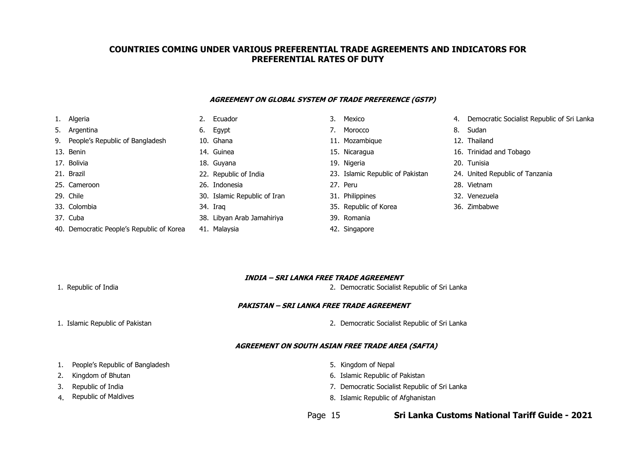### **COUNTRIES COMING UNDER VARIOUS PREFERENTIAL TRADE AGREEMENTS AND INDICATORS FOR PREFERENTIAL RATES OF DUTY**

#### **AGREEMENT ON GLOBAL SYSTEM OF TRADE PREFERENCE (GSTP)**

| 1. Algeria                                | 2. | Ecuador                      | 3. | Mexico                           | 4. | Democrati      |
|-------------------------------------------|----|------------------------------|----|----------------------------------|----|----------------|
| 5. Argentina                              |    | 6. Egypt                     | 7. | Morocco                          |    | 8. Sudan       |
| 9. People's Republic of Bangladesh        |    | 10. Ghana                    |    | 11. Mozambique                   |    | 12. Thailand   |
| 13. Benin                                 |    | 14. Guinea                   |    | 15. Nicaragua                    |    | 16. Trinidad a |
| 17. Bolivia                               |    | 18. Guyana                   |    | 19. Nigeria                      |    | 20. Tunisia    |
| 21. Brazil                                |    | 22. Republic of India        |    | 23. Islamic Republic of Pakistan |    | 24. United Rep |
| 25. Cameroon                              |    | 26. Indonesia                |    | 27. Peru                         |    | 28. Vietnam    |
| 29. Chile                                 |    | 30. Islamic Republic of Iran |    | 31. Philippines                  |    | 32. Venezuela  |
| 33. Colombia                              |    | 34. Iraq                     |    | 35. Republic of Korea            |    | 36. Zimbabwe   |
| 37. Cuba                                  |    | 38. Libyan Arab Jamahiriya   |    | 39. Romania                      |    |                |
| 40. Democratic People's Republic of Korea |    | 41. Malaysia                 |    | 42. Singapore                    |    |                |

|                  | 3. | Mexico                           | 4. | Democratic Socialist Republi    |
|------------------|----|----------------------------------|----|---------------------------------|
|                  | 7. | Morocco                          | 8. | Sudan                           |
|                  |    | 11. Mozambique                   |    | 12. Thailand                    |
|                  |    | 15. Nicaragua                    |    | 16. Trinidad and Tobago         |
|                  |    | 19. Nigeria                      |    | 20. Tunisia                     |
| ic of India      |    | 23. Islamic Republic of Pakistan |    | 24. United Republic of Tanzania |
| sia              |    | 27. Peru                         |    | 28. Vietnam                     |
| Republic of Iran |    | 31. Philippines                  |    | 32. Venezuela                   |
|                  |    | 35. Republic of Korea            |    | 36. Zimbabwe                    |
| Arab Jamahiriya  |    | 39. Romania                      |    |                                 |

- 1. **1. Algeria 2. Ecuador 3. Mexico 1. Algeria 2. Ecuador 2. Ecuador 3. Ecuador 3. Algeria 2. Ecuador 3. Algeri** 
	-
	-
	- 16. Trinidad and Tobago
	-
	-
	-
	-
	-

#### **INDIA – SRI LANKA FREE TRADE AGREEMENT**

1. Republic of India 2. Democratic Socialist Republic of Sri Lanka

#### **PAKISTAN – SRI LANKA FREE TRADE AGREEMENT**

- 
- 1. Islamic Republic of Pakistan 2. Democratic Socialist Republic of Sri Lanka

#### **AGREEMENT ON SOUTH ASIAN FREE TRADE AREA (SAFTA)**

- 1. People's Republic of Bangladesh 5. Kingdom of Nepal
- 
- 
- 4.
- 
- 2. Kingdom of Bhutan 6. Islamic Republic of Pakistan 6. Islamic Republic of Pakistan
- 3. Republic of India 7. Democratic Socialist Republic of Sri Lanka
	- Republic of Maldives **8. Islamic Republic of Afghanistan**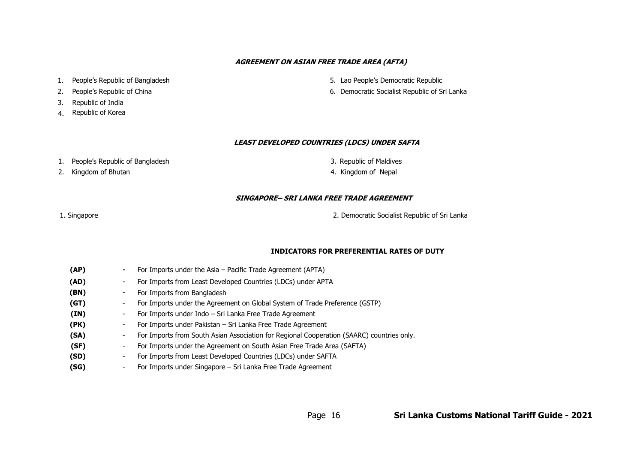#### **AGREEMENT ON ASIAN FREE TRADE AREA (AFTA)**

- 
- 
- 3. Republic of India
- 4. Republic of Korea
- 1. People's Republic of Bangladesh 5. Lao People's Democratic Republic
- 2. People's Republic of China **6. Democratic Socialist Republic of Sri Lanka**

#### **LEAST DEVELOPED COUNTRIES (LDCS) UNDER SAFTA**

- 1. People's Republic of Bangladesh **Republic of Sangladesh** and the set of Maldives
	- 2. Kingdom of Bhutan Kingdom of Bhutan Kingdom of Nepal
- -

#### **SINGAPORE– SRI LANKA FREE TRADE AGREEMENT**

1. Singapore 2. Democratic Socialist Republic of Sri Lanka

#### **INDICATORS FOR PREFERENTIAL RATES OF DUTY**

| (AP) |    | For Imports under the Asia $-$ Pacific Trade Agreement (APTA)                             |
|------|----|-------------------------------------------------------------------------------------------|
| (AD) |    | For Imports from Least Developed Countries (LDCs) under APTA                              |
| (BN) | -  | For Imports from Bangladesh                                                               |
| (GT) | Ξ. | For Imports under the Agreement on Global System of Trade Preference (GSTP)               |
| (IN) | -  | For Imports under Indo – Sri Lanka Free Trade Agreement                                   |
| (PK) |    | For Imports under Pakistan – Sri Lanka Free Trade Agreement                               |
| (SA) | Ξ. | For Imports from South Asian Association for Regional Cooperation (SAARC) countries only. |
| (SF) | Ξ. | For Imports under the Agreement on South Asian Free Trade Area (SAFTA)                    |
| (SD) |    | For Imports from Least Developed Countries (LDCs) under SAFTA                             |
| (SG) |    | For Imports under Singapore – Sri Lanka Free Trade Agreement                              |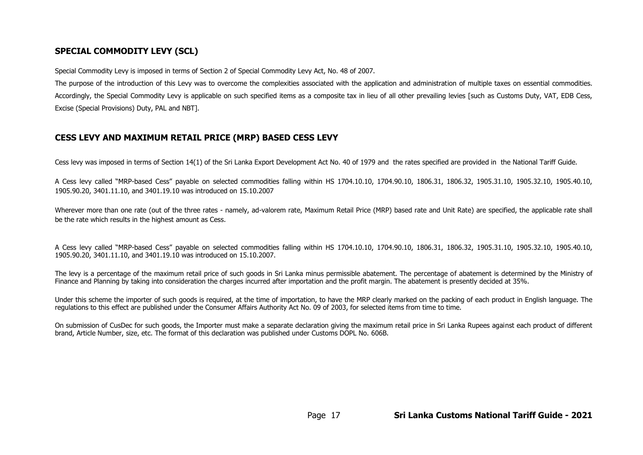# **SPECIAL COMMODITY LEVY (SCL)**

Special Commodity Levy is imposed in terms of Section 2 of Special Commodity Levy Act, No. 48 of 2007.

The purpose of the introduction of this Levy was to overcome the complexities associated with the application and administration of multiple taxes on essential commodities. Accordingly, the Special Commodity Levy is applicable on such specified items as a composite tax in lieu of all other prevailing levies [such as Customs Duty, VAT, EDB Cess, Excise (Special Provisions) Duty, PAL and NBT].

### **CESS LEVY AND MAXIMUM RETAIL PRICE (MRP) BASED CESS LEVY**

Cess levy was imposed in terms of Section 14(1) of the Sri Lanka Export Development Act No. 40 of 1979 and the rates specified are provided in the National Tariff Guide.

A Cess levy called "MRP-based Cess" payable on selected commodities falling within HS 1704.10.10, 1704.90.10, 1806.31, 1806.32, 1905.31.10, 1905.32.10, 1905.40.10, 1905.90.20, 3401.11.10, and 3401.19.10 was introduced on 15.10.2007

Wherever more than one rate (out of the three rates - namely, ad-valorem rate, Maximum Retail Price (MRP) based rate and Unit Rate) are specified, the applicable rate shall be the rate which results in the highest amount as Cess.

A Cess levy called "MRP-based Cess" payable on selected commodities falling within HS 1704.10.10, 1704.90.10, 1806.31, 1806.32, 1905.31.10, 1905.32.10, 1905.40.10, 1905.90.20, 3401.11.10, and 3401.19.10 was introduced on 15.10.2007.

The levy is a percentage of the maximum retail price of such goods in Sri Lanka minus permissible abatement. The percentage of abatement is determined by the Ministry of Finance and Planning by taking into consideration the charges incurred after importation and the profit margin. The abatement is presently decided at 35%.

Under this scheme the importer of such goods is required, at the time of importation, to have the MRP clearly marked on the packing of each product in English language. The regulations to this effect are published under the Consumer Affairs Authority Act No. 09 of 2003, for selected items from time to time.

On submission of CusDec for such goods, the Importer must make a separate declaration giving the maximum retail price in Sri Lanka Rupees against each product of different brand, Article Number, size, etc. The format of this declaration was published under Customs DOPL No. 606B.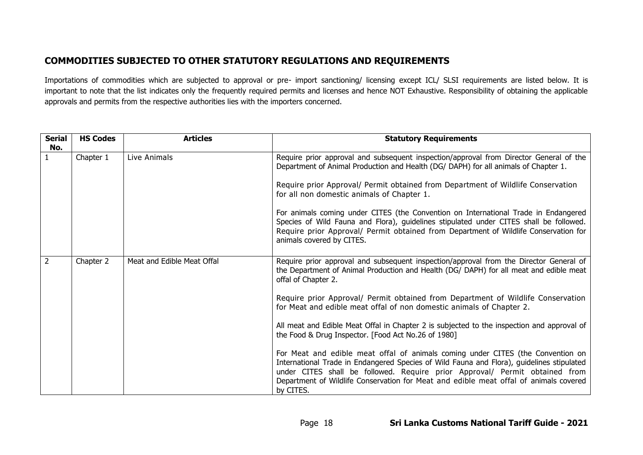# **COMMODITIES SUBJECTED TO OTHER STATUTORY REGULATIONS AND REQUIREMENTS**

Importations of commodities which are subjected to approval or pre- import sanctioning/ licensing except ICL/ SLSI requirements are listed below. It is important to note that the list indicates only the frequently required permits and licenses and hence NOT Exhaustive. Responsibility of obtaining the applicable approvals and permits from the respective authorities lies with the importers concerned.

| <b>Serial</b><br>No. | <b>HS Codes</b> | <b>Articles</b>            | <b>Statutory Requirements</b>                                                                                                                                                                                                                                                                                                                                     |
|----------------------|-----------------|----------------------------|-------------------------------------------------------------------------------------------------------------------------------------------------------------------------------------------------------------------------------------------------------------------------------------------------------------------------------------------------------------------|
|                      | Chapter 1       | Live Animals               | Require prior approval and subsequent inspection/approval from Director General of the<br>Department of Animal Production and Health (DG/ DAPH) for all animals of Chapter 1.                                                                                                                                                                                     |
|                      |                 |                            | Require prior Approval/ Permit obtained from Department of Wildlife Conservation<br>for all non domestic animals of Chapter 1.                                                                                                                                                                                                                                    |
|                      |                 |                            | For animals coming under CITES (the Convention on International Trade in Endangered<br>Species of Wild Fauna and Flora), guidelines stipulated under CITES shall be followed.<br>Require prior Approval/ Permit obtained from Department of Wildlife Conservation for<br>animals covered by CITES.                                                                |
| $\overline{2}$       | Chapter 2       | Meat and Edible Meat Offal | Require prior approval and subsequent inspection/approval from the Director General of<br>the Department of Animal Production and Health (DG/ DAPH) for all meat and edible meat<br>offal of Chapter 2.                                                                                                                                                           |
|                      |                 |                            | Require prior Approval/ Permit obtained from Department of Wildlife Conservation<br>for Meat and edible meat offal of non domestic animals of Chapter 2.                                                                                                                                                                                                          |
|                      |                 |                            | All meat and Edible Meat Offal in Chapter 2 is subjected to the inspection and approval of<br>the Food & Drug Inspector. [Food Act No.26 of 1980]                                                                                                                                                                                                                 |
|                      |                 |                            | For Meat and edible meat offal of animals coming under CITES (the Convention on<br>International Trade in Endangered Species of Wild Fauna and Flora), guidelines stipulated<br>under CITES shall be followed. Require prior Approval/ Permit obtained from<br>Department of Wildlife Conservation for Meat and edible meat offal of animals covered<br>by CITES. |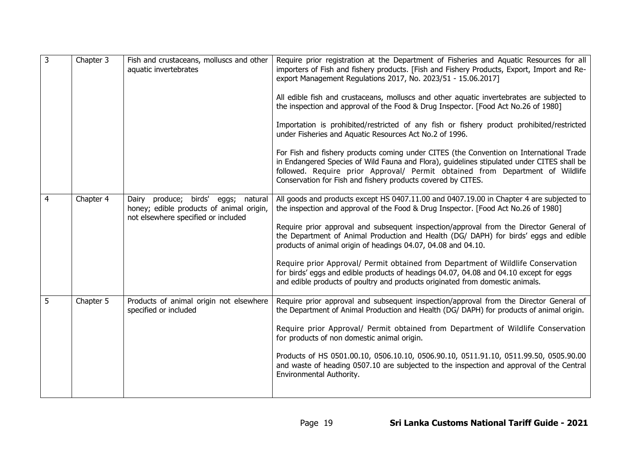| 3 | Chapter 3 | Fish and crustaceans, molluscs and other<br>aquatic invertebrates                                                            | Require prior registration at the Department of Fisheries and Aquatic Resources for all<br>importers of Fish and fishery products. [Fish and Fishery Products, Export, Import and Re-<br>export Management Regulations 2017, No. 2023/51 - 15.06.2017]<br>All edible fish and crustaceans, molluscs and other aquatic invertebrates are subjected to<br>the inspection and approval of the Food & Drug Inspector. [Food Act No.26 of 1980]<br>Importation is prohibited/restricted of any fish or fishery product prohibited/restricted<br>under Fisheries and Aquatic Resources Act No.2 of 1996.<br>For Fish and fishery products coming under CITES (the Convention on International Trade<br>in Endangered Species of Wild Fauna and Flora), guidelines stipulated under CITES shall be<br>followed. Require prior Approval/ Permit obtained from Department of Wildlife<br>Conservation for Fish and fishery products covered by CITES. |
|---|-----------|------------------------------------------------------------------------------------------------------------------------------|----------------------------------------------------------------------------------------------------------------------------------------------------------------------------------------------------------------------------------------------------------------------------------------------------------------------------------------------------------------------------------------------------------------------------------------------------------------------------------------------------------------------------------------------------------------------------------------------------------------------------------------------------------------------------------------------------------------------------------------------------------------------------------------------------------------------------------------------------------------------------------------------------------------------------------------------|
| 4 | Chapter 4 | birds' eggs;<br>Dairy produce;<br>natural<br>honey; edible products of animal origin,<br>not elsewhere specified or included | All goods and products except HS 0407.11.00 and 0407.19.00 in Chapter 4 are subjected to<br>the inspection and approval of the Food & Drug Inspector. [Food Act No.26 of 1980]<br>Require prior approval and subsequent inspection/approval from the Director General of<br>the Department of Animal Production and Health (DG/ DAPH) for birds' eggs and edible<br>products of animal origin of headings 04.07, 04.08 and 04.10.<br>Require prior Approval/ Permit obtained from Department of Wildlife Conservation<br>for birds' eggs and edible products of headings 04.07, 04.08 and 04.10 except for eggs<br>and edible products of poultry and products originated from domestic animals.                                                                                                                                                                                                                                             |
| 5 | Chapter 5 | Products of animal origin not elsewhere<br>specified or included                                                             | Require prior approval and subsequent inspection/approval from the Director General of<br>the Department of Animal Production and Health (DG/ DAPH) for products of animal origin.<br>Require prior Approval/ Permit obtained from Department of Wildlife Conservation<br>for products of non domestic animal origin.<br>Products of HS 0501.00.10, 0506.10.10, 0506.90.10, 0511.91.10, 0511.99.50, 0505.90.00<br>and waste of heading 0507.10 are subjected to the inspection and approval of the Central<br>Environmental Authority.                                                                                                                                                                                                                                                                                                                                                                                                       |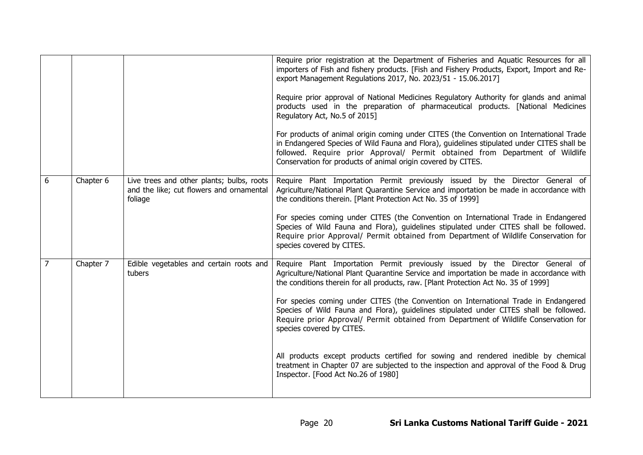|                |           |                                                                                                  | Require prior registration at the Department of Fisheries and Aquatic Resources for all<br>importers of Fish and fishery products. [Fish and Fishery Products, Export, Import and Re-<br>export Management Regulations 2017, No. 2023/51 - 15.06.2017]<br>Require prior approval of National Medicines Regulatory Authority for glands and animal<br>products used in the preparation of pharmaceutical products. [National Medicines<br>Regulatory Act, No.5 of 2015]<br>For products of animal origin coming under CITES (the Convention on International Trade<br>in Endangered Species of Wild Fauna and Flora), guidelines stipulated under CITES shall be<br>followed. Require prior Approval/ Permit obtained from Department of Wildlife<br>Conservation for products of animal origin covered by CITES. |
|----------------|-----------|--------------------------------------------------------------------------------------------------|------------------------------------------------------------------------------------------------------------------------------------------------------------------------------------------------------------------------------------------------------------------------------------------------------------------------------------------------------------------------------------------------------------------------------------------------------------------------------------------------------------------------------------------------------------------------------------------------------------------------------------------------------------------------------------------------------------------------------------------------------------------------------------------------------------------|
| 6              | Chapter 6 | Live trees and other plants; bulbs, roots<br>and the like; cut flowers and ornamental<br>foliage | Require Plant Importation Permit previously issued by the Director General of<br>Agriculture/National Plant Quarantine Service and importation be made in accordance with<br>the conditions therein. [Plant Protection Act No. 35 of 1999]<br>For species coming under CITES (the Convention on International Trade in Endangered<br>Species of Wild Fauna and Flora), guidelines stipulated under CITES shall be followed.<br>Require prior Approval/ Permit obtained from Department of Wildlife Conservation for<br>species covered by CITES.                                                                                                                                                                                                                                                                 |
| $\overline{7}$ | Chapter 7 | Edible vegetables and certain roots and<br>tubers                                                | Require Plant Importation Permit previously issued by the Director General of<br>Agriculture/National Plant Quarantine Service and importation be made in accordance with<br>the conditions therein for all products, raw. [Plant Protection Act No. 35 of 1999]<br>For species coming under CITES (the Convention on International Trade in Endangered<br>Species of Wild Fauna and Flora), guidelines stipulated under CITES shall be followed.<br>Require prior Approval/ Permit obtained from Department of Wildlife Conservation for<br>species covered by CITES.<br>All products except products certified for sowing and rendered inedible by chemical<br>treatment in Chapter 07 are subjected to the inspection and approval of the Food & Drug<br>Inspector. [Food Act No.26 of 1980]                  |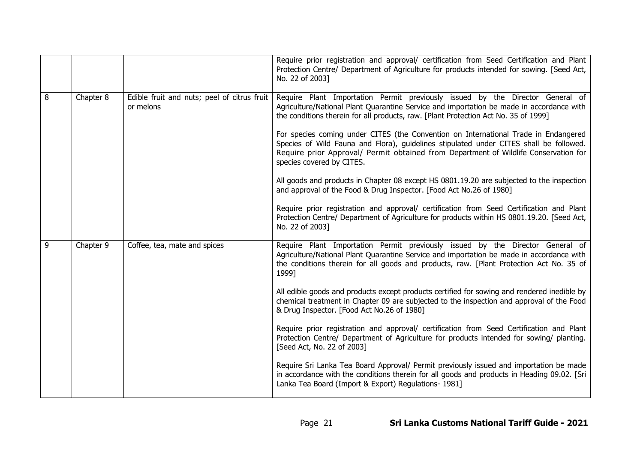|                |           |                                                          | Require prior registration and approval/ certification from Seed Certification and Plant<br>Protection Centre/ Department of Agriculture for products intended for sowing. [Seed Act,<br>No. 22 of 2003]                                                                                           |
|----------------|-----------|----------------------------------------------------------|----------------------------------------------------------------------------------------------------------------------------------------------------------------------------------------------------------------------------------------------------------------------------------------------------|
| 8              | Chapter 8 | Edible fruit and nuts; peel of citrus fruit<br>or melons | Require Plant Importation Permit previously issued by the Director General of<br>Agriculture/National Plant Quarantine Service and importation be made in accordance with<br>the conditions therein for all products, raw. [Plant Protection Act No. 35 of 1999]                                   |
|                |           |                                                          | For species coming under CITES (the Convention on International Trade in Endangered<br>Species of Wild Fauna and Flora), guidelines stipulated under CITES shall be followed.<br>Require prior Approval/ Permit obtained from Department of Wildlife Conservation for<br>species covered by CITES. |
|                |           |                                                          | All goods and products in Chapter 08 except HS 0801.19.20 are subjected to the inspection<br>and approval of the Food & Drug Inspector. [Food Act No.26 of 1980]                                                                                                                                   |
|                |           |                                                          | Require prior registration and approval/ certification from Seed Certification and Plant<br>Protection Centre/ Department of Agriculture for products within HS 0801.19.20. [Seed Act,<br>No. 22 of 2003]                                                                                          |
| $\overline{9}$ | Chapter 9 | Coffee, tea, mate and spices                             | Require Plant Importation Permit previously issued by the Director General of<br>Agriculture/National Plant Quarantine Service and importation be made in accordance with<br>the conditions therein for all goods and products, raw. [Plant Protection Act No. 35 of<br>1999]                      |
|                |           |                                                          | All edible goods and products except products certified for sowing and rendered inedible by<br>chemical treatment in Chapter 09 are subjected to the inspection and approval of the Food<br>& Drug Inspector. [Food Act No.26 of 1980]                                                             |
|                |           |                                                          | Require prior registration and approval/ certification from Seed Certification and Plant<br>Protection Centre/ Department of Agriculture for products intended for sowing/ planting.<br>[Seed Act, No. 22 of 2003]                                                                                 |
|                |           |                                                          | Require Sri Lanka Tea Board Approval/ Permit previously issued and importation be made<br>in accordance with the conditions therein for all goods and products in Heading 09.02. [Sri<br>Lanka Tea Board (Import & Export) Regulations- 1981]                                                      |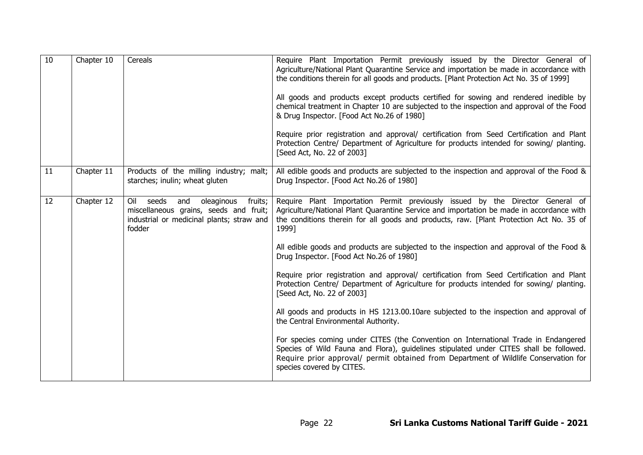| 10 | Chapter 10 | Cereals                                                                                                                                       | Require Plant Importation Permit previously issued by the Director General of<br>Agriculture/National Plant Quarantine Service and importation be made in accordance with<br>the conditions therein for all goods and products. [Plant Protection Act No. 35 of 1999]<br>All goods and products except products certified for sowing and rendered inedible by<br>chemical treatment in Chapter 10 are subjected to the inspection and approval of the Food<br>& Drug Inspector. [Food Act No.26 of 1980]<br>Require prior registration and approval/ certification from Seed Certification and Plant<br>Protection Centre/ Department of Agriculture for products intended for sowing/ planting.<br>[Seed Act, No. 22 of 2003] |
|----|------------|-----------------------------------------------------------------------------------------------------------------------------------------------|--------------------------------------------------------------------------------------------------------------------------------------------------------------------------------------------------------------------------------------------------------------------------------------------------------------------------------------------------------------------------------------------------------------------------------------------------------------------------------------------------------------------------------------------------------------------------------------------------------------------------------------------------------------------------------------------------------------------------------|
| 11 | Chapter 11 | Products of the milling industry; malt;<br>starches; inulin; wheat gluten                                                                     | All edible goods and products are subjected to the inspection and approval of the Food &<br>Drug Inspector. [Food Act No.26 of 1980]                                                                                                                                                                                                                                                                                                                                                                                                                                                                                                                                                                                           |
| 12 | Chapter 12 | Oil<br>seeds<br>fruits;<br>and<br>oleaginous<br>miscellaneous grains, seeds and fruit;<br>industrial or medicinal plants; straw and<br>fodder | Require Plant Importation Permit previously issued by the Director General of<br>Agriculture/National Plant Quarantine Service and importation be made in accordance with<br>the conditions therein for all goods and products, raw. [Plant Protection Act No. 35 of<br>1999]                                                                                                                                                                                                                                                                                                                                                                                                                                                  |
|    |            |                                                                                                                                               | All edible goods and products are subjected to the inspection and approval of the Food &<br>Drug Inspector. [Food Act No.26 of 1980]                                                                                                                                                                                                                                                                                                                                                                                                                                                                                                                                                                                           |
|    |            |                                                                                                                                               | Require prior registration and approval/ certification from Seed Certification and Plant<br>Protection Centre/ Department of Agriculture for products intended for sowing/ planting.<br>[Seed Act, No. 22 of 2003]                                                                                                                                                                                                                                                                                                                                                                                                                                                                                                             |
|    |            |                                                                                                                                               | All goods and products in HS 1213.00.10are subjected to the inspection and approval of<br>the Central Environmental Authority.                                                                                                                                                                                                                                                                                                                                                                                                                                                                                                                                                                                                 |
|    |            |                                                                                                                                               | For species coming under CITES (the Convention on International Trade in Endangered<br>Species of Wild Fauna and Flora), guidelines stipulated under CITES shall be followed.<br>Require prior approval/ permit obtained from Department of Wildlife Conservation for<br>species covered by CITES.                                                                                                                                                                                                                                                                                                                                                                                                                             |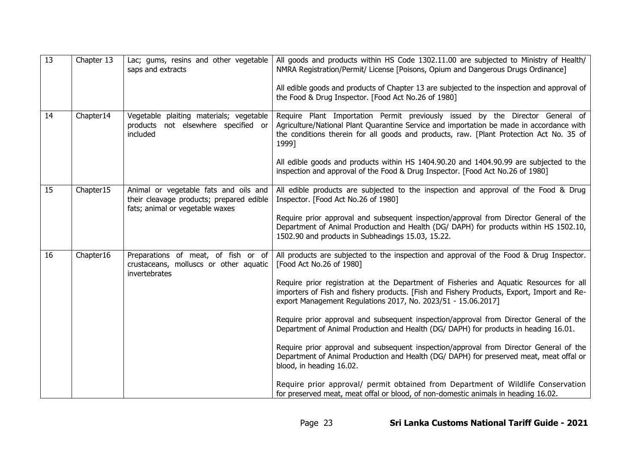| $\overline{13}$ | Chapter 13 | Lac; gums, resins and other vegetable<br>saps and extracts                                                           | All goods and products within HS Code 1302.11.00 are subjected to Ministry of Health/<br>NMRA Registration/Permit/ License [Poisons, Opium and Dangerous Drugs Ordinance]<br>All edible goods and products of Chapter 13 are subjected to the inspection and approval of<br>the Food & Drug Inspector. [Food Act No.26 of 1980]                                                                                                                                                                                                                                                                                                                                                                                                                                                                                                                                                                                                                            |
|-----------------|------------|----------------------------------------------------------------------------------------------------------------------|------------------------------------------------------------------------------------------------------------------------------------------------------------------------------------------------------------------------------------------------------------------------------------------------------------------------------------------------------------------------------------------------------------------------------------------------------------------------------------------------------------------------------------------------------------------------------------------------------------------------------------------------------------------------------------------------------------------------------------------------------------------------------------------------------------------------------------------------------------------------------------------------------------------------------------------------------------|
| 14              | Chapter14  | Vegetable plaiting materials; vegetable<br>products not elsewhere specified or<br>included                           | Require Plant Importation Permit previously issued by the Director General of<br>Agriculture/National Plant Quarantine Service and importation be made in accordance with<br>the conditions therein for all goods and products, raw. [Plant Protection Act No. 35 of<br>1999]<br>All edible goods and products within HS 1404.90.20 and 1404.90.99 are subjected to the<br>inspection and approval of the Food & Drug Inspector. [Food Act No.26 of 1980]                                                                                                                                                                                                                                                                                                                                                                                                                                                                                                  |
| 15              | Chapter15  | Animal or vegetable fats and oils and<br>their cleavage products; prepared edible<br>fats; animal or vegetable waxes | All edible products are subjected to the inspection and approval of the Food & Drug<br>Inspector. [Food Act No.26 of 1980]<br>Require prior approval and subsequent inspection/approval from Director General of the<br>Department of Animal Production and Health (DG/ DAPH) for products within HS 1502.10,<br>1502.90 and products in Subheadings 15.03, 15.22.                                                                                                                                                                                                                                                                                                                                                                                                                                                                                                                                                                                         |
| 16              | Chapter16  | Preparations of meat, of fish or of<br>crustaceans, molluscs or other aquatic<br>invertebrates                       | All products are subjected to the inspection and approval of the Food & Drug Inspector.<br>[Food Act No.26 of 1980]<br>Require prior registration at the Department of Fisheries and Aquatic Resources for all<br>importers of Fish and fishery products. [Fish and Fishery Products, Export, Import and Re-<br>export Management Regulations 2017, No. 2023/51 - 15.06.2017]<br>Require prior approval and subsequent inspection/approval from Director General of the<br>Department of Animal Production and Health (DG/ DAPH) for products in heading 16.01.<br>Require prior approval and subsequent inspection/approval from Director General of the<br>Department of Animal Production and Health (DG/ DAPH) for preserved meat, meat offal or<br>blood, in heading 16.02.<br>Require prior approval/ permit obtained from Department of Wildlife Conservation<br>for preserved meat, meat offal or blood, of non-domestic animals in heading 16.02. |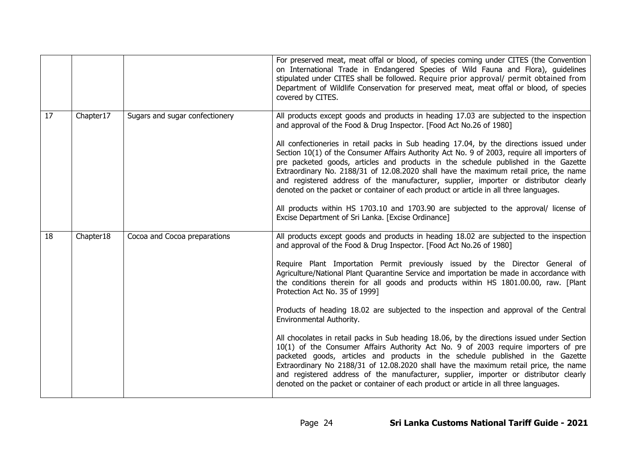|    |           |                                | For preserved meat, meat offal or blood, of species coming under CITES (the Convention<br>on International Trade in Endangered Species of Wild Fauna and Flora), guidelines<br>stipulated under CITES shall be followed. Require prior approval/ permit obtained from<br>Department of Wildlife Conservation for preserved meat, meat offal or blood, of species<br>covered by CITES.                                                                                                                                                                                                                                                                                                                                                                                                                                                                                                                                                                                                                                                                                                                                                      |
|----|-----------|--------------------------------|--------------------------------------------------------------------------------------------------------------------------------------------------------------------------------------------------------------------------------------------------------------------------------------------------------------------------------------------------------------------------------------------------------------------------------------------------------------------------------------------------------------------------------------------------------------------------------------------------------------------------------------------------------------------------------------------------------------------------------------------------------------------------------------------------------------------------------------------------------------------------------------------------------------------------------------------------------------------------------------------------------------------------------------------------------------------------------------------------------------------------------------------|
| 17 | Chapter17 | Sugars and sugar confectionery | All products except goods and products in heading 17.03 are subjected to the inspection<br>and approval of the Food & Drug Inspector. [Food Act No.26 of 1980]<br>All confectioneries in retail packs in Sub heading 17.04, by the directions issued under<br>Section 10(1) of the Consumer Affairs Authority Act No. 9 of 2003, require all importers of<br>pre packeted goods, articles and products in the schedule published in the Gazette<br>Extraordinary No. 2188/31 of 12.08.2020 shall have the maximum retail price, the name<br>and registered address of the manufacturer, supplier, importer or distributor clearly<br>denoted on the packet or container of each product or article in all three languages.<br>All products within HS 1703.10 and 1703.90 are subjected to the approval/ license of<br>Excise Department of Sri Lanka. [Excise Ordinance]                                                                                                                                                                                                                                                                   |
| 18 | Chapter18 | Cocoa and Cocoa preparations   | All products except goods and products in heading 18.02 are subjected to the inspection<br>and approval of the Food & Drug Inspector. [Food Act No.26 of 1980]<br>Require Plant Importation Permit previously issued by the Director General of<br>Agriculture/National Plant Quarantine Service and importation be made in accordance with<br>the conditions therein for all goods and products within HS 1801.00.00, raw. [Plant<br>Protection Act No. 35 of 1999]<br>Products of heading 18.02 are subjected to the inspection and approval of the Central<br>Environmental Authority.<br>All chocolates in retail packs in Sub heading 18.06, by the directions issued under Section<br>10(1) of the Consumer Affairs Authority Act No. 9 of 2003 require importers of pre<br>packeted goods, articles and products in the schedule published in the Gazette<br>Extraordinary No 2188/31 of 12.08.2020 shall have the maximum retail price, the name<br>and registered address of the manufacturer, supplier, importer or distributor clearly<br>denoted on the packet or container of each product or article in all three languages. |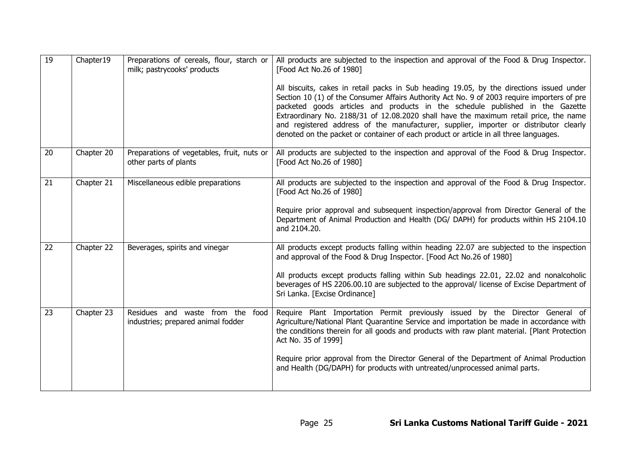| 19 | Chapter19  | Preparations of cereals, flour, starch or<br>milk; pastrycooks' products | All products are subjected to the inspection and approval of the Food & Drug Inspector.<br>[Food Act No.26 of 1980]                                                                                                                                                                                                                                                                                                                                                                                                                                 |
|----|------------|--------------------------------------------------------------------------|-----------------------------------------------------------------------------------------------------------------------------------------------------------------------------------------------------------------------------------------------------------------------------------------------------------------------------------------------------------------------------------------------------------------------------------------------------------------------------------------------------------------------------------------------------|
|    |            |                                                                          | All biscuits, cakes in retail packs in Sub heading 19.05, by the directions issued under<br>Section 10 (1) of the Consumer Affairs Authority Act No. 9 of 2003 require importers of pre<br>packeted goods articles and products in the schedule published in the Gazette<br>Extraordinary No. 2188/31 of 12.08.2020 shall have the maximum retail price, the name<br>and registered address of the manufacturer, supplier, importer or distributor clearly<br>denoted on the packet or container of each product or article in all three languages. |
| 20 | Chapter 20 | Preparations of vegetables, fruit, nuts or<br>other parts of plants      | All products are subjected to the inspection and approval of the Food & Drug Inspector.<br>[Food Act No.26 of 1980]                                                                                                                                                                                                                                                                                                                                                                                                                                 |
| 21 | Chapter 21 | Miscellaneous edible preparations                                        | All products are subjected to the inspection and approval of the Food & Drug Inspector.<br>[Food Act No.26 of 1980]<br>Require prior approval and subsequent inspection/approval from Director General of the<br>Department of Animal Production and Health (DG/ DAPH) for products within HS 2104.10                                                                                                                                                                                                                                               |
|    |            |                                                                          | and 2104.20.                                                                                                                                                                                                                                                                                                                                                                                                                                                                                                                                        |
| 22 | Chapter 22 | Beverages, spirits and vinegar                                           | All products except products falling within heading 22.07 are subjected to the inspection<br>and approval of the Food & Drug Inspector. [Food Act No.26 of 1980]                                                                                                                                                                                                                                                                                                                                                                                    |
|    |            |                                                                          | All products except products falling within Sub headings 22.01, 22.02 and nonalcoholic<br>beverages of HS 2206.00.10 are subjected to the approval/ license of Excise Department of<br>Sri Lanka. [Excise Ordinance]                                                                                                                                                                                                                                                                                                                                |
| 23 | Chapter 23 | Residues and waste from the food<br>industries; prepared animal fodder   | Require Plant Importation Permit previously issued by the Director General of<br>Agriculture/National Plant Quarantine Service and importation be made in accordance with<br>the conditions therein for all goods and products with raw plant material. [Plant Protection<br>Act No. 35 of 1999]                                                                                                                                                                                                                                                    |
|    |            |                                                                          | Require prior approval from the Director General of the Department of Animal Production<br>and Health (DG/DAPH) for products with untreated/unprocessed animal parts.                                                                                                                                                                                                                                                                                                                                                                               |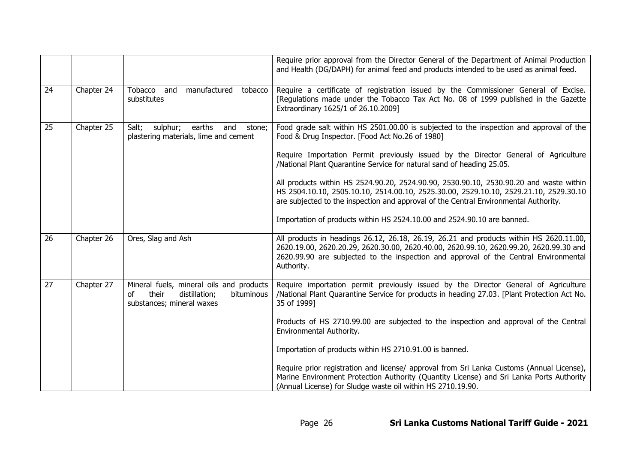|    |            |                                                                                                                     | Require prior approval from the Director General of the Department of Animal Production<br>and Health (DG/DAPH) for animal feed and products intended to be used as animal feed.                                                                                                       |
|----|------------|---------------------------------------------------------------------------------------------------------------------|----------------------------------------------------------------------------------------------------------------------------------------------------------------------------------------------------------------------------------------------------------------------------------------|
| 24 | Chapter 24 | Tobacco and<br>manufactured<br>tobacco<br>substitutes                                                               | Require a certificate of registration issued by the Commissioner General of Excise.<br>[Regulations made under the Tobacco Tax Act No. 08 of 1999 published in the Gazette<br>Extraordinary 1625/1 of 26.10.2009]                                                                      |
| 25 | Chapter 25 | Salt;<br>sulphur;<br>earths<br>and<br>stone;<br>plastering materials, lime and cement                               | Food grade salt within HS 2501.00.00 is subjected to the inspection and approval of the<br>Food & Drug Inspector. [Food Act No.26 of 1980]                                                                                                                                             |
|    |            |                                                                                                                     | Require Importation Permit previously issued by the Director General of Agriculture<br>/National Plant Quarantine Service for natural sand of heading 25.05.                                                                                                                           |
|    |            |                                                                                                                     | All products within HS 2524.90.20, 2524.90.90, 2530.90.10, 2530.90.20 and waste within<br>HS 2504.10.10, 2505.10.10, 2514.00.10, 2525.30.00, 2529.10.10, 2529.21.10, 2529.30.10<br>are subjected to the inspection and approval of the Central Environmental Authority.                |
|    |            |                                                                                                                     | Importation of products within HS 2524.10.00 and 2524.90.10 are banned.                                                                                                                                                                                                                |
| 26 | Chapter 26 | Ores, Slag and Ash                                                                                                  | All products in headings 26.12, 26.18, 26.19, 26.21 and products within HS 2620.11.00,<br>2620.19.00, 2620.20.29, 2620.30.00, 2620.40.00, 2620.99.10, 2620.99.20, 2620.99.30 and<br>2620.99.90 are subjected to the inspection and approval of the Central Environmental<br>Authority. |
| 27 | Chapter 27 | Mineral fuels, mineral oils and products<br>bituminous<br>their<br>distillation;<br>οf<br>substances; mineral waxes | Require importation permit previously issued by the Director General of Agriculture<br>/National Plant Quarantine Service for products in heading 27.03. [Plant Protection Act No.<br>35 of 1999]                                                                                      |
|    |            |                                                                                                                     | Products of HS 2710.99.00 are subjected to the inspection and approval of the Central<br>Environmental Authority.                                                                                                                                                                      |
|    |            |                                                                                                                     | Importation of products within HS 2710.91.00 is banned.                                                                                                                                                                                                                                |
|    |            |                                                                                                                     | Require prior registration and license/ approval from Sri Lanka Customs (Annual License),<br>Marine Environment Protection Authority (Quantity License) and Sri Lanka Ports Authority<br>(Annual License) for Sludge waste oil within HS 2710.19.90.                                   |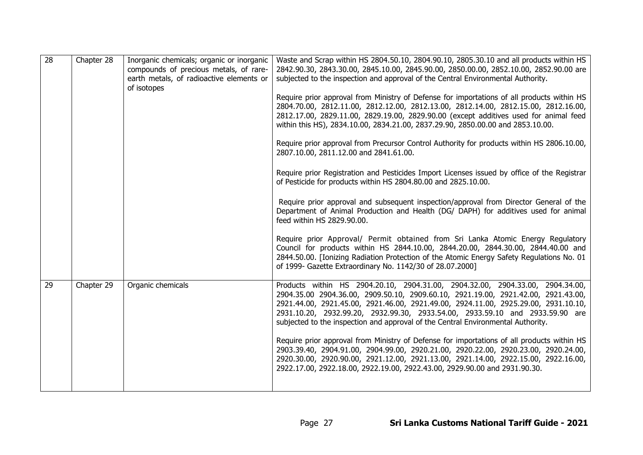| 28 | Chapter 28 | Inorganic chemicals; organic or inorganic<br>compounds of precious metals, of rare-<br>earth metals, of radioactive elements or<br>of isotopes | Waste and Scrap within HS 2804.50.10, 2804.90.10, 2805.30.10 and all products within HS<br>2842.90.30, 2843.30.00, 2845.10.00, 2845.90.00, 2850.00.00, 2852.10.00, 2852.90.00 are<br>subjected to the inspection and approval of the Central Environmental Authority.<br>Require prior approval from Ministry of Defense for importations of all products within HS<br>2804.70.00, 2812.11.00, 2812.12.00, 2812.13.00, 2812.14.00, 2812.15.00, 2812.16.00,<br>2812.17.00, 2829.11.00, 2829.19.00, 2829.90.00 (except additives used for animal feed<br>within this HS), 2834.10.00, 2834.21.00, 2837.29.90, 2850.00.00 and 2853.10.00.<br>Require prior approval from Precursor Control Authority for products within HS 2806.10.00,<br>2807.10.00, 2811.12.00 and 2841.61.00.<br>Require prior Registration and Pesticides Import Licenses issued by office of the Registrar<br>of Pesticide for products within HS 2804.80.00 and 2825.10.00.<br>Require prior approval and subsequent inspection/approval from Director General of the<br>Department of Animal Production and Health (DG/ DAPH) for additives used for animal<br>feed within HS 2829.90.00.<br>Require prior Approval/ Permit obtained from Sri Lanka Atomic Energy Regulatory<br>Council for products within HS 2844.10.00, 2844.20.00, 2844.30.00, 2844.40.00 and<br>2844.50.00. [Ionizing Radiation Protection of the Atomic Energy Safety Regulations No. 01<br>of 1999- Gazette Extraordinary No. 1142/30 of 28.07.2000] |
|----|------------|------------------------------------------------------------------------------------------------------------------------------------------------|--------------------------------------------------------------------------------------------------------------------------------------------------------------------------------------------------------------------------------------------------------------------------------------------------------------------------------------------------------------------------------------------------------------------------------------------------------------------------------------------------------------------------------------------------------------------------------------------------------------------------------------------------------------------------------------------------------------------------------------------------------------------------------------------------------------------------------------------------------------------------------------------------------------------------------------------------------------------------------------------------------------------------------------------------------------------------------------------------------------------------------------------------------------------------------------------------------------------------------------------------------------------------------------------------------------------------------------------------------------------------------------------------------------------------------------------------------------------------------------------------|
| 29 | Chapter 29 | Organic chemicals                                                                                                                              | Products within HS 2904.20.10, 2904.31.00, 2904.32.00, 2904.33.00, 2904.34.00,<br>2904.35.00 2904.36.00, 2909.50.10, 2909.60.10, 2921.19.00, 2921.42.00, 2921.43.00,<br>2921.44.00, 2921.45.00, 2921.46.00, 2921.49.00, 2924.11.00, 2925.29.00, 2931.10.10,<br>2931.10.20, 2932.99.20, 2932.99.30, 2933.54.00, 2933.59.10 and 2933.59.90 are<br>subjected to the inspection and approval of the Central Environmental Authority.<br>Require prior approval from Ministry of Defense for importations of all products within HS<br>2903.39.40, 2904.91.00, 2904.99.00, 2920.21.00, 2920.22.00, 2920.23.00, 2920.24.00,<br>2920.30.00, 2920.90.00, 2921.12.00, 2921.13.00, 2921.14.00, 2922.15.00, 2922.16.00,<br>2922.17.00, 2922.18.00, 2922.19.00, 2922.43.00, 2929.90.00 and 2931.90.30.                                                                                                                                                                                                                                                                                                                                                                                                                                                                                                                                                                                                                                                                                                       |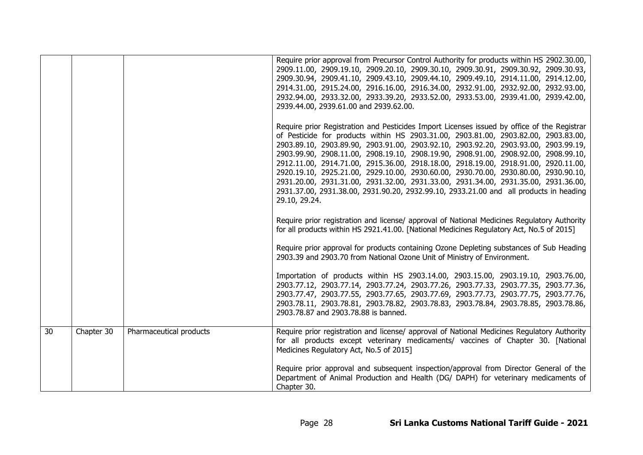|    |            |                         | Require prior approval from Precursor Control Authority for products within HS 2902.30.00,<br>2909.11.00, 2909.19.10, 2909.20.10, 2909.30.10, 2909.30.91, 2909.30.92, 2909.30.93,<br>2909.30.94, 2909.41.10, 2909.43.10, 2909.44.10, 2909.49.10, 2914.11.00, 2914.12.00,<br>2914.31.00, 2915.24.00, 2916.16.00, 2916.34.00, 2932.91.00, 2932.92.00, 2932.93.00,<br>2932.94.00, 2933.32.00, 2933.39.20, 2933.52.00, 2933.53.00, 2939.41.00, 2939.42.00,<br>2939.44.00, 2939.61.00 and 2939.62.00.                                                                                                                                                                                                                                                 |
|----|------------|-------------------------|--------------------------------------------------------------------------------------------------------------------------------------------------------------------------------------------------------------------------------------------------------------------------------------------------------------------------------------------------------------------------------------------------------------------------------------------------------------------------------------------------------------------------------------------------------------------------------------------------------------------------------------------------------------------------------------------------------------------------------------------------|
|    |            |                         | Require prior Registration and Pesticides Import Licenses issued by office of the Registrar<br>of Pesticide for products within HS 2903.31.00, 2903.81.00, 2903.82.00, 2903.83.00,<br>2903.89.10, 2903.89.90, 2903.91.00, 2903.92.10, 2903.92.20, 2903.93.00, 2903.99.19,<br>2903.99.90, 2908.11.00, 2908.19.10, 2908.19.90, 2908.91.00, 2908.92.00, 2908.99.10,<br>2912.11.00, 2914.71.00, 2915.36.00, 2918.18.00, 2918.19.00, 2918.91.00, 2920.11.00,<br>2920.19.10, 2925.21.00, 2929.10.00, 2930.60.00, 2930.70.00, 2930.80.00, 2930.90.10,<br>2931.20.00, 2931.31.00, 2931.32.00, 2931.33.00, 2931.34.00, 2931.35.00, 2931.36.00,<br>2931.37.00, 2931.38.00, 2931.90.20, 2932.99.10, 2933.21.00 and all products in heading<br>29.10, 29.24. |
|    |            |                         | Require prior registration and license/ approval of National Medicines Regulatory Authority<br>for all products within HS 2921.41.00. [National Medicines Regulatory Act, No.5 of 2015]                                                                                                                                                                                                                                                                                                                                                                                                                                                                                                                                                          |
|    |            |                         | Require prior approval for products containing Ozone Depleting substances of Sub Heading<br>2903.39 and 2903.70 from National Ozone Unit of Ministry of Environment.                                                                                                                                                                                                                                                                                                                                                                                                                                                                                                                                                                             |
|    |            |                         | Importation of products within HS 2903.14.00, 2903.15.00, 2903.19.10, 2903.76.00,<br>2903.77.12, 2903.77.14, 2903.77.24, 2903.77.26, 2903.77.33, 2903.77.35, 2903.77.36,<br>2903.77.47, 2903.77.55, 2903.77.65, 2903.77.69, 2903.77.73, 2903.77.75, 2903.77.76,<br>2903.78.11, 2903.78.81, 2903.78.82, 2903.78.83, 2903.78.84, 2903.78.85, 2903.78.86,<br>2903.78.87 and 2903.78.88 is banned.                                                                                                                                                                                                                                                                                                                                                   |
| 30 | Chapter 30 | Pharmaceutical products | Require prior registration and license/ approval of National Medicines Regulatory Authority<br>for all products except veterinary medicaments/ vaccines of Chapter 30. [National<br>Medicines Regulatory Act, No.5 of 2015]                                                                                                                                                                                                                                                                                                                                                                                                                                                                                                                      |
|    |            |                         | Require prior approval and subsequent inspection/approval from Director General of the<br>Department of Animal Production and Health (DG/ DAPH) for veterinary medicaments of<br>Chapter 30.                                                                                                                                                                                                                                                                                                                                                                                                                                                                                                                                                     |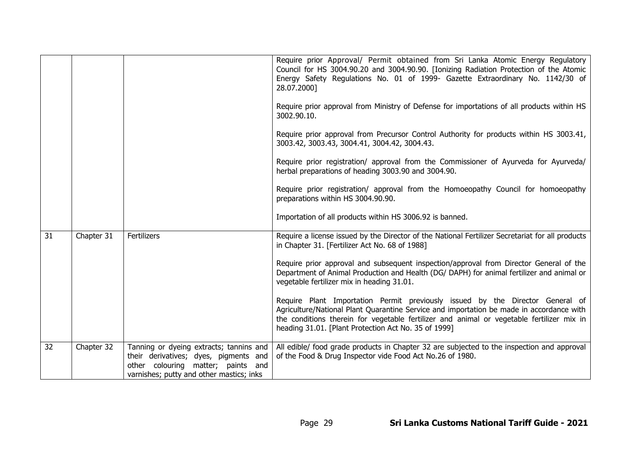|    |            |                                                                                                                                                                    | Require prior Approval/ Permit obtained from Sri Lanka Atomic Energy Regulatory<br>Council for HS 3004.90.20 and 3004.90.90. [Ionizing Radiation Protection of the Atomic<br>Energy Safety Regulations No. 01 of 1999- Gazette Extraordinary No. 1142/30 of<br>28.07.2000]<br>Require prior approval from Ministry of Defense for importations of all products within HS<br>3002.90.10.<br>Require prior approval from Precursor Control Authority for products within HS 3003.41,<br>3003.42, 3003.43, 3004.41, 3004.42, 3004.43.<br>Require prior registration/ approval from the Commissioner of Ayurveda for Ayurveda/<br>herbal preparations of heading 3003.90 and 3004.90.<br>Require prior registration/ approval from the Homoeopathy Council for homoeopathy<br>preparations within HS 3004.90.90.<br>Importation of all products within HS 3006.92 is banned. |
|----|------------|--------------------------------------------------------------------------------------------------------------------------------------------------------------------|--------------------------------------------------------------------------------------------------------------------------------------------------------------------------------------------------------------------------------------------------------------------------------------------------------------------------------------------------------------------------------------------------------------------------------------------------------------------------------------------------------------------------------------------------------------------------------------------------------------------------------------------------------------------------------------------------------------------------------------------------------------------------------------------------------------------------------------------------------------------------|
| 31 | Chapter 31 | Fertilizers                                                                                                                                                        | Require a license issued by the Director of the National Fertilizer Secretariat for all products<br>in Chapter 31. [Fertilizer Act No. 68 of 1988]<br>Require prior approval and subsequent inspection/approval from Director General of the<br>Department of Animal Production and Health (DG/ DAPH) for animal fertilizer and animal or<br>vegetable fertilizer mix in heading 31.01.<br>Require Plant Importation Permit previously issued by the Director General of<br>Agriculture/National Plant Quarantine Service and importation be made in accordance with<br>the conditions therein for vegetable fertilizer and animal or vegetable fertilizer mix in<br>heading 31.01. [Plant Protection Act No. 35 of 1999]                                                                                                                                                |
| 32 | Chapter 32 | Tanning or dyeing extracts; tannins and<br>their derivatives; dyes, pigments and<br>other colouring matter; paints and<br>varnishes; putty and other mastics; inks | All edible/ food grade products in Chapter 32 are subjected to the inspection and approval<br>of the Food & Drug Inspector vide Food Act No.26 of 1980.                                                                                                                                                                                                                                                                                                                                                                                                                                                                                                                                                                                                                                                                                                                  |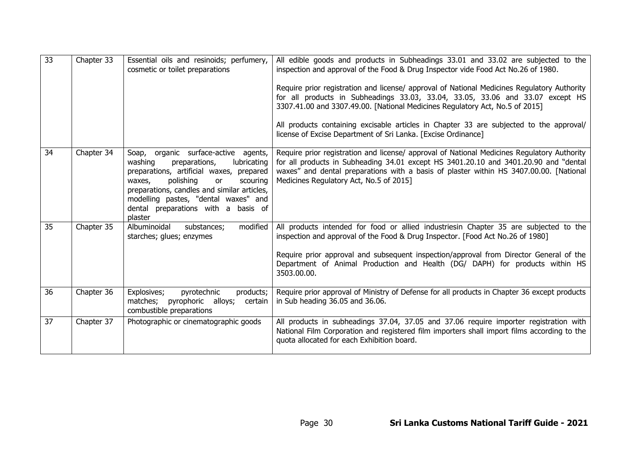| 33 | Chapter 33 | Essential oils and resinoids; perfumery,<br>cosmetic or toilet preparations                                                                                                                                                                                                                                   | All edible goods and products in Subheadings 33.01 and 33.02 are subjected to the<br>inspection and approval of the Food & Drug Inspector vide Food Act No.26 of 1980.<br>Require prior registration and license/ approval of National Medicines Regulatory Authority<br>for all products in Subheadings 33.03, 33.04, 33.05, 33.06 and 33.07 except HS<br>3307.41.00 and 3307.49.00. [National Medicines Regulatory Act, No.5 of 2015]<br>All products containing excisable articles in Chapter 33 are subjected to the approval/<br>license of Excise Department of Sri Lanka. [Excise Ordinance] |
|----|------------|---------------------------------------------------------------------------------------------------------------------------------------------------------------------------------------------------------------------------------------------------------------------------------------------------------------|-----------------------------------------------------------------------------------------------------------------------------------------------------------------------------------------------------------------------------------------------------------------------------------------------------------------------------------------------------------------------------------------------------------------------------------------------------------------------------------------------------------------------------------------------------------------------------------------------------|
| 34 | Chapter 34 | Soap, organic surface-active agents,<br>washing<br>preparations,<br>lubricating<br>preparations, artificial waxes, prepared<br>polishing<br>or<br>scouring<br>waxes,<br>preparations, candles and similar articles,<br>modelling pastes, "dental waxes" and<br>dental preparations with a basis of<br>plaster | Require prior registration and license/ approval of National Medicines Regulatory Authority<br>for all products in Subheading 34.01 except HS 3401.20.10 and 3401.20.90 and "dental<br>waxes" and dental preparations with a basis of plaster within HS 3407.00.00. [National<br>Medicines Regulatory Act, No.5 of 2015]                                                                                                                                                                                                                                                                            |
| 35 | Chapter 35 | Albuminoidal<br>modified<br>substances;<br>starches; glues; enzymes                                                                                                                                                                                                                                           | All products intended for food or allied industriesin Chapter 35 are subjected to the<br>inspection and approval of the Food & Drug Inspector. [Food Act No.26 of 1980]<br>Require prior approval and subsequent inspection/approval from Director General of the<br>Department of Animal Production and Health (DG/ DAPH) for products within HS<br>3503.00.00.                                                                                                                                                                                                                                    |
| 36 | Chapter 36 | Explosives;<br>pyrotechnic<br>products;<br>matches; pyrophoric alloys;<br>certain<br>combustible preparations                                                                                                                                                                                                 | Require prior approval of Ministry of Defense for all products in Chapter 36 except products<br>in Sub heading 36.05 and 36.06.                                                                                                                                                                                                                                                                                                                                                                                                                                                                     |
| 37 | Chapter 37 | Photographic or cinematographic goods                                                                                                                                                                                                                                                                         | All products in subheadings 37.04, 37.05 and 37.06 require importer registration with<br>National Film Corporation and registered film importers shall import films according to the<br>quota allocated for each Exhibition board.                                                                                                                                                                                                                                                                                                                                                                  |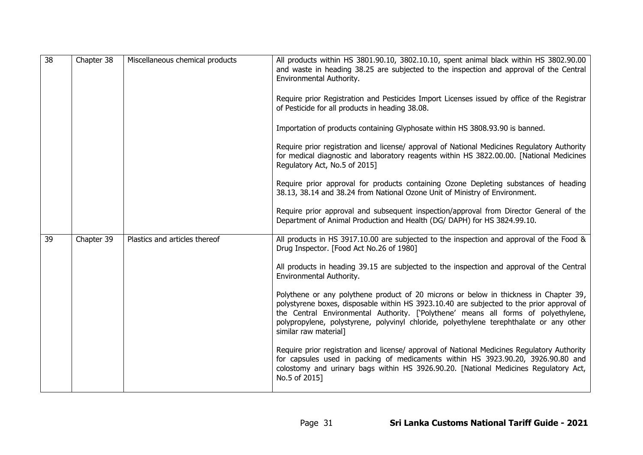| $\overline{38}$ | Chapter 38 | Miscellaneous chemical products | All products within HS 3801.90.10, 3802.10.10, spent animal black within HS 3802.90.00<br>and waste in heading 38.25 are subjected to the inspection and approval of the Central<br>Environmental Authority.<br>Require prior Registration and Pesticides Import Licenses issued by office of the Registrar<br>of Pesticide for all products in heading 38.08.<br>Importation of products containing Glyphosate within HS 3808.93.90 is banned.<br>Require prior registration and license/ approval of National Medicines Regulatory Authority<br>for medical diagnostic and laboratory reagents within HS 3822.00.00. [National Medicines<br>Regulatory Act, No.5 of 2015]<br>Require prior approval for products containing Ozone Depleting substances of heading<br>38.13, 38.14 and 38.24 from National Ozone Unit of Ministry of Environment.<br>Require prior approval and subsequent inspection/approval from Director General of the<br>Department of Animal Production and Health (DG/ DAPH) for HS 3824.99.10. |
|-----------------|------------|---------------------------------|--------------------------------------------------------------------------------------------------------------------------------------------------------------------------------------------------------------------------------------------------------------------------------------------------------------------------------------------------------------------------------------------------------------------------------------------------------------------------------------------------------------------------------------------------------------------------------------------------------------------------------------------------------------------------------------------------------------------------------------------------------------------------------------------------------------------------------------------------------------------------------------------------------------------------------------------------------------------------------------------------------------------------|
| 39              | Chapter 39 | Plastics and articles thereof   | All products in HS 3917.10.00 are subjected to the inspection and approval of the Food &<br>Drug Inspector. [Food Act No.26 of 1980]<br>All products in heading 39.15 are subjected to the inspection and approval of the Central<br>Environmental Authority.<br>Polythene or any polythene product of 20 microns or below in thickness in Chapter 39,<br>polystyrene boxes, disposable within HS 3923.10.40 are subjected to the prior approval of<br>the Central Environmental Authority. ['Polythene' means all forms of polyethylene,<br>polypropylene, polystyrene, polyvinyl chloride, polyethylene terephthalate or any other<br>similar raw material]<br>Require prior registration and license/ approval of National Medicines Regulatory Authority<br>for capsules used in packing of medicaments within HS 3923.90.20, 3926.90.80 and<br>colostomy and urinary bags within HS 3926.90.20. [National Medicines Regulatory Act,<br>No.5 of 2015]                                                                |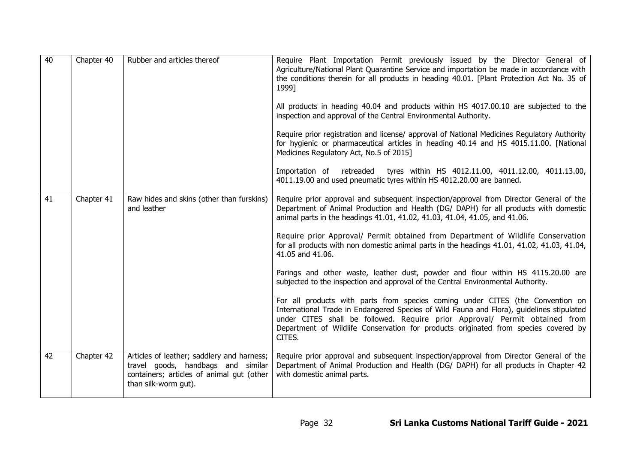| 40 | Chapter 40 | Rubber and articles thereof                                                                                                                           | Require Plant Importation Permit previously issued by the Director General of<br>Agriculture/National Plant Quarantine Service and importation be made in accordance with<br>the conditions therein for all products in heading 40.01. [Plant Protection Act No. 35 of<br>1999]<br>All products in heading 40.04 and products within HS 4017.00.10 are subjected to the<br>inspection and approval of the Central Environmental Authority.<br>Require prior registration and license/ approval of National Medicines Regulatory Authority<br>for hygienic or pharmaceutical articles in heading 40.14 and HS 4015.11.00. [National<br>Medicines Regulatory Act, No.5 of 2015]<br>Importation of retreaded<br>tyres within HS 4012.11.00, 4011.12.00, 4011.13.00,<br>4011.19.00 and used pneumatic tyres within HS 4012.20.00 are banned.                                                                                                                                                                   |
|----|------------|-------------------------------------------------------------------------------------------------------------------------------------------------------|------------------------------------------------------------------------------------------------------------------------------------------------------------------------------------------------------------------------------------------------------------------------------------------------------------------------------------------------------------------------------------------------------------------------------------------------------------------------------------------------------------------------------------------------------------------------------------------------------------------------------------------------------------------------------------------------------------------------------------------------------------------------------------------------------------------------------------------------------------------------------------------------------------------------------------------------------------------------------------------------------------|
| 41 | Chapter 41 | Raw hides and skins (other than furskins)<br>and leather                                                                                              | Require prior approval and subsequent inspection/approval from Director General of the<br>Department of Animal Production and Health (DG/ DAPH) for all products with domestic<br>animal parts in the headings 41.01, 41.02, 41.03, 41.04, 41.05, and 41.06.<br>Require prior Approval/ Permit obtained from Department of Wildlife Conservation<br>for all products with non domestic animal parts in the headings 41.01, 41.02, 41.03, 41.04,<br>41.05 and 41.06.<br>Parings and other waste, leather dust, powder and flour within HS 4115.20.00 are<br>subjected to the inspection and approval of the Central Environmental Authority.<br>For all products with parts from species coming under CITES (the Convention on<br>International Trade in Endangered Species of Wild Fauna and Flora), guidelines stipulated<br>under CITES shall be followed. Require prior Approval/ Permit obtained from<br>Department of Wildlife Conservation for products originated from species covered by<br>CITES. |
| 42 | Chapter 42 | Articles of leather; saddlery and harness;<br>travel goods, handbags and similar<br>containers; articles of animal gut (other<br>than silk-worm gut). | Require prior approval and subsequent inspection/approval from Director General of the<br>Department of Animal Production and Health (DG/ DAPH) for all products in Chapter 42<br>with domestic animal parts.                                                                                                                                                                                                                                                                                                                                                                                                                                                                                                                                                                                                                                                                                                                                                                                              |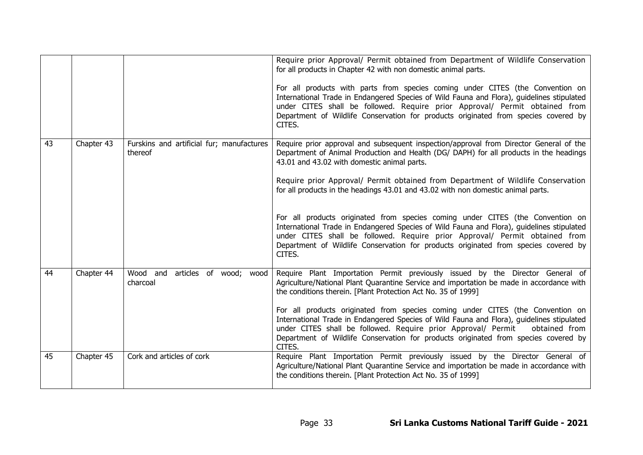|    |            |                                                      | Require prior Approval/ Permit obtained from Department of Wildlife Conservation<br>for all products in Chapter 42 with non domestic animal parts.<br>For all products with parts from species coming under CITES (the Convention on<br>International Trade in Endangered Species of Wild Fauna and Flora), guidelines stipulated<br>under CITES shall be followed. Require prior Approval/ Permit obtained from<br>Department of Wildlife Conservation for products originated from species covered by<br>CITES.                                                                                                                                                                                                                                                      |
|----|------------|------------------------------------------------------|------------------------------------------------------------------------------------------------------------------------------------------------------------------------------------------------------------------------------------------------------------------------------------------------------------------------------------------------------------------------------------------------------------------------------------------------------------------------------------------------------------------------------------------------------------------------------------------------------------------------------------------------------------------------------------------------------------------------------------------------------------------------|
| 43 | Chapter 43 | Furskins and artificial fur; manufactures<br>thereof | Require prior approval and subsequent inspection/approval from Director General of the<br>Department of Animal Production and Health (DG/ DAPH) for all products in the headings<br>43.01 and 43.02 with domestic animal parts.<br>Require prior Approval/ Permit obtained from Department of Wildlife Conservation<br>for all products in the headings 43.01 and 43.02 with non domestic animal parts.<br>For all products originated from species coming under CITES (the Convention on<br>International Trade in Endangered Species of Wild Fauna and Flora), guidelines stipulated<br>under CITES shall be followed. Require prior Approval/ Permit obtained from<br>Department of Wildlife Conservation for products originated from species covered by<br>CITES. |
| 44 | Chapter 44 | Wood and articles of wood; wood<br>charcoal          | Require Plant Importation Permit previously issued by the Director General of<br>Agriculture/National Plant Quarantine Service and importation be made in accordance with<br>the conditions therein. [Plant Protection Act No. 35 of 1999]<br>For all products originated from species coming under CITES (the Convention on<br>International Trade in Endangered Species of Wild Fauna and Flora), guidelines stipulated<br>under CITES shall be followed. Require prior Approval/ Permit<br>obtained from<br>Department of Wildlife Conservation for products originated from species covered by<br>CITES.                                                                                                                                                           |
| 45 | Chapter 45 | Cork and articles of cork                            | Require Plant Importation Permit previously issued by the Director General of<br>Agriculture/National Plant Quarantine Service and importation be made in accordance with<br>the conditions therein. [Plant Protection Act No. 35 of 1999]                                                                                                                                                                                                                                                                                                                                                                                                                                                                                                                             |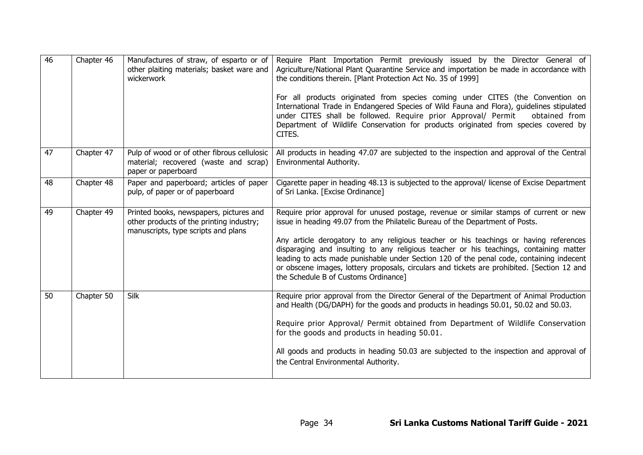| $\overline{46}$ | Chapter 46 | other plaiting materials; basket ware and<br>wickerwork                                                                    | Manufactures of straw, of esparto or of   Require Plant Importation Permit previously issued by the Director General of<br>Agriculture/National Plant Quarantine Service and importation be made in accordance with<br>the conditions therein. [Plant Protection Act No. 35 of 1999]<br>For all products originated from species coming under CITES (the Convention on<br>International Trade in Endangered Species of Wild Fauna and Flora), guidelines stipulated<br>under CITES shall be followed. Require prior Approval/ Permit<br>obtained from<br>Department of Wildlife Conservation for products originated from species covered by<br>CITES. |
|-----------------|------------|----------------------------------------------------------------------------------------------------------------------------|--------------------------------------------------------------------------------------------------------------------------------------------------------------------------------------------------------------------------------------------------------------------------------------------------------------------------------------------------------------------------------------------------------------------------------------------------------------------------------------------------------------------------------------------------------------------------------------------------------------------------------------------------------|
| 47              | Chapter 47 | Pulp of wood or of other fibrous cellulosic<br>material; recovered (waste and scrap)<br>paper or paperboard                | All products in heading 47.07 are subjected to the inspection and approval of the Central<br>Environmental Authority.                                                                                                                                                                                                                                                                                                                                                                                                                                                                                                                                  |
| 48              | Chapter 48 | Paper and paperboard; articles of paper<br>pulp, of paper or of paperboard                                                 | Cigarette paper in heading 48.13 is subjected to the approval/ license of Excise Department<br>of Sri Lanka. [Excise Ordinance]                                                                                                                                                                                                                                                                                                                                                                                                                                                                                                                        |
| 49              | Chapter 49 | Printed books, newspapers, pictures and<br>other products of the printing industry;<br>manuscripts, type scripts and plans | Require prior approval for unused postage, revenue or similar stamps of current or new<br>issue in heading 49.07 from the Philatelic Bureau of the Department of Posts.<br>Any article derogatory to any religious teacher or his teachings or having references<br>disparaging and insulting to any religious teacher or his teachings, containing matter<br>leading to acts made punishable under Section 120 of the penal code, containing indecent<br>or obscene images, lottery proposals, circulars and tickets are prohibited. [Section 12 and<br>the Schedule B of Customs Ordinance]                                                          |
| 50              | Chapter 50 | Silk                                                                                                                       | Require prior approval from the Director General of the Department of Animal Production<br>and Health (DG/DAPH) for the goods and products in headings 50.01, 50.02 and 50.03.<br>Require prior Approval/ Permit obtained from Department of Wildlife Conservation<br>for the goods and products in heading 50.01.<br>All goods and products in heading 50.03 are subjected to the inspection and approval of<br>the Central Environmental Authority.                                                                                                                                                                                                  |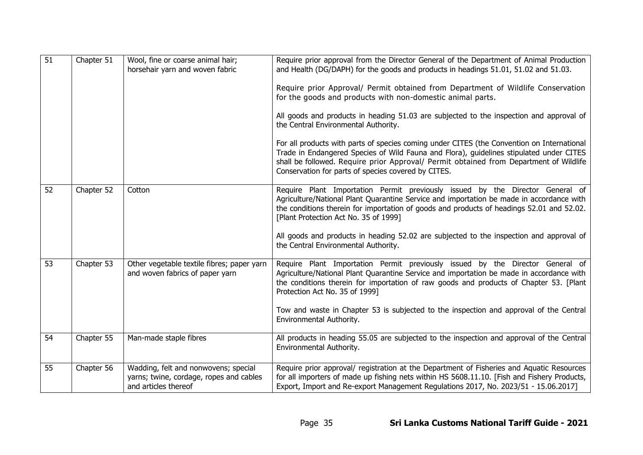| $\overline{51}$ | Chapter 51 | Wool, fine or coarse animal hair;<br>horsehair yarn and woven fabric                                    | Require prior approval from the Director General of the Department of Animal Production<br>and Health (DG/DAPH) for the goods and products in headings 51.01, 51.02 and 51.03.<br>Require prior Approval/ Permit obtained from Department of Wildlife Conservation<br>for the goods and products with non-domestic animal parts.<br>All goods and products in heading 51.03 are subjected to the inspection and approval of<br>the Central Environmental Authority.<br>For all products with parts of species coming under CITES (the Convention on International<br>Trade in Endangered Species of Wild Fauna and Flora), guidelines stipulated under CITES<br>shall be followed. Require prior Approval/ Permit obtained from Department of Wildlife<br>Conservation for parts of species covered by CITES. |
|-----------------|------------|---------------------------------------------------------------------------------------------------------|---------------------------------------------------------------------------------------------------------------------------------------------------------------------------------------------------------------------------------------------------------------------------------------------------------------------------------------------------------------------------------------------------------------------------------------------------------------------------------------------------------------------------------------------------------------------------------------------------------------------------------------------------------------------------------------------------------------------------------------------------------------------------------------------------------------|
| 52              | Chapter 52 | Cotton                                                                                                  | Require Plant Importation Permit previously issued by the Director General of<br>Agriculture/National Plant Quarantine Service and importation be made in accordance with<br>the conditions therein for importation of goods and products of headings 52.01 and 52.02.<br>[Plant Protection Act No. 35 of 1999]<br>All goods and products in heading 52.02 are subjected to the inspection and approval of<br>the Central Environmental Authority.                                                                                                                                                                                                                                                                                                                                                            |
| 53              | Chapter 53 | Other vegetable textile fibres; paper yarn<br>and woven fabrics of paper yarn                           | Require Plant Importation Permit previously issued by the Director General of<br>Agriculture/National Plant Quarantine Service and importation be made in accordance with<br>the conditions therein for importation of raw goods and products of Chapter 53. [Plant<br>Protection Act No. 35 of 1999]<br>Tow and waste in Chapter 53 is subjected to the inspection and approval of the Central<br>Environmental Authority.                                                                                                                                                                                                                                                                                                                                                                                   |
| 54              | Chapter 55 | Man-made staple fibres                                                                                  | All products in heading 55.05 are subjected to the inspection and approval of the Central<br>Environmental Authority.                                                                                                                                                                                                                                                                                                                                                                                                                                                                                                                                                                                                                                                                                         |
| 55              | Chapter 56 | Wadding, felt and nonwovens; special<br>yarns; twine, cordage, ropes and cables<br>and articles thereof | Require prior approval/ registration at the Department of Fisheries and Aquatic Resources<br>for all importers of made up fishing nets within HS 5608.11.10. [Fish and Fishery Products,<br>Export, Import and Re-export Management Regulations 2017, No. 2023/51 - 15.06.2017]                                                                                                                                                                                                                                                                                                                                                                                                                                                                                                                               |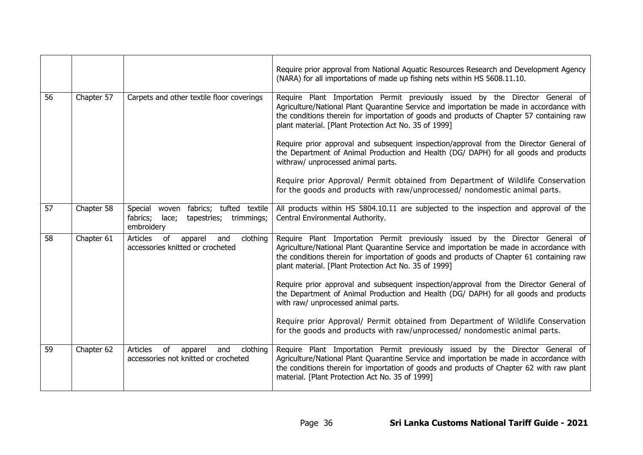|    |            |                                                                                                          | Require prior approval from National Aquatic Resources Research and Development Agency<br>(NARA) for all importations of made up fishing nets within HS 5608.11.10.                                                                                                                                                             |
|----|------------|----------------------------------------------------------------------------------------------------------|---------------------------------------------------------------------------------------------------------------------------------------------------------------------------------------------------------------------------------------------------------------------------------------------------------------------------------|
| 56 | Chapter 57 | Carpets and other textile floor coverings                                                                | Require Plant Importation Permit previously issued by the Director General of<br>Agriculture/National Plant Quarantine Service and importation be made in accordance with<br>the conditions therein for importation of goods and products of Chapter 57 containing raw<br>plant material. [Plant Protection Act No. 35 of 1999] |
|    |            |                                                                                                          | Require prior approval and subsequent inspection/approval from the Director General of<br>the Department of Animal Production and Health (DG/ DAPH) for all goods and products<br>withraw/ unprocessed animal parts.                                                                                                            |
|    |            |                                                                                                          | Require prior Approval/ Permit obtained from Department of Wildlife Conservation<br>for the goods and products with raw/unprocessed/ nondomestic animal parts.                                                                                                                                                                  |
| 57 | Chapter 58 | Special<br>woven fabrics; tufted textile<br>fabrics;<br>tapestries;<br>lace;<br>trimmings;<br>embroidery | All products within HS 5804.10.11 are subjected to the inspection and approval of the<br>Central Environmental Authority.                                                                                                                                                                                                       |
| 58 | Chapter 61 | Articles<br>of<br>clothing<br>apparel<br>and<br>accessories knitted or crocheted                         | Require Plant Importation Permit previously issued by the Director General of<br>Agriculture/National Plant Quarantine Service and importation be made in accordance with<br>the conditions therein for importation of goods and products of Chapter 61 containing raw<br>plant material. [Plant Protection Act No. 35 of 1999] |
|    |            |                                                                                                          | Require prior approval and subsequent inspection/approval from the Director General of<br>the Department of Animal Production and Health (DG/ DAPH) for all goods and products<br>with raw/ unprocessed animal parts.                                                                                                           |
|    |            |                                                                                                          | Require prior Approval/ Permit obtained from Department of Wildlife Conservation<br>for the goods and products with raw/unprocessed/ nondomestic animal parts.                                                                                                                                                                  |
| 59 | Chapter 62 | clothing<br>Articles<br>of<br>apparel<br>and<br>accessories not knitted or crocheted                     | Require Plant Importation Permit previously issued by the Director General of<br>Agriculture/National Plant Quarantine Service and importation be made in accordance with<br>the conditions therein for importation of goods and products of Chapter 62 with raw plant<br>material. [Plant Protection Act No. 35 of 1999]       |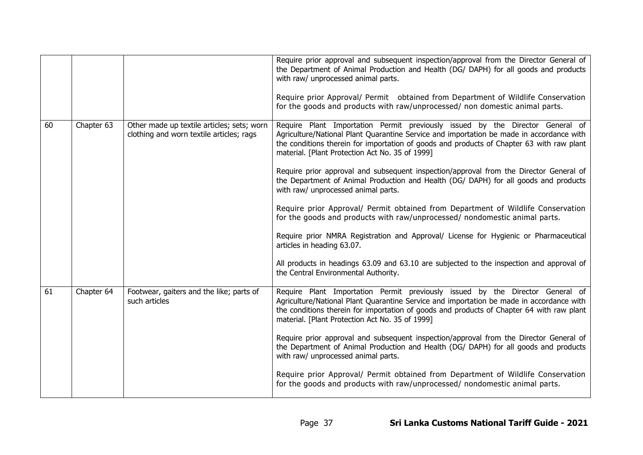|    |            |                                                                                        | Require prior approval and subsequent inspection/approval from the Director General of<br>the Department of Animal Production and Health (DG/ DAPH) for all goods and products<br>with raw/ unprocessed animal parts.<br>Require prior Approval/ Permit obtained from Department of Wildlife Conservation<br>for the goods and products with raw/unprocessed/ non domestic animal parts. |
|----|------------|----------------------------------------------------------------------------------------|------------------------------------------------------------------------------------------------------------------------------------------------------------------------------------------------------------------------------------------------------------------------------------------------------------------------------------------------------------------------------------------|
|    |            |                                                                                        |                                                                                                                                                                                                                                                                                                                                                                                          |
| 60 | Chapter 63 | Other made up textile articles; sets; worn<br>clothing and worn textile articles; rags | Require Plant Importation Permit previously issued by the Director General of<br>Agriculture/National Plant Quarantine Service and importation be made in accordance with<br>the conditions therein for importation of goods and products of Chapter 63 with raw plant<br>material. [Plant Protection Act No. 35 of 1999]                                                                |
|    |            |                                                                                        | Require prior approval and subsequent inspection/approval from the Director General of<br>the Department of Animal Production and Health (DG/ DAPH) for all goods and products<br>with raw/ unprocessed animal parts.                                                                                                                                                                    |
|    |            |                                                                                        | Require prior Approval/ Permit obtained from Department of Wildlife Conservation<br>for the goods and products with raw/unprocessed/ nondomestic animal parts.                                                                                                                                                                                                                           |
|    |            |                                                                                        | Require prior NMRA Registration and Approval/ License for Hygienic or Pharmaceutical<br>articles in heading 63.07.                                                                                                                                                                                                                                                                       |
|    |            |                                                                                        | All products in headings 63.09 and 63.10 are subjected to the inspection and approval of<br>the Central Environmental Authority.                                                                                                                                                                                                                                                         |
| 61 | Chapter 64 | Footwear, gaiters and the like; parts of<br>such articles                              | Require Plant Importation Permit previously issued by the Director General of<br>Agriculture/National Plant Quarantine Service and importation be made in accordance with<br>the conditions therein for importation of goods and products of Chapter 64 with raw plant<br>material. [Plant Protection Act No. 35 of 1999]                                                                |
|    |            |                                                                                        | Require prior approval and subsequent inspection/approval from the Director General of<br>the Department of Animal Production and Health (DG/ DAPH) for all goods and products<br>with raw/ unprocessed animal parts.                                                                                                                                                                    |
|    |            |                                                                                        | Require prior Approval/ Permit obtained from Department of Wildlife Conservation<br>for the goods and products with raw/unprocessed/ nondomestic animal parts.                                                                                                                                                                                                                           |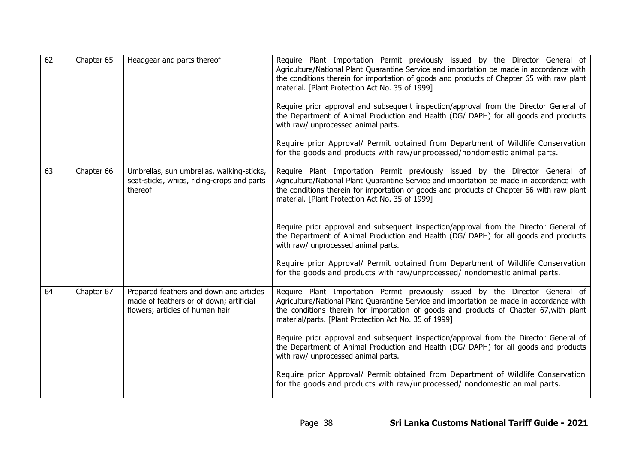| 62 | Chapter 65 | Headgear and parts thereof                                                                                            | Require Plant Importation Permit previously issued by the Director General of<br>Agriculture/National Plant Quarantine Service and importation be made in accordance with<br>the conditions therein for importation of goods and products of Chapter 65 with raw plant<br>material. [Plant Protection Act No. 35 of 1999]<br>Require prior approval and subsequent inspection/approval from the Director General of<br>the Department of Animal Production and Health (DG/ DAPH) for all goods and products<br>with raw/ unprocessed animal parts.<br>Require prior Approval/ Permit obtained from Department of Wildlife Conservation<br>for the goods and products with raw/unprocessed/nondomestic animal parts.     |
|----|------------|-----------------------------------------------------------------------------------------------------------------------|-------------------------------------------------------------------------------------------------------------------------------------------------------------------------------------------------------------------------------------------------------------------------------------------------------------------------------------------------------------------------------------------------------------------------------------------------------------------------------------------------------------------------------------------------------------------------------------------------------------------------------------------------------------------------------------------------------------------------|
| 63 | Chapter 66 | Umbrellas, sun umbrellas, walking-sticks,<br>seat-sticks, whips, riding-crops and parts<br>thereof                    | Require Plant Importation Permit previously issued by the Director General of<br>Agriculture/National Plant Quarantine Service and importation be made in accordance with<br>the conditions therein for importation of goods and products of Chapter 66 with raw plant<br>material. [Plant Protection Act No. 35 of 1999]<br>Require prior approval and subsequent inspection/approval from the Director General of<br>the Department of Animal Production and Health (DG/ DAPH) for all goods and products<br>with raw/ unprocessed animal parts.<br>Require prior Approval/ Permit obtained from Department of Wildlife Conservation<br>for the goods and products with raw/unprocessed/ nondomestic animal parts.    |
| 64 | Chapter 67 | Prepared feathers and down and articles<br>made of feathers or of down; artificial<br>flowers; articles of human hair | Require Plant Importation Permit previously issued by the Director General of<br>Agriculture/National Plant Quarantine Service and importation be made in accordance with<br>the conditions therein for importation of goods and products of Chapter 67, with plant<br>material/parts. [Plant Protection Act No. 35 of 1999]<br>Require prior approval and subsequent inspection/approval from the Director General of<br>the Department of Animal Production and Health (DG/ DAPH) for all goods and products<br>with raw/ unprocessed animal parts.<br>Require prior Approval/ Permit obtained from Department of Wildlife Conservation<br>for the goods and products with raw/unprocessed/ nondomestic animal parts. |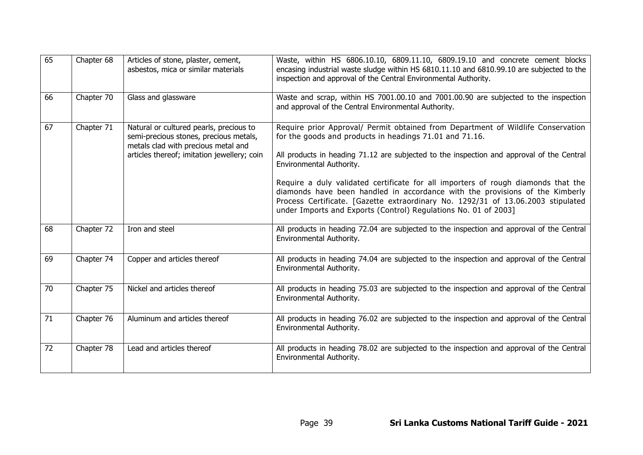| 65 | Chapter 68 | Articles of stone, plaster, cement,<br>asbestos, mica or similar materials                                                                                              | Waste, within HS 6806.10.10, 6809.11.10, 6809.19.10 and concrete cement blocks<br>encasing industrial waste sludge within HS 6810.11.10 and 6810.99.10 are subjected to the<br>inspection and approval of the Central Environmental Authority.                                                                                                                                                                                                                                                                                                                                                   |
|----|------------|-------------------------------------------------------------------------------------------------------------------------------------------------------------------------|--------------------------------------------------------------------------------------------------------------------------------------------------------------------------------------------------------------------------------------------------------------------------------------------------------------------------------------------------------------------------------------------------------------------------------------------------------------------------------------------------------------------------------------------------------------------------------------------------|
| 66 | Chapter 70 | Glass and glassware                                                                                                                                                     | Waste and scrap, within HS 7001.00.10 and 7001.00.90 are subjected to the inspection<br>and approval of the Central Environmental Authority.                                                                                                                                                                                                                                                                                                                                                                                                                                                     |
| 67 | Chapter 71 | Natural or cultured pearls, precious to<br>semi-precious stones, precious metals,<br>metals clad with precious metal and<br>articles thereof; imitation jewellery; coin | Require prior Approval/ Permit obtained from Department of Wildlife Conservation<br>for the goods and products in headings 71.01 and 71.16.<br>All products in heading 71.12 are subjected to the inspection and approval of the Central<br>Environmental Authority.<br>Require a duly validated certificate for all importers of rough diamonds that the<br>diamonds have been handled in accordance with the provisions of the Kimberly<br>Process Certificate. [Gazette extraordinary No. 1292/31 of 13.06.2003 stipulated<br>under Imports and Exports (Control) Regulations No. 01 of 2003] |
| 68 | Chapter 72 | Iron and steel                                                                                                                                                          | All products in heading 72.04 are subjected to the inspection and approval of the Central<br>Environmental Authority.                                                                                                                                                                                                                                                                                                                                                                                                                                                                            |
| 69 | Chapter 74 | Copper and articles thereof                                                                                                                                             | All products in heading 74.04 are subjected to the inspection and approval of the Central<br>Environmental Authority.                                                                                                                                                                                                                                                                                                                                                                                                                                                                            |
| 70 | Chapter 75 | Nickel and articles thereof                                                                                                                                             | All products in heading 75.03 are subjected to the inspection and approval of the Central<br>Environmental Authority.                                                                                                                                                                                                                                                                                                                                                                                                                                                                            |
| 71 | Chapter 76 | Aluminum and articles thereof                                                                                                                                           | All products in heading 76.02 are subjected to the inspection and approval of the Central<br>Environmental Authority.                                                                                                                                                                                                                                                                                                                                                                                                                                                                            |
| 72 | Chapter 78 | Lead and articles thereof                                                                                                                                               | All products in heading 78.02 are subjected to the inspection and approval of the Central<br>Environmental Authority.                                                                                                                                                                                                                                                                                                                                                                                                                                                                            |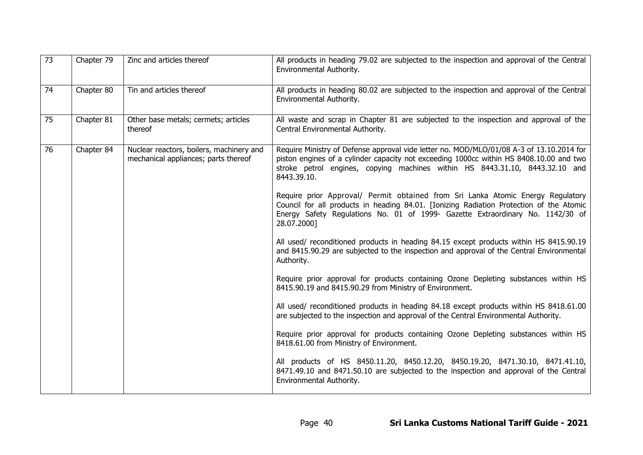| 73 | Chapter 79 | Zinc and articles thereof                                                        | All products in heading 79.02 are subjected to the inspection and approval of the Central<br>Environmental Authority.                                                                                                                                                              |
|----|------------|----------------------------------------------------------------------------------|------------------------------------------------------------------------------------------------------------------------------------------------------------------------------------------------------------------------------------------------------------------------------------|
| 74 | Chapter 80 | Tin and articles thereof                                                         | All products in heading 80.02 are subjected to the inspection and approval of the Central<br>Environmental Authority.                                                                                                                                                              |
| 75 | Chapter 81 | Other base metals; cermets; articles<br>thereof                                  | All waste and scrap in Chapter 81 are subjected to the inspection and approval of the<br>Central Environmental Authority.                                                                                                                                                          |
| 76 | Chapter 84 | Nuclear reactors, boilers, machinery and<br>mechanical appliances; parts thereof | Require Ministry of Defense approval vide letter no. MOD/MLO/01/08 A-3 of 13.10.2014 for<br>piston engines of a cylinder capacity not exceeding 1000cc within HS 8408.10.00 and two<br>stroke petrol engines, copying machines within HS 8443.31.10, 8443.32.10 and<br>8443.39.10. |
|    |            |                                                                                  | Require prior Approval/ Permit obtained from Sri Lanka Atomic Energy Regulatory<br>Council for all products in heading 84.01. [Ionizing Radiation Protection of the Atomic<br>Energy Safety Regulations No. 01 of 1999- Gazette Extraordinary No. 1142/30 of<br>28.07.2000]        |
|    |            |                                                                                  | All used/ reconditioned products in heading 84.15 except products within HS 8415.90.19<br>and 8415.90.29 are subjected to the inspection and approval of the Central Environmental<br>Authority.                                                                                   |
|    |            |                                                                                  | Require prior approval for products containing Ozone Depleting substances within HS<br>8415.90.19 and 8415.90.29 from Ministry of Environment.                                                                                                                                     |
|    |            |                                                                                  | All used/ reconditioned products in heading 84.18 except products within HS 8418.61.00<br>are subjected to the inspection and approval of the Central Environmental Authority.                                                                                                     |
|    |            |                                                                                  | Require prior approval for products containing Ozone Depleting substances within HS<br>8418.61.00 from Ministry of Environment.                                                                                                                                                    |
|    |            |                                                                                  | All products of HS 8450.11.20, 8450.12.20, 8450.19.20, 8471.30.10, 8471.41.10,<br>8471.49.10 and 8471.50.10 are subjected to the inspection and approval of the Central<br>Environmental Authority.                                                                                |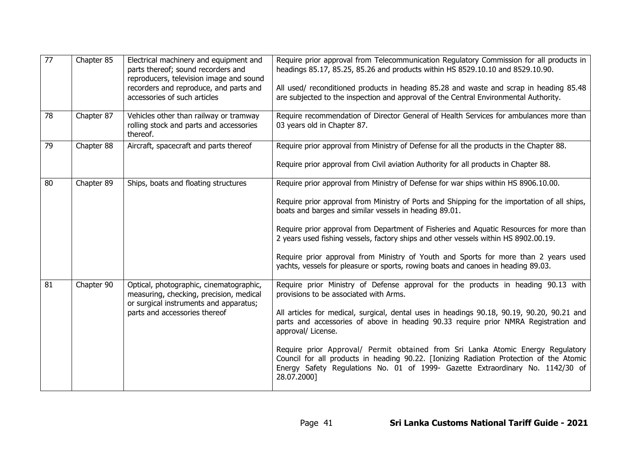| $\overline{77}$ | Chapter 85 | Electrical machinery and equipment and<br>parts thereof; sound recorders and<br>reproducers, television image and sound<br>recorders and reproduce, and parts and<br>accessories of such articles | Require prior approval from Telecommunication Regulatory Commission for all products in<br>headings 85.17, 85.25, 85.26 and products within HS 8529.10.10 and 8529.10.90.<br>All used/ reconditioned products in heading 85.28 and waste and scrap in heading 85.48<br>are subjected to the inspection and approval of the Central Environmental Authority. |
|-----------------|------------|---------------------------------------------------------------------------------------------------------------------------------------------------------------------------------------------------|-------------------------------------------------------------------------------------------------------------------------------------------------------------------------------------------------------------------------------------------------------------------------------------------------------------------------------------------------------------|
| 78              | Chapter 87 | Vehicles other than railway or tramway<br>rolling stock and parts and accessories<br>thereof.                                                                                                     | Require recommendation of Director General of Health Services for ambulances more than<br>03 years old in Chapter 87.                                                                                                                                                                                                                                       |
| 79              | Chapter 88 | Aircraft, spacecraft and parts thereof                                                                                                                                                            | Require prior approval from Ministry of Defense for all the products in the Chapter 88.                                                                                                                                                                                                                                                                     |
|                 |            |                                                                                                                                                                                                   | Require prior approval from Civil aviation Authority for all products in Chapter 88.                                                                                                                                                                                                                                                                        |
| 80              | Chapter 89 | Ships, boats and floating structures                                                                                                                                                              | Require prior approval from Ministry of Defense for war ships within HS 8906.10.00.                                                                                                                                                                                                                                                                         |
|                 |            |                                                                                                                                                                                                   | Require prior approval from Ministry of Ports and Shipping for the importation of all ships,<br>boats and barges and similar vessels in heading 89.01.                                                                                                                                                                                                      |
|                 |            |                                                                                                                                                                                                   | Require prior approval from Department of Fisheries and Aquatic Resources for more than<br>2 years used fishing vessels, factory ships and other vessels within HS 8902.00.19.                                                                                                                                                                              |
|                 |            |                                                                                                                                                                                                   | Require prior approval from Ministry of Youth and Sports for more than 2 years used<br>yachts, vessels for pleasure or sports, rowing boats and canoes in heading 89.03.                                                                                                                                                                                    |
| 81              | Chapter 90 | Optical, photographic, cinematographic,<br>measuring, checking, precision, medical<br>or surgical instruments and apparatus;                                                                      | Require prior Ministry of Defense approval for the products in heading 90.13 with<br>provisions to be associated with Arms.                                                                                                                                                                                                                                 |
|                 |            | parts and accessories thereof                                                                                                                                                                     | All articles for medical, surgical, dental uses in headings 90.18, 90.19, 90.20, 90.21 and<br>parts and accessories of above in heading 90.33 require prior NMRA Registration and<br>approval/ License.                                                                                                                                                     |
|                 |            |                                                                                                                                                                                                   | Require prior Approval/ Permit obtained from Sri Lanka Atomic Energy Regulatory<br>Council for all products in heading 90.22. [Ionizing Radiation Protection of the Atomic<br>Energy Safety Regulations No. 01 of 1999- Gazette Extraordinary No. 1142/30 of<br>28.07.2000]                                                                                 |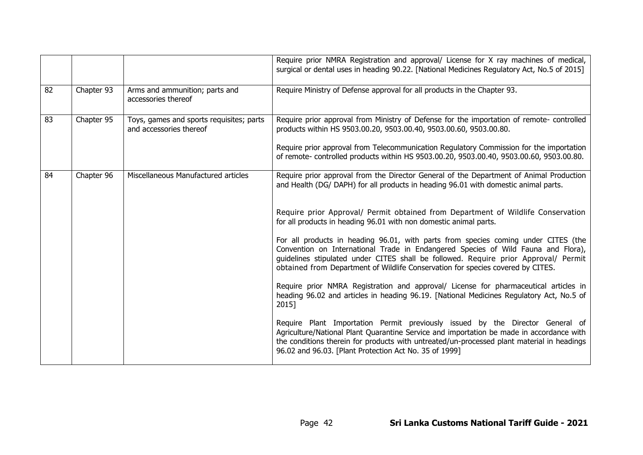|    |            |                                                                     | Require prior NMRA Registration and approval/ License for X ray machines of medical,<br>surgical or dental uses in heading 90.22. [National Medicines Regulatory Act, No.5 of 2015]                                                                                                                                                               |
|----|------------|---------------------------------------------------------------------|---------------------------------------------------------------------------------------------------------------------------------------------------------------------------------------------------------------------------------------------------------------------------------------------------------------------------------------------------|
| 82 | Chapter 93 | Arms and ammunition; parts and<br>accessories thereof               | Require Ministry of Defense approval for all products in the Chapter 93.                                                                                                                                                                                                                                                                          |
| 83 | Chapter 95 | Toys, games and sports requisites; parts<br>and accessories thereof | Require prior approval from Ministry of Defense for the importation of remote- controlled<br>products within HS 9503.00.20, 9503.00.40, 9503.00.60, 9503.00.80.                                                                                                                                                                                   |
|    |            |                                                                     | Require prior approval from Telecommunication Regulatory Commission for the importation<br>of remote- controlled products within HS 9503.00.20, 9503.00.40, 9503.00.60, 9503.00.80.                                                                                                                                                               |
| 84 | Chapter 96 | Miscellaneous Manufactured articles                                 | Require prior approval from the Director General of the Department of Animal Production<br>and Health (DG/ DAPH) for all products in heading 96.01 with domestic animal parts.                                                                                                                                                                    |
|    |            |                                                                     | Require prior Approval/ Permit obtained from Department of Wildlife Conservation<br>for all products in heading 96.01 with non domestic animal parts.                                                                                                                                                                                             |
|    |            |                                                                     | For all products in heading 96.01, with parts from species coming under CITES (the<br>Convention on International Trade in Endangered Species of Wild Fauna and Flora),<br>guidelines stipulated under CITES shall be followed. Require prior Approval/ Permit<br>obtained from Department of Wildlife Conservation for species covered by CITES. |
|    |            |                                                                     | Require prior NMRA Registration and approval/ License for pharmaceutical articles in<br>heading 96.02 and articles in heading 96.19. [National Medicines Regulatory Act, No.5 of<br>2015]                                                                                                                                                         |
|    |            |                                                                     | Require Plant Importation Permit previously issued by the Director General of<br>Agriculture/National Plant Quarantine Service and importation be made in accordance with<br>the conditions therein for products with untreated/un-processed plant material in headings<br>96.02 and 96.03. [Plant Protection Act No. 35 of 1999]                 |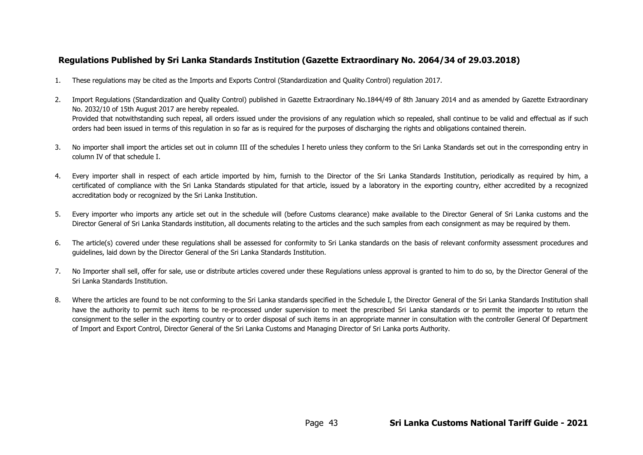# **Regulations Published by Sri Lanka Standards Institution (Gazette Extraordinary No. 2064/34 of 29.03.2018)**

- 1. These regulations may be cited as the Imports and Exports Control (Standardization and Quality Control) regulation 2017.
- 2. Import Regulations (Standardization and Quality Control) published in Gazette Extraordinary No.1844/49 of 8th January 2014 and as amended by Gazette Extraordinary No. 2032/10 of 15th August 2017 are hereby repealed. Provided that notwithstanding such repeal, all orders issued under the provisions of any regulation which so repealed, shall continue to be valid and effectual as if such orders had been issued in terms of this regulation in so far as is required for the purposes of discharging the rights and obligations contained therein.
- 3. No importer shall import the articles set out in column III of the schedules I hereto unless they conform to the Sri Lanka Standards set out in the corresponding entry in column IV of that schedule I.
- 4. Every importer shall in respect of each article imported by him, furnish to the Director of the Sri Lanka Standards Institution, periodically as required by him, a certificated of compliance with the Sri Lanka Standards stipulated for that article, issued by a laboratory in the exporting country, either accredited by a recognized accreditation body or recognized by the Sri Lanka Institution.
- 5. Every importer who imports any article set out in the schedule will (before Customs clearance) make available to the Director General of Sri Lanka customs and the Director General of Sri Lanka Standards institution, all documents relating to the articles and the such samples from each consignment as may be required by them.
- 6. The article(s) covered under these regulations shall be assessed for conformity to Sri Lanka standards on the basis of relevant conformity assessment procedures and guidelines, laid down by the Director General of the Sri Lanka Standards Institution.
- 7. No Importer shall sell, offer for sale, use or distribute articles covered under these Regulations unless approval is granted to him to do so, by the Director General of the Sri Lanka Standards Institution.
- 8. Where the articles are found to be not conforming to the Sri Lanka standards specified in the Schedule I, the Director General of the Sri Lanka Standards Institution shall have the authority to permit such items to be re-processed under supervision to meet the prescribed Sri Lanka standards or to permit the importer to return the consignment to the seller in the exporting country or to order disposal of such items in an appropriate manner in consultation with the controller General Of Department of Import and Export Control, Director General of the Sri Lanka Customs and Managing Director of Sri Lanka ports Authority.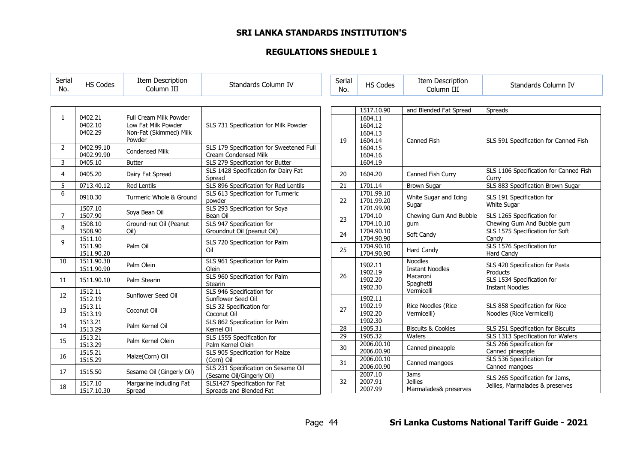# **SRI LANKA STANDARDS INSTITUTION'S**

# **REGULATIONS SHEDULE 1**

| Serial<br>No.  | <b>HS Codes</b>                  | Item Description<br>Column III                                                    | Standards Column IV                                              | Serial<br>No.   | <b>HS Codes</b>                          | Item Description<br>Column III           | Standards Column IV                                                |
|----------------|----------------------------------|-----------------------------------------------------------------------------------|------------------------------------------------------------------|-----------------|------------------------------------------|------------------------------------------|--------------------------------------------------------------------|
|                |                                  |                                                                                   |                                                                  |                 | 1517.10.90                               | and Blended Fat Spread                   | Spreads                                                            |
| $\mathbf{1}$   | 0402.21<br>0402.10<br>0402.29    | Full Cream Milk Powder<br>Low Fat Milk Powder<br>Non-Fat (Skimmed) Milk<br>Powder | SLS 731 Specification for Milk Powder                            | 19              | 1604.11<br>1604.12<br>1604.13<br>1604.14 | Canned Fish                              | SLS 591 Specification for Canned Fish                              |
| $\overline{2}$ | 0402.99.10<br>0402.99.90         | <b>Condensed Milk</b>                                                             | SLS 179 Specification for Sweetened Full<br>Cream Condensed Milk |                 | 1604.15<br>1604.16                       |                                          |                                                                    |
| 3              | 0405.10                          | <b>Butter</b>                                                                     | SLS 279 Specification for Butter                                 |                 | 1604.19                                  |                                          |                                                                    |
| 4              | 0405.20                          | Dairy Fat Spread                                                                  | SLS 1428 Specification for Dairy Fat<br>Spread                   | 20              | 1604.20                                  | Canned Fish Curry                        | SLS 1106 Specification for Canned Fish<br>Curry                    |
| 5              | 0713.40.12                       | <b>Red Lentils</b>                                                                | SLS 896 Specification for Red Lentils                            | 21              | 1701.14                                  | <b>Brown Sugar</b>                       | SLS 883 Specification Brown Sugar                                  |
| 6              | 0910.30                          | Turmeric Whole & Ground                                                           | SLS 613 Specification for Turmeric<br>powder                     | 22              | 1701.99.10<br>1701.99.20                 | White Sugar and Icing<br>Sugar           | SLS 191 Specification for<br><b>White Sugar</b>                    |
| $\overline{7}$ | 1507.10<br>1507.90               | Soya Bean Oil                                                                     | SLS 293 Specification for Soya<br>Bean Oil                       |                 | 1701.99.90<br>1704.10                    | Chewing Gum And Bubble                   | SLS 1265 Specification for                                         |
| 8              | 1508.10<br>1508.90               | Ground-nut Oil (Peanut<br>Oil)                                                    | SLS 947 Specification for<br>Groundnut Oil (peanut Oil)          | 23              | 1704.10.10<br>1704.90.10                 | qum                                      | Chewing Gum And Bubble gum<br>SLS 1575 Specification for Soft      |
| 9              | 1511.10<br>1511.90<br>1511.90.20 | Palm Oil                                                                          | SLS 720 Specification for Palm<br>Oil                            | 24<br>25        | 1704.90.90<br>1704.90.10<br>1704.90.90   | Soft Candy<br>Hard Candy                 | Candv<br>SLS 1576 Specification for<br>Hard Candy                  |
| 10             | 1511.90.30<br>1511.90.90         | Palm Olein                                                                        | SLS 961 Specification for Palm<br>Olein                          |                 | 1902.11                                  | <b>Noodles</b><br><b>Instant Noodles</b> | SLS 420 Specification for Pasta                                    |
| 11             | 1511.90.10                       | Palm Stearin                                                                      | SLS 960 Specification for Palm<br><b>Stearin</b>                 | 26              | 1902.19<br>1902.20<br>1902.30            | Macaroni<br>Spaghetti                    | Products<br>SLS 1534 Specification for<br><b>Instant Noodles</b>   |
| 12             | 1512.11<br>1512.19               | Sunflower Seed Oil                                                                | SLS 946 Specification for<br>Sunflower Seed Oil                  |                 | 1902.11                                  | Vermicelli                               |                                                                    |
| 13             | 1513.11<br>1513.19               | Coconut Oil                                                                       | SLS 32 Specification for<br>Coconut Oil                          | 27              | 1902.19<br>1902.20                       | <b>Rice Noodles (Rice</b><br>Vermicelli) | SLS 858 Specification for Rice<br>Noodles (Rice Vermicelli)        |
| 14             | 1513.21<br>1513.29               | Palm Kernel Oil                                                                   | SLS 862 Specification for Palm<br>Kernel Oil                     | $\overline{28}$ | 1902.30<br>1905.31                       | <b>Biscuits &amp; Cookies</b>            | SLS 251 Specification for Biscuits                                 |
|                | 1513.21                          |                                                                                   | SLS 1555 Specification for                                       | 29              | 1905.32                                  | Wafers                                   | SLS 1313 Specification for Wafers                                  |
| 15             | 1513.29<br>1515.21               | Palm Kernel Olein                                                                 | Palm Kernel Olein<br>SLS 905 Specification for Maize             | 30              | 2006.00.10<br>2006.00.90                 | Canned pineapple                         | SLS 266 Specification for<br>Canned pineapple                      |
| 16             | 1515.29                          | Maize(Corn) Oil                                                                   | (Corn) Oil                                                       | 31              | 2006.00.10                               | Canned mangoes                           | SLS 536 Specification for                                          |
| 17             | 1515.50                          | Sesame Oil (Gingerly Oil)                                                         | SLS 231 Specification on Sesame Oil<br>(Sesame Oil/Gingerly Oil) |                 | 2006.00.90<br>2007.10                    | Jams                                     | Canned mangoes                                                     |
| 18             | 1517.10<br>1517.10.30            | Margarine including Fat<br>Spread                                                 | SLS1427 Specification for Fat<br>Spreads and Blended Fat         | 32              | 2007.91<br>2007.99                       | <b>Jellies</b><br>Marmalades& preserves  | SLS 265 Specification for Jams,<br>Jellies, Marmalades & preserves |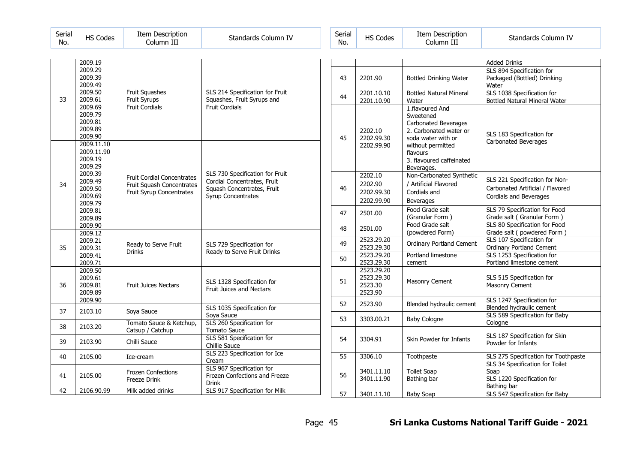| Serial | Codes | <b>Item Description</b> | Standards Column IV | erial۔ |
|--------|-------|-------------------------|---------------------|--------|
| No.    | IJ    | Column III              |                     | No.    |

| Item Description<br><b>HS Codes</b><br>Standards Column IV<br>No.<br>Column III | Serial |
|---------------------------------------------------------------------------------|--------|
|---------------------------------------------------------------------------------|--------|

| 33 | 2009.19<br>2009.29<br>2009.39<br>2009.49<br>2009.50<br>2009.61<br>2009.69<br>2009.79<br>2009.81<br>2009.89<br>2009.90                  | Fruit Squashes<br>Fruit Syrups<br><b>Fruit Cordials</b>                                    | SLS 214 Specification for Fruit<br>Squashes, Fruit Syrups and<br><b>Fruit Cordials</b>                                    |
|----|----------------------------------------------------------------------------------------------------------------------------------------|--------------------------------------------------------------------------------------------|---------------------------------------------------------------------------------------------------------------------------|
| 34 | 2009.11.10<br>2009.11.90<br>2009.19<br>2009.29<br>2009.39<br>2009.49<br>2009.50<br>2009.69<br>2009.79<br>2009.81<br>2009.89<br>2009.90 | <b>Fruit Cordial Concentrates</b><br>Fruit Squash Concentrates<br>Fruit Syrup Concentrates | SLS 730 Specification for Fruit<br>Cordial Concentrates, Fruit<br>Squash Concentrates, Fruit<br><b>Syrup Concentrates</b> |
| 35 | 2009.12<br>2009.21<br>2009.31<br>2009.41<br>2009.71                                                                                    | Ready to Serve Fruit<br>Drinks                                                             | SLS 729 Specification for<br>Ready to Serve Fruit Drinks                                                                  |
| 36 | 2009.50<br>2009.61<br>2009.81<br>2009.89<br>2009.90                                                                                    | <b>Fruit Juices Nectars</b>                                                                | SLS 1328 Specification for<br><b>Fruit Juices and Nectars</b>                                                             |
| 37 | 2103.10                                                                                                                                | Soya Sauce                                                                                 | SLS 1035 Specification for<br>Soya Sauce                                                                                  |
| 38 | 2103.20                                                                                                                                | Tomato Sauce & Ketchup,<br>Catsup / Catchup                                                | SLS 260 Specification for<br>Tomato Sauce                                                                                 |
| 39 | 2103.90                                                                                                                                | Chilli Sauce                                                                               | SLS 581 Specification for<br><b>Chillie Sauce</b>                                                                         |
| 40 | 2105.00                                                                                                                                | Ice-cream                                                                                  | SLS 223 Specification for Ice<br>Cream                                                                                    |
| 41 | 2105.00                                                                                                                                | <b>Frozen Confections</b><br>Freeze Drink                                                  | SLS 967 Specification for<br>Frozen Confections and Freeze<br><b>Drink</b>                                                |
| 42 | 2106.90.99                                                                                                                             | Milk added drinks                                                                          | SLS 917 Specification for Milk                                                                                            |

|                 |            |                                | <b>Added Drinks</b>                                                     |
|-----------------|------------|--------------------------------|-------------------------------------------------------------------------|
|                 |            |                                | SLS 894 Specification for                                               |
| 43              | 2201.90    | <b>Bottled Drinking Water</b>  | Packaged (Bottled) Drinking                                             |
|                 |            |                                | Water                                                                   |
|                 | 2201.10.10 | <b>Bottled Natural Mineral</b> | SLS 1038 Specification for                                              |
| 44              | 2201.10.90 | Water                          | <b>Bottled Natural Mineral Water</b>                                    |
|                 |            | 1.flavoured And                |                                                                         |
|                 |            | Sweetened                      |                                                                         |
|                 |            | Carbonated Beverages           |                                                                         |
|                 | 2202.10    | 2. Carbonated water or         |                                                                         |
| 45              | 2202.99.30 | soda water with or             | SLS 183 Specification for                                               |
|                 | 2202.99.90 | without permitted              | <b>Carbonated Beverages</b>                                             |
|                 |            | flavours                       |                                                                         |
|                 |            | 3. flavoured caffeinated       |                                                                         |
|                 |            | Beverages.                     |                                                                         |
|                 | 2202.10    | Non-Carbonated Synthetic       | SLS 221 Specification for Non-                                          |
| 46              | 2202.90    | / Artificial Flavored          | Carbonated Artificial / Flavored                                        |
|                 | 2202.99.30 | Cordials and                   |                                                                         |
|                 | 2202.99.90 | <b>Beverages</b>               | Cordials and Beverages                                                  |
|                 |            | Food Grade salt                | SLS 79 Specification for Food                                           |
| 47              | 2501.00    | (Granular Form)                | Grade salt (Granular Form)                                              |
| 48              | 2501.00    | Food Grade salt                | SLS 80 Specification for Food                                           |
|                 |            | (powdered Form)                | Grade salt (powdered Form)                                              |
| 49              | 2523.29.20 | Ordinary Portland Cement       | SLS 107 Specification for                                               |
|                 | 2523.29.30 |                                | <b>Ordinary Portland Cement</b>                                         |
| 50              | 2523.29.20 | Portland limestone             | SLS 1253 Specification for                                              |
|                 | 2523.29.30 | cement                         | Portland limestone cement                                               |
|                 | 2523.29.20 |                                |                                                                         |
| 51              | 2523.29.30 | Masonry Cement                 | SLS 515 Specification for                                               |
|                 | 2523.30    |                                | Masonry Cement                                                          |
|                 | 2523.90    |                                | SLS 1247 Specification for                                              |
| 52              | 2523.90    | Blended hydraulic cement       | Blended hydraulic cement                                                |
|                 |            |                                | SLS 589 Specification for Baby                                          |
| 53              | 3303.00.21 | <b>Baby Cologne</b>            | Cologne                                                                 |
|                 |            |                                |                                                                         |
| 54              | 3304.91    | Skin Powder for Infants        | SLS 187 Specification for Skin                                          |
|                 |            |                                | Powder for Infants                                                      |
|                 |            |                                |                                                                         |
| 55              | 3306.10    | Toothpaste                     | SLS 275 Specification for Toothpaste<br>SLS 34 Specification for Toilet |
|                 | 3401.11.10 | <b>Toilet Soap</b>             | Soap                                                                    |
| 56              | 3401.11.90 | Bathing bar                    | SLS 1220 Specification for                                              |
|                 |            |                                | Bathing bar                                                             |
| $\overline{57}$ | 3401.11.10 | <b>Baby Soap</b>               | SLS 547 Specification for Baby                                          |
|                 |            |                                |                                                                         |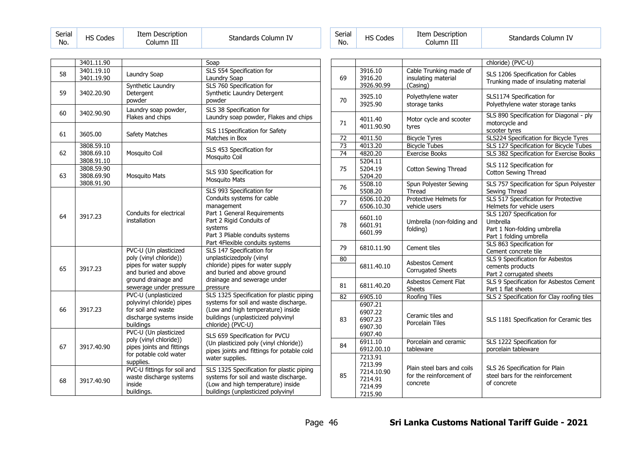| Serial<br>No. | <b>HS Codes</b> | <b>Item Description</b><br>Column III | Standards Column IV | Serial<br>No. |
|---------------|-----------------|---------------------------------------|---------------------|---------------|
|---------------|-----------------|---------------------------------------|---------------------|---------------|

| Serial<br>No. | <b>HS Codes</b> | Item Description<br>Column III | Standards Column IV |
|---------------|-----------------|--------------------------------|---------------------|
|---------------|-----------------|--------------------------------|---------------------|

|    | 3401.11.90 |                                                 | Soap                                                                    |
|----|------------|-------------------------------------------------|-------------------------------------------------------------------------|
| 58 | 3401.19.10 | Laundry Soap                                    | SLS 554 Specification for                                               |
|    | 3401.19.90 |                                                 | Laundry Soap                                                            |
|    |            | Synthetic Laundry                               | SLS 760 Specification for                                               |
| 59 | 3402.20.90 | Detergent                                       | Synthetic Laundry Detergent                                             |
|    |            | powder                                          | powder                                                                  |
| 60 | 3402.90.90 | Laundry soap powder,                            | SLS 38 Specification for                                                |
|    |            | Flakes and chips                                | Laundry soap powder, Flakes and chips                                   |
| 61 | 3605.00    |                                                 | SLS 11Specification for Safety                                          |
|    |            | Safety Matches                                  | Matches in Box                                                          |
|    | 3808.59.10 |                                                 | SLS 453 Specification for                                               |
| 62 | 3808.69.10 | Mosquito Coil                                   | Mosquito Coil                                                           |
|    | 3808.91.10 |                                                 |                                                                         |
|    | 3808.59.90 |                                                 | SLS 930 Specification for                                               |
| 63 | 3808.69.90 | <b>Mosquito Mats</b>                            | <b>Mosquito Mats</b>                                                    |
|    | 3808.91.90 |                                                 |                                                                         |
|    |            |                                                 | SLS 993 Specification for<br>Conduits systems for cable                 |
|    |            |                                                 | management                                                              |
|    |            | Conduits for electrical                         | Part 1 General Requirements                                             |
| 64 | 3917.23    | installation                                    | Part 2 Rigid Conduits of                                                |
|    |            |                                                 | systems                                                                 |
|    |            |                                                 | Part 3 Pliable conduits systems                                         |
|    |            |                                                 | Part 4Flexible conduits systems                                         |
|    |            | PVC-U (Un plasticized                           | SLS 147 Specification for                                               |
|    |            | poly (vinyl chloride))                          | unplasticizedpoly (vinyl                                                |
| 65 | 3917.23    | pipes for water supply                          | chloride) pipes for water supply                                        |
|    |            | and buried and above                            | and buried and above ground                                             |
|    |            | ground drainage and                             | drainage and sewerage under                                             |
|    |            | sewerage under pressure                         | pressure                                                                |
|    |            | PVC-U (unplasticized                            | SLS 1325 Specification for plastic piping                               |
| 66 |            | polyvinyl chloride) pipes<br>for soil and waste | systems for soil and waste discharge.                                   |
|    | 3917.23    |                                                 | (Low and high temperature) inside<br>buildings (unplasticized polyvinyl |
|    |            | discharge systems inside<br>buildings           | chloride) (PVC-U)                                                       |
|    |            | PVC-U (Un plasticized                           |                                                                         |
|    |            | poly (vinyl chloride))                          | SLS 659 Specification for PVCU                                          |
| 67 | 3917.40.90 | pipes joints and fittings                       | (Un plasticized poly (vinyl chloride))                                  |
|    |            | for potable cold water                          | pipes joints and fittings for potable cold                              |
|    |            | supplies.                                       | water supplies.                                                         |
|    |            | PVC-U fittings for soil and                     | SLS 1325 Specification for plastic piping                               |
| 68 | 3917.40.90 | waste discharge systems                         | systems for soil and waste discharge.                                   |
|    |            | inside                                          | (Low and high temperature) inside                                       |
|    |            | buildings.                                      | buildings (unplasticized polyvinyl                                      |

|                 |                                                                   |                                                                    | chloride) (PVC-U)                                                                                |
|-----------------|-------------------------------------------------------------------|--------------------------------------------------------------------|--------------------------------------------------------------------------------------------------|
| 69              | 3916.10<br>3916.20<br>3926.90.99                                  | Cable Trunking made of<br>insulating material<br>(Casing)          | SLS 1206 Specification for Cables<br>Trunking made of insulating material                        |
| 70              | 3925.10<br>3925.90                                                | Polyethylene water<br>storage tanks                                | SLS1174 Specification for<br>Polyethylene water storage tanks                                    |
| 71              | 4011.40<br>4011.90.90                                             | Motor cycle and scooter<br>tyres                                   | SLS 890 Specification for Diagonal - ply<br>motorcycle and<br>scooter tyres                      |
| 72              | 4011.50                                                           | <b>Bicycle Tyres</b>                                               | SLS224 Specification for Bicycle Tyres                                                           |
| $\overline{73}$ | 4013.20                                                           | <b>Bicycle Tubes</b>                                               | SLS 127 Specification for Bicycle Tubes                                                          |
| $\overline{74}$ | 4820.20                                                           | <b>Exercise Books</b>                                              | SLS 382 Specification for Exercise Books                                                         |
| 75              | 5204.11<br>5204.19<br>5204.20                                     | Cotton Sewing Thread                                               | SLS 112 Specification for<br>Cotton Sewing Thread                                                |
| 76              | 5508.10<br>5508.20                                                | Spun Polyester Sewing<br>Thread                                    | SLS 757 Specification for Spun Polyester<br>Sewing Thread                                        |
| 77              | 6506.10.20<br>6506.10.30                                          | Protective Helmets for<br>vehicle users                            | SLS 517 Specification for Protective<br>Helmets for vehicle users                                |
| 78              | 6601.10<br>6601.91<br>6601.99                                     | Umbrella (non-folding and<br>folding)                              | SLS 1207 Specification for<br>Umbrella<br>Part 1 Non-folding umbrella<br>Part 1 folding umbrella |
| 79              | 6810.11.90                                                        | Cement tiles                                                       | SLS 863 Specification for<br>Cement concrete tile                                                |
| 80              | 6811.40.10                                                        | <b>Asbestos Cement</b><br><b>Corrugated Sheets</b>                 | SLS 9 Specification for Asbestos<br>cements products<br>Part 2 corrugated sheets                 |
| 81              | 6811.40.20                                                        | <b>Asbestos Cement Flat</b><br><b>Sheets</b>                       | SLS 9 Specification for Asbestos Cement<br>Part 1 flat sheets                                    |
| 82              | 6905.10                                                           | Roofing Tiles                                                      | SLS 2 Specification for Clay roofing tiles                                                       |
| 83              | 6907.21<br>6907.22<br>6907.23<br>6907.30<br>6907.40               | Ceramic tiles and<br>Porcelain Tiles                               | SLS 1181 Specification for Ceramic tles                                                          |
| 84              | 6911.10<br>6912.00.10                                             | Porcelain and ceramic<br>tableware                                 | SLS 1222 Specification for<br>porcelain tableware                                                |
| 85              | 7213.91<br>7213.99<br>7214.10.90<br>7214.91<br>7214.99<br>7215.90 | Plain steel bars and coils<br>for the reinforcement of<br>concrete | SLS 26 Specification for Plain<br>steel bars for the reinforcement<br>of concrete                |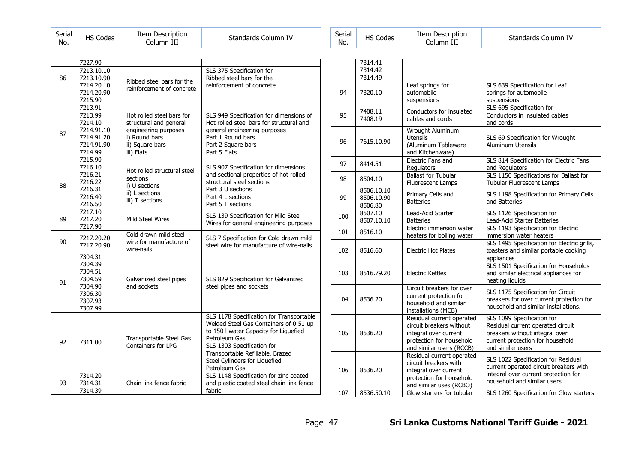| Serial<br>No. | <b>HS Codes</b> | Item Description<br>Column III | Standards Column IV | Serial<br>No. |
|---------------|-----------------|--------------------------------|---------------------|---------------|
|---------------|-----------------|--------------------------------|---------------------|---------------|

| Serial<br>No. | <b>HS Codes</b> | Item Description<br>Column III | Standards Column IV |
|---------------|-----------------|--------------------------------|---------------------|
|---------------|-----------------|--------------------------------|---------------------|

|    | 7227.90                                                                                       |                                                                                                                               |                                                                                                                                                                                                                                                                  |
|----|-----------------------------------------------------------------------------------------------|-------------------------------------------------------------------------------------------------------------------------------|------------------------------------------------------------------------------------------------------------------------------------------------------------------------------------------------------------------------------------------------------------------|
| 86 | 7213.10.10<br>7213.10.90<br>7214.20.10                                                        | Ribbed steel bars for the<br>reinforcement of concrete                                                                        | SLS 375 Specification for<br>Ribbed steel bars for the<br>reinforcement of concrete                                                                                                                                                                              |
|    | 7214.20.90<br>7215.90                                                                         |                                                                                                                               |                                                                                                                                                                                                                                                                  |
| 87 | 7213.91<br>7213.99<br>7214.10<br>7214.91.10<br>7214.91.20<br>7214.91.90<br>7214.99<br>7215.90 | Hot rolled steel bars for<br>structural and general<br>engineering purposes<br>i) Round bars<br>ii) Square bars<br>iii) Flats | SLS 949 Specification for dimensions of<br>Hot rolled steel bars for structural and<br>general engineering purposes<br>Part 1 Round bars<br>Part 2 Square bars<br>Part 5 Flats                                                                                   |
| 88 | 7216.10<br>7216.21<br>7216.22<br>7216.31<br>7216.40<br>7216.50                                | Hot rolled structural steel<br>sections<br>i) U sections<br>ii) L sections<br>iii) T sections                                 | SLS 907 Specification for dimensions<br>and sectional properties of hot rolled<br>structural steel sections<br>Part 3 U sections<br>Part 4 L sections<br>Part 5 T sections                                                                                       |
| 89 | 7217.10<br>7217.20<br>7217.90                                                                 | Mild Steel Wires                                                                                                              | SLS 139 Specification for Mild Steel<br>Wires for general engineering purposes                                                                                                                                                                                   |
| 90 | 7217.20.20<br>7217.20.90                                                                      | Cold drawn mild steel<br>wire for manufacture of<br>wire-nails                                                                | SLS 7 Specification for Cold drawn mild<br>steel wire for manufacture of wire-nails                                                                                                                                                                              |
| 91 | 7304.31<br>7304.39<br>7304.51<br>7304.59<br>7304.90<br>7306.30<br>7307.93<br>7307.99          | Galvanized steel pipes<br>and sockets                                                                                         | SLS 829 Specification for Galvanized<br>steel pipes and sockets                                                                                                                                                                                                  |
| 92 | 7311.00                                                                                       | Transportable Steel Gas<br>Containers for LPG                                                                                 | SLS 1178 Specification for Transportable<br>Welded Steel Gas Containers of 0.51 up<br>to 150 I water Capacity for Liquefied<br>Petroleum Gas<br>SLS 1303 Specification for<br>Transportable Refillable, Brazed<br>Steel Cylinders for Liquefied<br>Petroleum Gas |
| 93 | 7314.20<br>7314.31<br>7314.39                                                                 | Chain link fence fabric                                                                                                       | SLS 1148 Specification for zinc coated<br>and plastic coated steel chain link fence<br>fabric                                                                                                                                                                    |

|     | 7314.41<br>7314.42<br>7314.49       |                                                                                                                                        |                                                                                                                                                            |
|-----|-------------------------------------|----------------------------------------------------------------------------------------------------------------------------------------|------------------------------------------------------------------------------------------------------------------------------------------------------------|
| 94  | 7320.10                             | Leaf springs for<br>automobile<br>suspensions                                                                                          | SLS 639 Specification for Leaf<br>springs for automobile<br>suspensions                                                                                    |
| 95  | 7408.11<br>7408.19                  | Conductors for insulated<br>cables and cords                                                                                           | SLS 695 Specification for<br>Conductors in insulated cables<br>and cords                                                                                   |
| 96  | 7615.10.90                          | Wrought Aluminum<br><b>Utensils</b><br>(Aluminum Tableware<br>and Kitchenware)                                                         | SLS 69 Specification for Wrought<br><b>Aluminum Utensils</b>                                                                                               |
| 97  | 8414.51                             | Electric Fans and<br>Regulators                                                                                                        | SLS 814 Specification for Electric Fans<br>and Regulators                                                                                                  |
| 98  | 8504.10                             | <b>Ballast for Tubular</b><br><b>Fluorescent Lamps</b>                                                                                 | SLS 1150 Specifications for Ballast for<br>Tubular Fluorescent Lamps                                                                                       |
| 99  | 8506.10.10<br>8506.10.90<br>8506.80 | Primary Cells and<br><b>Batteries</b>                                                                                                  | SLS 1198 Specification for Primary Cells<br>and Batteries                                                                                                  |
| 100 | 8507.10<br>8507.10.10               | Lead-Acid Starter<br><b>Batteries</b>                                                                                                  | SLS 1126 Specification for<br>Lead-Acid Starter Batteries                                                                                                  |
| 101 | 8516.10                             | Electric immersion water<br>heaters for boiling water                                                                                  | SLS 1193 Specification for Electric<br>immersion water heaters                                                                                             |
| 102 | 8516.60                             | <b>Electric Hot Plates</b>                                                                                                             | SLS 1495 Specification for Electric grills,<br>toasters and similar portable cooking<br>appliances                                                         |
| 103 | 8516.79.20                          | <b>Electric Kettles</b>                                                                                                                | SLS 1501 Specification for Households<br>and similar electrical appliances for<br>heating liquids                                                          |
| 104 | 8536.20                             | Circuit breakers for over<br>current protection for<br>household and similar<br>installations (MCB)                                    | SLS 1175 Specification for Circuit<br>breakers for over current protection for<br>household and similar installations.                                     |
| 105 | 8536.20                             | Residual current operated<br>circuit breakers without<br>integral over current<br>protection for household<br>and similar users (RCCB) | SLS 1099 Specification for<br>Residual current operated circuit<br>breakers without integral over<br>current protection for household<br>and similar users |
| 106 | 8536.20                             | Residual current operated<br>circuit breakers with<br>integral over current<br>protection for household<br>and similar uses (RCBO)     | SLS 1022 Specification for Residual<br>current operated circuit breakers with<br>integral over current protection for<br>household and similar users       |
| 107 | 8536.50.10                          | Glow starters for tubular                                                                                                              | SLS 1260 Specification for Glow starters                                                                                                                   |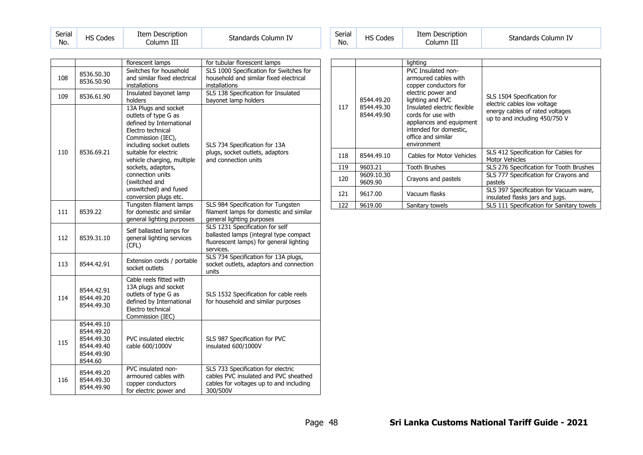| Serial<br>No. | <b>HS Codes</b> | Item Description<br>Column III | Standards Column IV | Serial<br>No. |
|---------------|-----------------|--------------------------------|---------------------|---------------|
|---------------|-----------------|--------------------------------|---------------------|---------------|

| Serial<br>No. | <b>HS Codes</b> | Item Description<br>Column III | Standards Column IV |
|---------------|-----------------|--------------------------------|---------------------|
|---------------|-----------------|--------------------------------|---------------------|

|     |                                                                               | florescent lamps                                                                                                                                                                                                                                                                                                   | for tubular florescent lamps                                                                                                       |
|-----|-------------------------------------------------------------------------------|--------------------------------------------------------------------------------------------------------------------------------------------------------------------------------------------------------------------------------------------------------------------------------------------------------------------|------------------------------------------------------------------------------------------------------------------------------------|
|     | 8536.50.30                                                                    | Switches for household                                                                                                                                                                                                                                                                                             | SLS 1000 Specification for Switches for                                                                                            |
| 108 | 8536.50.90                                                                    | and similar fixed electrical                                                                                                                                                                                                                                                                                       | household and similar fixed electrical                                                                                             |
|     |                                                                               | installations                                                                                                                                                                                                                                                                                                      | installations                                                                                                                      |
| 109 | 8536.61.90                                                                    | Insulated bayonet lamp                                                                                                                                                                                                                                                                                             | SLS 138 Specification for Insulated                                                                                                |
|     |                                                                               | holders                                                                                                                                                                                                                                                                                                            | bayonet lamp holders                                                                                                               |
| 110 | 8536.69.21                                                                    | 13A Plugs and socket<br>outlets of type G as<br>defined by International<br>Electro technical<br>Commission (IEC),<br>including socket outlets<br>suitable for electric<br>vehicle charging, multiple<br>sockets, adaptors,<br>connection units<br>(switched and<br>unswitched) and fused<br>conversion plugs etc. | SLS 734 Specification for 13A<br>plugs, socket outlets, adaptors<br>and connection units                                           |
| 111 | 8539.22                                                                       | Tungsten filament lamps<br>for domestic and similar<br>general lighting purposes                                                                                                                                                                                                                                   | SLS 984 Specification for Tungsten<br>filament lamps for domestic and similar<br>general lighting purposes                         |
| 112 | 8539.31.10                                                                    | Self ballasted lamps for<br>general lighting services<br>(CFL)                                                                                                                                                                                                                                                     | SLS 1231 Specification for self<br>ballasted lamps (integral type compact<br>fluorescent lamps) for general lighting<br>services.  |
| 113 | 8544.42.91                                                                    | Extension cords / portable<br>socket outlets                                                                                                                                                                                                                                                                       | SLS 734 Specification for 13A plugs,<br>socket outlets, adaptors and connection<br>units                                           |
| 114 | 8544.42.91<br>8544.49.20<br>8544.49.30                                        | Cable reels fitted with<br>13A plugs and socket<br>outlets of type G as<br>defined by International<br>Electro technical<br>Commission (IEC)                                                                                                                                                                       | SLS 1532 Specification for cable reels<br>for household and similar purposes                                                       |
| 115 | 8544.49.10<br>8544.49.20<br>8544.49.30<br>8544.49.40<br>8544.49.90<br>8544.60 | PVC insulated electric<br>cable 600/1000V                                                                                                                                                                                                                                                                          | SLS 987 Specification for PVC<br>insulated 600/1000V                                                                               |
| 116 | 8544.49.20<br>8544.49.30<br>8544.49.90                                        | PVC insulated non-<br>armoured cables with<br>copper conductors<br>for electric power and                                                                                                                                                                                                                          | SLS 733 Specification for electric<br>cables PVC insulated and PVC sheathed<br>cables for voltages up to and including<br>300/500V |

|     |                                        | lighting                                                                                                                                                                                                                                                             |                                                                                                                               |
|-----|----------------------------------------|----------------------------------------------------------------------------------------------------------------------------------------------------------------------------------------------------------------------------------------------------------------------|-------------------------------------------------------------------------------------------------------------------------------|
| 117 | 8544.49.20<br>8544.49.30<br>8544.49.90 | <b>PVC Insulated non-</b><br>armoured cables with<br>copper conductors for<br>electric power and<br>lighting and PVC<br>Insulated electric flexible<br>cords for use with<br>appliances and equipment<br>intended for domestic,<br>office and similar<br>environment | SLS 1504 Specification for<br>electric cables low voltage<br>energy cables of rated voltages<br>up to and including 450/750 V |
| 118 | 8544.49.10                             | Cables for Motor Vehicles                                                                                                                                                                                                                                            | SLS 412 Specification for Cables for<br>Motor Vehicles                                                                        |
| 119 | 9603.21                                | <b>Tooth Brushes</b>                                                                                                                                                                                                                                                 | SLS 276 Specification for Tooth Brushes                                                                                       |
| 120 | 9609.10.30<br>9609.90                  | Crayons and pastels                                                                                                                                                                                                                                                  | SLS 777 Specification for Crayons and<br>pastels                                                                              |
| 121 | 9617.00                                | Vacuum flasks                                                                                                                                                                                                                                                        | SLS 397 Specification for Vacuum ware,<br>insulated flasks jars and jugs.                                                     |
| 122 | 9619.00                                | Sanitary towels                                                                                                                                                                                                                                                      | SLS 111 Specification for Sanitary towels                                                                                     |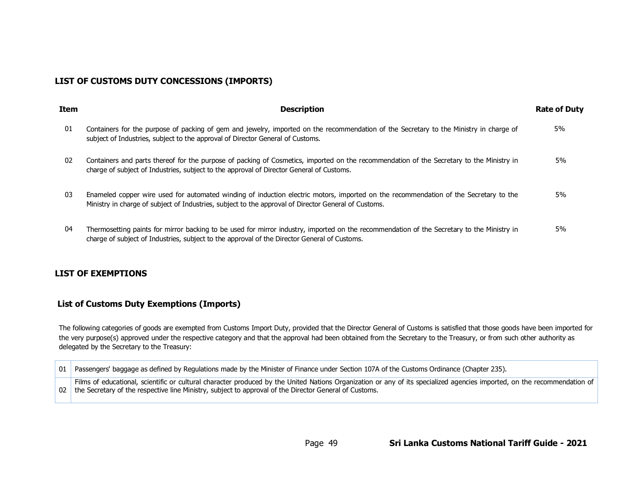# **LIST OF CUSTOMS DUTY CONCESSIONS (IMPORTS)**

| <b>Item</b> | <b>Description</b>                                                                                                                                                                                                                           | <b>Rate of Duty</b> |
|-------------|----------------------------------------------------------------------------------------------------------------------------------------------------------------------------------------------------------------------------------------------|---------------------|
| 01          | Containers for the purpose of packing of gem and jewelry, imported on the recommendation of the Secretary to the Ministry in charge of<br>subject of Industries, subject to the approval of Director General of Customs.                     | 5%                  |
| 02          | Containers and parts thereof for the purpose of packing of Cosmetics, imported on the recommendation of the Secretary to the Ministry in<br>charge of subject of Industries, subject to the approval of Director General of Customs.         | 5%                  |
| 03          | Enameled copper wire used for automated winding of induction electric motors, imported on the recommendation of the Secretary to the<br>Ministry in charge of subject of Industries, subject to the approval of Director General of Customs. | 5%                  |
| 04          | Thermosetting paints for mirror backing to be used for mirror industry, imported on the recommendation of the Secretary to the Ministry in<br>charge of subject of Industries, subject to the approval of the Director General of Customs.   | 5%                  |

# **LIST OF EXEMPTIONS**

# **List of Customs Duty Exemptions (Imports)**

The following categories of goods are exempted from Customs Import Duty, provided that the Director General of Customs is satisfied that those goods have been imported for the very purpose(s) approved under the respective category and that the approval had been obtained from the Secretary to the Treasury, or from such other authority as delegated by the Secretary to the Treasury:

| 01 I | Passengers' baggage as defined by Regulations made by the Minister of Finance under Section 107A of the Customs Ordinance (Chapter 235).                                                                                                                                                |
|------|-----------------------------------------------------------------------------------------------------------------------------------------------------------------------------------------------------------------------------------------------------------------------------------------|
|      | Films of educational, scientific or cultural character produced by the United Nations Organization or any of its specialized agencies imported, on the recommendation of<br>02   the Secretary of the respective line Ministry, subject to approval of the Director General of Customs. |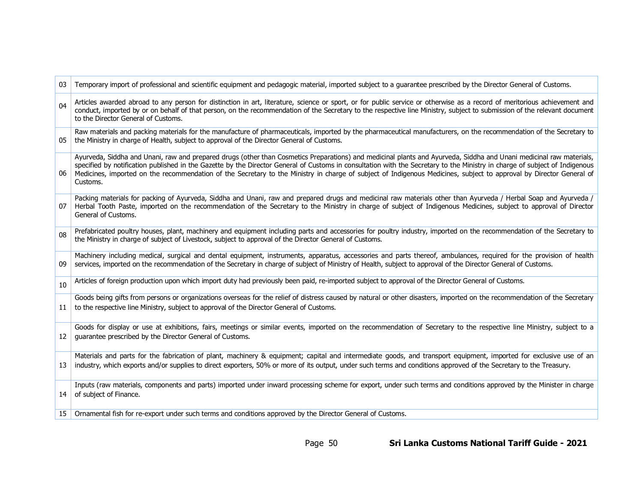| 03 | Temporary import of professional and scientific equipment and pedagogic material, imported subject to a quarantee prescribed by the Director General of Customs.                                                                                                                                                                                                                                                                                                                                                                      |
|----|---------------------------------------------------------------------------------------------------------------------------------------------------------------------------------------------------------------------------------------------------------------------------------------------------------------------------------------------------------------------------------------------------------------------------------------------------------------------------------------------------------------------------------------|
| 04 | Articles awarded abroad to any person for distinction in art, literature, science or sport, or for public service or otherwise as a record of meritorious achievement and<br>conduct, imported by or on behalf of that person, on the recommendation of the Secretary to the respective line Ministry, subject to submission of the relevant document<br>to the Director General of Customs.                                                                                                                                          |
| 05 | Raw materials and packing materials for the manufacture of pharmaceuticals, imported by the pharmaceutical manufacturers, on the recommendation of the Secretary to<br>the Ministry in charge of Health, subject to approval of the Director General of Customs.                                                                                                                                                                                                                                                                      |
| 06 | Ayurveda, Siddha and Unani, raw and prepared drugs (other than Cosmetics Preparations) and medicinal plants and Ayurveda, Siddha and Unani medicinal raw materials,<br>specified by notification published in the Gazette by the Director General of Customs in consultation with the Secretary to the Ministry in charge of subject of Indigenous<br>Medicines, imported on the recommendation of the Secretary to the Ministry in charge of subject of Indigenous Medicines, subject to approval by Director General of<br>Customs. |
| 07 | Packing materials for packing of Ayurveda, Siddha and Unani, raw and prepared drugs and medicinal raw materials other than Ayurveda / Herbal Soap and Ayurveda /<br>Herbal Tooth Paste, imported on the recommendation of the Secretary to the Ministry in charge of subject of Indigenous Medicines, subject to approval of Director<br>General of Customs.                                                                                                                                                                          |
| 08 | Prefabricated poultry houses, plant, machinery and equipment including parts and accessories for poultry industry, imported on the recommendation of the Secretary to<br>the Ministry in charge of subject of Livestock, subject to approval of the Director General of Customs.                                                                                                                                                                                                                                                      |
| 09 | Machinery including medical, surgical and dental equipment, instruments, apparatus, accessories and parts thereof, ambulances, required for the provision of health<br>services, imported on the recommendation of the Secretary in charge of subject of Ministry of Health, subject to approval of the Director General of Customs.                                                                                                                                                                                                  |
| 10 | Articles of foreign production upon which import duty had previously been paid, re-imported subject to approval of the Director General of Customs.                                                                                                                                                                                                                                                                                                                                                                                   |
| 11 | Goods being gifts from persons or organizations overseas for the relief of distress caused by natural or other disasters, imported on the recommendation of the Secretary<br>to the respective line Ministry, subject to approval of the Director General of Customs.                                                                                                                                                                                                                                                                 |
| 12 | Goods for display or use at exhibitions, fairs, meetings or similar events, imported on the recommendation of Secretary to the respective line Ministry, subject to a<br>guarantee prescribed by the Director General of Customs.                                                                                                                                                                                                                                                                                                     |
| 13 | Materials and parts for the fabrication of plant, machinery & equipment; capital and intermediate goods, and transport equipment, imported for exclusive use of an<br>industry, which exports and/or supplies to direct exporters, 50% or more of its output, under such terms and conditions approved of the Secretary to the Treasury.                                                                                                                                                                                              |
| 14 | Inputs (raw materials, components and parts) imported under inward processing scheme for export, under such terms and conditions approved by the Minister in charge<br>of subject of Finance.                                                                                                                                                                                                                                                                                                                                         |
| 15 | Ornamental fish for re-export under such terms and conditions approved by the Director General of Customs.                                                                                                                                                                                                                                                                                                                                                                                                                            |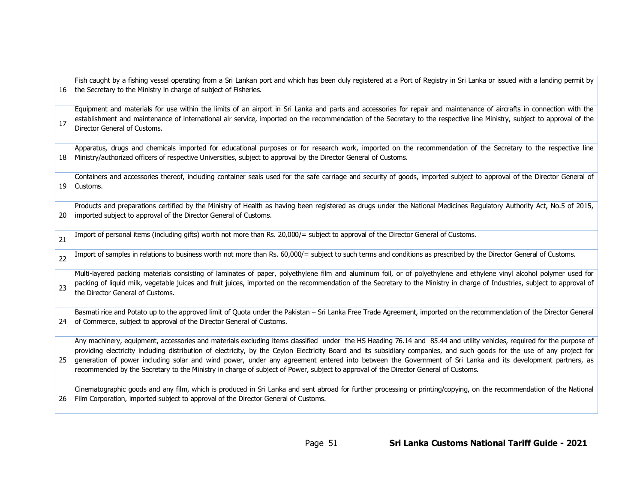| 16 | Fish caught by a fishing vessel operating from a Sri Lankan port and which has been duly registered at a Port of Registry in Sri Lanka or issued with a landing permit by<br>the Secretary to the Ministry in charge of subject of Fisheries.                                                                                                                                                                                                                                                                                                                                                                                                         |
|----|-------------------------------------------------------------------------------------------------------------------------------------------------------------------------------------------------------------------------------------------------------------------------------------------------------------------------------------------------------------------------------------------------------------------------------------------------------------------------------------------------------------------------------------------------------------------------------------------------------------------------------------------------------|
| 17 | Equipment and materials for use within the limits of an airport in Sri Lanka and parts and accessories for repair and maintenance of aircrafts in connection with the<br>establishment and maintenance of international air service, imported on the recommendation of the Secretary to the respective line Ministry, subject to approval of the<br>Director General of Customs.                                                                                                                                                                                                                                                                      |
| 18 | Apparatus, drugs and chemicals imported for educational purposes or for research work, imported on the recommendation of the Secretary to the respective line<br>Ministry/authorized officers of respective Universities, subject to approval by the Director General of Customs.                                                                                                                                                                                                                                                                                                                                                                     |
| 19 | Containers and accessories thereof, including container seals used for the safe carriage and security of goods, imported subject to approval of the Director General of<br>Customs.                                                                                                                                                                                                                                                                                                                                                                                                                                                                   |
| 20 | Products and preparations certified by the Ministry of Health as having been registered as drugs under the National Medicines Regulatory Authority Act, No.5 of 2015,<br>imported subject to approval of the Director General of Customs.                                                                                                                                                                                                                                                                                                                                                                                                             |
| 21 | Import of personal items (including gifts) worth not more than Rs. 20,000/= subject to approval of the Director General of Customs.                                                                                                                                                                                                                                                                                                                                                                                                                                                                                                                   |
| 22 | Import of samples in relations to business worth not more than Rs. 60,000/= subject to such terms and conditions as prescribed by the Director General of Customs.                                                                                                                                                                                                                                                                                                                                                                                                                                                                                    |
| 23 | Multi-layered packing materials consisting of laminates of paper, polyethylene film and aluminum foil, or of polyethylene and ethylene vinyl alcohol polymer used for<br>packing of liquid milk, vegetable juices and fruit juices, imported on the recommendation of the Secretary to the Ministry in charge of Industries, subject to approval of<br>the Director General of Customs.                                                                                                                                                                                                                                                               |
| 24 | Basmati rice and Potato up to the approved limit of Quota under the Pakistan - Sri Lanka Free Trade Agreement, imported on the recommendation of the Director General<br>of Commerce, subject to approval of the Director General of Customs.                                                                                                                                                                                                                                                                                                                                                                                                         |
| 25 | Any machinery, equipment, accessories and materials excluding items classified under the HS Heading 76.14 and 85.44 and utility vehicles, required for the purpose of<br>providing electricity including distribution of electricity, by the Ceylon Electricity Board and its subsidiary companies, and such goods for the use of any project for<br>generation of power including solar and wind power, under any agreement entered into between the Government of Sri Lanka and its development partners, as<br>recommended by the Secretary to the Ministry in charge of subject of Power, subject to approval of the Director General of Customs. |
| 26 | Cinematographic goods and any film, which is produced in Sri Lanka and sent abroad for further processing or printing/copying, on the recommendation of the National<br>Film Corporation, imported subject to approval of the Director General of Customs.                                                                                                                                                                                                                                                                                                                                                                                            |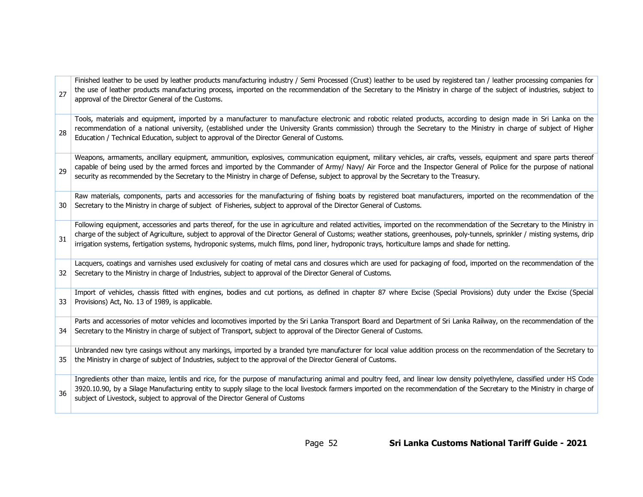| 27 | Finished leather to be used by leather products manufacturing industry / Semi Processed (Crust) leather to be used by registered tan / leather processing companies for<br>the use of leather products manufacturing process, imported on the recommendation of the Secretary to the Ministry in charge of the subject of industries, subject to<br>approval of the Director General of the Customs.                                                                                                           |
|----|----------------------------------------------------------------------------------------------------------------------------------------------------------------------------------------------------------------------------------------------------------------------------------------------------------------------------------------------------------------------------------------------------------------------------------------------------------------------------------------------------------------|
| 28 | Tools, materials and equipment, imported by a manufacturer to manufacture electronic and robotic related products, according to design made in Sri Lanka on the<br>recommendation of a national university, (established under the University Grants commission) through the Secretary to the Ministry in charge of subject of Higher<br>Education / Technical Education, subject to approval of the Director General of Customs.                                                                              |
| 29 | Weapons, armaments, ancillary equipment, ammunition, explosives, communication equipment, military vehicles, air crafts, vessels, equipment and spare parts thereof<br>capable of being used by the armed forces and imported by the Commander of Army/ Navy/ Air Force and the Inspector General of Police for the purpose of national<br>security as recommended by the Secretary to the Ministry in charge of Defense, subject to approval by the Secretary to the Treasury.                                |
| 30 | Raw materials, components, parts and accessories for the manufacturing of fishing boats by registered boat manufacturers, imported on the recommendation of the<br>Secretary to the Ministry in charge of subject of Fisheries, subject to approval of the Director General of Customs.                                                                                                                                                                                                                        |
| 31 | Following equipment, accessories and parts thereof, for the use in agriculture and related activities, imported on the recommendation of the Secretary to the Ministry in<br>charge of the subject of Agriculture, subject to approval of the Director General of Customs; weather stations, greenhouses, poly-tunnels, sprinkler / misting systems, drip<br>irrigation systems, fertigation systems, hydroponic systems, mulch films, pond liner, hydroponic trays, horticulture lamps and shade for netting. |
| 32 | Lacquers, coatings and varnishes used exclusively for coating of metal cans and closures which are used for packaging of food, imported on the recommendation of the<br>Secretary to the Ministry in charge of Industries, subject to approval of the Director General of Customs.                                                                                                                                                                                                                             |
| 33 | Import of vehicles, chassis fitted with engines, bodies and cut portions, as defined in chapter 87 where Excise (Special Provisions) duty under the Excise (Special<br>Provisions) Act, No. 13 of 1989, is applicable.                                                                                                                                                                                                                                                                                         |
| 34 | Parts and accessories of motor vehicles and locomotives imported by the Sri Lanka Transport Board and Department of Sri Lanka Railway, on the recommendation of the<br>Secretary to the Ministry in charge of subject of Transport, subject to approval of the Director General of Customs.                                                                                                                                                                                                                    |
| 35 | Unbranded new tyre casings without any markings, imported by a branded tyre manufacturer for local value addition process on the recommendation of the Secretary to<br>the Ministry in charge of subject of Industries, subject to the approval of the Director General of Customs.                                                                                                                                                                                                                            |
| 36 | Ingredients other than maize, lentils and rice, for the purpose of manufacturing animal and poultry feed, and linear low density polyethylene, classified under HS Code<br>3920.10.90, by a Silage Manufacturing entity to supply silage to the local livestock farmers imported on the recommendation of the Secretary to the Ministry in charge of<br>subject of Livestock, subject to approval of the Director General of Customs                                                                           |

 $\Gamma$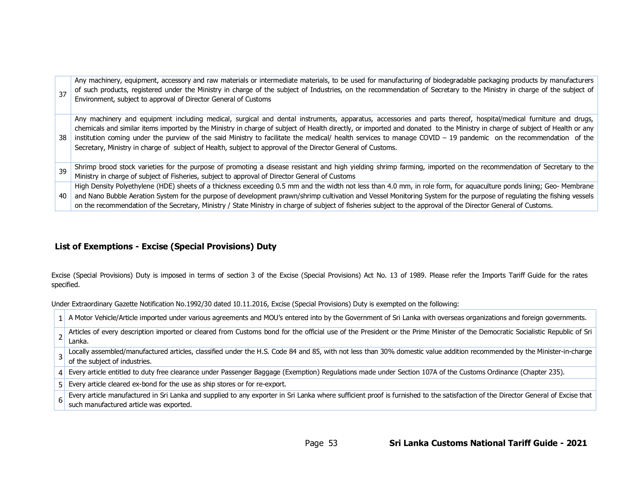| 37 | Any machinery, equipment, accessory and raw materials or intermediate materials, to be used for manufacturing of biodegradable packaging products by manufacturers<br>of such products, registered under the Ministry in charge of the subject of Industries, on the recommendation of Secretary to the Ministry in charge of the subject of<br>Environment, subject to approval of Director General of Customs                                                                                                                                                                                                                  |
|----|----------------------------------------------------------------------------------------------------------------------------------------------------------------------------------------------------------------------------------------------------------------------------------------------------------------------------------------------------------------------------------------------------------------------------------------------------------------------------------------------------------------------------------------------------------------------------------------------------------------------------------|
| 38 | Any machinery and equipment including medical, surgical and dental instruments, apparatus, accessories and parts thereof, hospital/medical furniture and drugs,<br>chemicals and similar items imported by the Ministry in charge of subject of Health directly, or imported and donated to the Ministry in charge of subject of Health or any<br>institution coming under the purview of the said Ministry to facilitate the medical/ health services to manage COVID - 19 pandemic on the recommendation of the<br>Secretary, Ministry in charge of subject of Health, subject to approval of the Director General of Customs. |
| 39 | Shrimp brood stock varieties for the purpose of promoting a disease resistant and high yielding shrimp farming, imported on the recommendation of Secretary to the<br>Ministry in charge of subject of Fisheries, subject to approval of Director General of Customs                                                                                                                                                                                                                                                                                                                                                             |
| 40 | High Density Polyethylene (HDE) sheets of a thickness exceeding 0.5 mm and the width not less than 4.0 mm, in role form, for aquaculture ponds lining; Geo-Membrane<br>and Nano Bubble Aeration System for the purpose of development prawn/shrimp cultivation and Vessel Monitoring System for the purpose of regulating the fishing vessels<br>on the recommendation of the Secretary, Ministry / State Ministry in charge of subject of fisheries subject to the approval of the Director General of Customs.                                                                                                                 |

# **List of Exemptions - Excise (Special Provisions) Duty**

Excise (Special Provisions) Duty is imposed in terms of section 3 of the Excise (Special Provisions) Act No. 13 of 1989. Please refer the Imports Tariff Guide for the rates specified.

Under Extraordinary Gazette Notification No.1992/30 dated 10.11.2016, Excise (Special Provisions) Duty is exempted on the following:

| 1 A Motor Vehicle/Article imported under various agreements and MOU's entered into by the Government of Sri Lanka with overseas organizations and foreign governments.                                                      |
|-----------------------------------------------------------------------------------------------------------------------------------------------------------------------------------------------------------------------------|
| Articles of every description imported or cleared from Customs bond for the official use of the President or the Prime Minister of the Democratic Socialistic Republic of Sri<br>Lanka.                                     |
| Locally assembled/manufactured articles, classified under the H.S. Code 84 and 85, with not less than 30% domestic value addition recommended by the Minister-in-charge<br>of the subject of industries.                    |
| 4 Every article entitled to duty free clearance under Passenger Baggage (Exemption) Regulations made under Section 107A of the Customs Ordinance (Chapter 235).                                                             |
| 5 Every article cleared ex-bond for the use as ship stores or for re-export.                                                                                                                                                |
| Every article manufactured in Sri Lanka and supplied to any exporter in Sri Lanka where sufficient proof is furnished to the satisfaction of the Director General of Excise that<br>such manufactured article was exported. |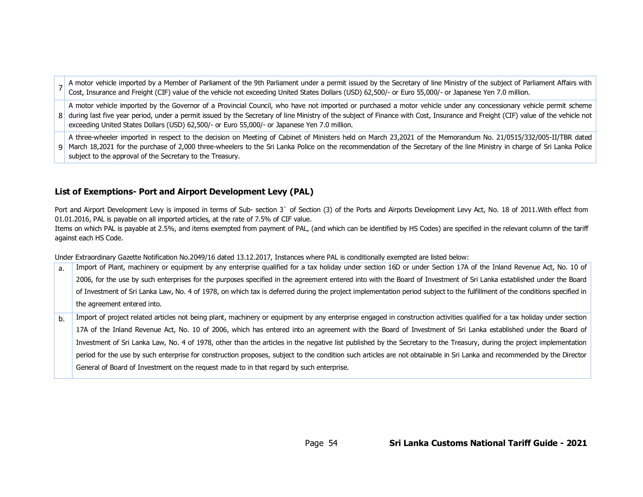A motor vehicle imported by a Member of Parliament of the 9th Parliament under a permit issued by the Secretary of line Ministry of the subject of Parliament Affairs with Cost, Insurance and Freight (CIF) value of the vehicle not exceeding United States Dollars (USD) 62,500/- or Euro 55,000/- or Japanese Yen 7.0 million.

8 during last five year period, under a permit issued by the Secretary of line Ministry of the subject of Finance with Cost, Insurance and Freight (CIF) value of the vehicle not A motor vehicle imported by the Governor of a Provincial Council, who have not imported or purchased a motor vehicle under any concessionary vehicle permit scheme exceeding United States Dollars (USD) 62,500/- or Euro 55,000/- or Japanese Yen 7.0 million.

9 | March 18,2021 for the purchase of 2,000 three-wheelers to the Sri Lanka Police on the recommendation of the Secretary of the line Ministry in charge of Sri Lanka Police A three-wheeler imported in respect to the decision on Meeting of Cabinet of Ministers held on March 23,2021 of the Memorandum No. 21/0515/332/005-II/TBR dated subject to the approval of the Secretary to the Treasury.

# **List of Exemptions- Port and Airport Development Levy (PAL)**

Port and Airport Development Levy is imposed in terms of Sub- section 3` of Section (3) of the Ports and Airports Development Levy Act, No. 18 of 2011. With effect from 01.01.2016, PAL is payable on all imported articles, at the rate of 7.5% of CIF value.

Items on which PAL is payable at 2.5%, and items exempted from payment of PAL, (and which can be identified by HS Codes) are specified in the relevant column of the tariff against each HS Code.

Under Extraordinary Gazette Notification No.2049/16 dated 13.12.2017, Instances where PAL is conditionally exempted are listed below:

| a. | Import of Plant, machinery or equipment by any enterprise qualified for a tax holiday under section 16D or under Section 17A of the Inland Revenue Act, No. 10 of          |
|----|----------------------------------------------------------------------------------------------------------------------------------------------------------------------------|
|    | 2006, for the use by such enterprises for the purposes specified in the agreement entered into with the Board of Investment of Sri Lanka established under the Board       |
|    | of Investment of Sri Lanka Law, No. 4 of 1978, on which tax is deferred during the project implementation period subject to the fulfillment of the conditions specified in |
|    | the agreement entered into.                                                                                                                                                |
| b. | Import of project related articles not being plant, machinery or equipment by any enterprise engaged in construction activities qualified for a tax holiday under section  |
|    | 17A of the Inland Revenue Act, No. 10 of 2006, which has entered into an agreement with the Board of Investment of Sri Lanka established under the Board of                |
|    | Investment of Sri Lanka Law, No. 4 of 1978, other than the articles in the negative list published by the Secretary to the Treasury, during the project implementation     |
|    | period for the use by such enterprise for construction proposes, subject to the condition such articles are not obtainable in Sri Lanka and recommended by the Director    |
|    | General of Board of Investment on the request made to in that regard by such enterprise.                                                                                   |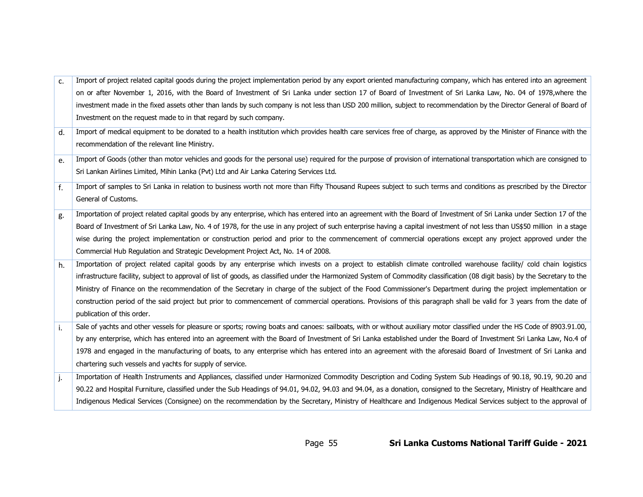| c. | Import of project related capital goods during the project implementation period by any export oriented manufacturing company, which has entered into an agreement            |
|----|-------------------------------------------------------------------------------------------------------------------------------------------------------------------------------|
|    | on or after November 1, 2016, with the Board of Investment of Sri Lanka under section 17 of Board of Investment of Sri Lanka Law, No. 04 of 1978, where the                   |
|    | investment made in the fixed assets other than lands by such company is not less than USD 200 million, subject to recommendation by the Director General of Board of          |
|    | Investment on the request made to in that regard by such company.                                                                                                             |
| d. | Import of medical equipment to be donated to a health institution which provides health care services free of charge, as approved by the Minister of Finance with the         |
|    | recommendation of the relevant line Ministry.                                                                                                                                 |
| e. | Import of Goods (other than motor vehicles and goods for the personal use) required for the purpose of provision of international transportation which are consigned to       |
|    | Sri Lankan Airlines Limited, Mihin Lanka (Pvt) Ltd and Air Lanka Catering Services Ltd.                                                                                       |
| f. | Import of samples to Sri Lanka in relation to business worth not more than Fifty Thousand Rupees subject to such terms and conditions as prescribed by the Director           |
|    | General of Customs.                                                                                                                                                           |
| g. | Importation of project related capital goods by any enterprise, which has entered into an agreement with the Board of Investment of Sri Lanka under Section 17 of the         |
|    | Board of Investment of Sri Lanka Law, No. 4 of 1978, for the use in any project of such enterprise having a capital investment of not less than US\$50 million in a stage     |
|    | wise during the project implementation or construction period and prior to the commencement of commercial operations except any project approved under the                    |
|    | Commercial Hub Regulation and Strategic Development Project Act, No. 14 of 2008.                                                                                              |
| h. | Importation of project related capital goods by any enterprise which invests on a project to establish climate controlled warehouse facility/ cold chain logistics            |
|    | infrastructure facility, subject to approval of list of goods, as classified under the Harmonized System of Commodity classification (08 digit basis) by the Secretary to the |
|    | Ministry of Finance on the recommendation of the Secretary in charge of the subject of the Food Commissioner's Department during the project implementation or                |
|    | construction period of the said project but prior to commencement of commercial operations. Provisions of this paragraph shall be valid for 3 years from the date of          |
|    | publication of this order.                                                                                                                                                    |
| i. | Sale of yachts and other vessels for pleasure or sports; rowing boats and canoes: sailboats, with or without auxiliary motor classified under the HS Code of 8903.91.00,      |
|    | by any enterprise, which has entered into an agreement with the Board of Investment of Sri Lanka established under the Board of Investment Sri Lanka Law, No.4 of             |
|    | 1978 and engaged in the manufacturing of boats, to any enterprise which has entered into an agreement with the aforesaid Board of Investment of Sri Lanka and                 |
|    | chartering such vessels and yachts for supply of service.                                                                                                                     |
| j. | Importation of Health Instruments and Appliances, classified under Harmonized Commodity Description and Coding System Sub Headings of 90.18, 90.19, 90.20 and                 |
|    | 90.22 and Hospital Furniture, classified under the Sub Headings of 94.01, 94.02, 94.03 and 94.04, as a donation, consigned to the Secretary, Ministry of Healthcare and       |
|    | Indigenous Medical Services (Consignee) on the recommendation by the Secretary, Ministry of Healthcare and Indigenous Medical Services subject to the approval of             |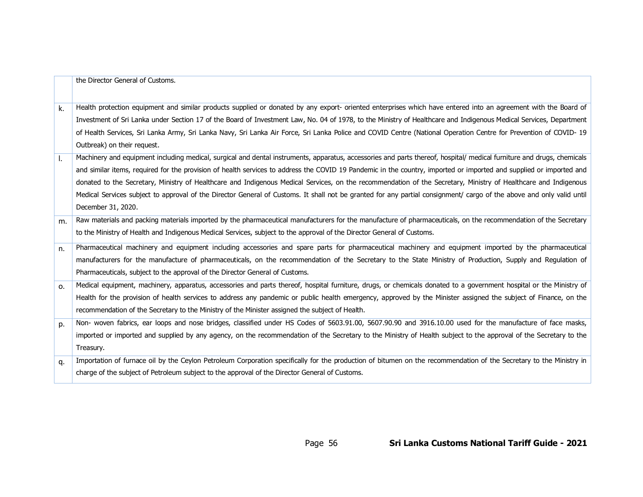|                | the Director General of Customs.                                                                                                                                       |
|----------------|------------------------------------------------------------------------------------------------------------------------------------------------------------------------|
| $\mathsf{k}$ . | Health protection equipment and similar products supplied or donated by any export- oriented enterprises which have entered into an agreement with the Board of        |
|                | Investment of Sri Lanka under Section 17 of the Board of Investment Law, No. 04 of 1978, to the Ministry of Healthcare and Indigenous Medical Services, Department     |
|                | of Health Services, Sri Lanka Army, Sri Lanka Navy, Sri Lanka Air Force, Sri Lanka Police and COVID Centre (National Operation Centre for Prevention of COVID-19       |
|                | Outbreak) on their request.                                                                                                                                            |
| Ι.             | Machinery and equipment including medical, surgical and dental instruments, apparatus, accessories and parts thereof, hospital/ medical furniture and drugs, chemicals |
|                | and similar items, required for the provision of health services to address the COVID 19 Pandemic in the country, imported or imported and supplied or imported and    |
|                | donated to the Secretary, Ministry of Healthcare and Indigenous Medical Services, on the recommendation of the Secretary, Ministry of Healthcare and Indigenous        |
|                | Medical Services subject to approval of the Director General of Customs. It shall not be granted for any partial consignment/ cargo of the above and only valid until  |
|                | December 31, 2020.                                                                                                                                                     |
| m.             | Raw materials and packing materials imported by the pharmaceutical manufacturers for the manufacture of pharmaceuticals, on the recommendation of the Secretary        |
|                | to the Ministry of Health and Indigenous Medical Services, subject to the approval of the Director General of Customs.                                                 |
| n.             | Pharmaceutical machinery and equipment including accessories and spare parts for pharmaceutical machinery and equipment imported by the pharmaceutical                 |
|                | manufacturers for the manufacture of pharmaceuticals, on the recommendation of the Secretary to the State Ministry of Production, Supply and Regulation of             |
|                | Pharmaceuticals, subject to the approval of the Director General of Customs.                                                                                           |
| O <sub>1</sub> | Medical equipment, machinery, apparatus, accessories and parts thereof, hospital furniture, drugs, or chemicals donated to a government hospital or the Ministry of    |
|                | Health for the provision of health services to address any pandemic or public health emergency, approved by the Minister assigned the subject of Finance, on the       |
|                | recommendation of the Secretary to the Ministry of the Minister assigned the subject of Health.                                                                        |
| p.             | Non- woven fabrics, ear loops and nose bridges, classified under HS Codes of 5603.91.00, 5607.90.90 and 3916.10.00 used for the manufacture of face masks,             |
|                | imported or imported and supplied by any agency, on the recommendation of the Secretary to the Ministry of Health subject to the approval of the Secretary to the      |
|                | Treasury.                                                                                                                                                              |
| q.             | Importation of furnace oil by the Ceylon Petroleum Corporation specifically for the production of bitumen on the recommendation of the Secretary to the Ministry in    |
|                | charge of the subject of Petroleum subject to the approval of the Director General of Customs.                                                                         |
|                |                                                                                                                                                                        |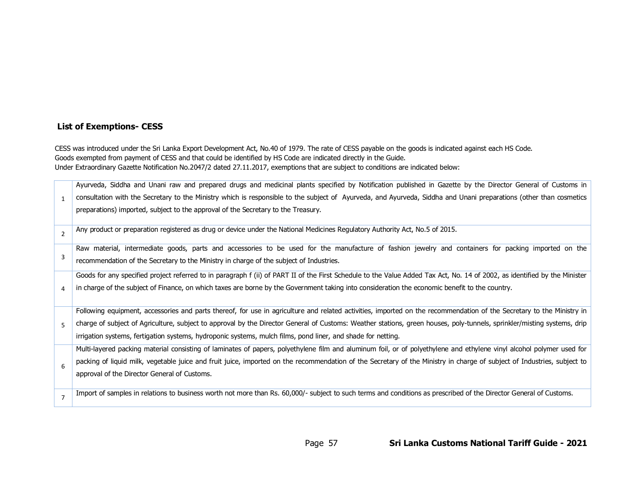# **List of Exemptions- CESS**

CESS was introduced under the Sri Lanka Export Development Act, No.40 of 1979. The rate of CESS payable on the goods is indicated against each HS Code. Goods exempted from payment of CESS and that could be identified by HS Code are indicated directly in the Guide. Under Extraordinary Gazette Notification No.2047/2 dated 27.11.2017, exemptions that are subject to conditions are indicated below:

|                | Ayurveda, Siddha and Unani raw and prepared drugs and medicinal plants specified by Notification published in Gazette by the Director General of Customs in                |
|----------------|----------------------------------------------------------------------------------------------------------------------------------------------------------------------------|
|                | consultation with the Secretary to the Ministry which is responsible to the subject of Ayurveda, and Ayurveda, Siddha and Unani preparations (other than cosmetics         |
|                | preparations) imported, subject to the approval of the Secretary to the Treasury.                                                                                          |
| $\overline{2}$ | Any product or preparation registered as drug or device under the National Medicines Regulatory Authority Act, No.5 of 2015.                                               |
|                | Raw material, intermediate goods, parts and accessories to be used for the manufacture of fashion jewelry and containers for packing imported on the                       |
| 3              | recommendation of the Secretary to the Ministry in charge of the subject of Industries.                                                                                    |
|                | Goods for any specified project referred to in paragraph f (ii) of PART II of the First Schedule to the Value Added Tax Act, No. 14 of 2002, as identified by the Minister |
|                | in charge of the subject of Finance, on which taxes are borne by the Government taking into consideration the economic benefit to the country.                             |
|                |                                                                                                                                                                            |
|                | Following equipment, accessories and parts thereof, for use in agriculture and related activities, imported on the recommendation of the Secretary to the Ministry in      |
| 5              |                                                                                                                                                                            |
|                | charge of subject of Agriculture, subject to approval by the Director General of Customs: Weather stations, green houses, poly-tunnels, sprinkler/misting systems, drip    |
|                | irrigation systems, fertigation systems, hydroponic systems, mulch films, pond liner, and shade for netting.                                                               |
|                | Multi-layered packing material consisting of laminates of papers, polyethylene film and aluminum foil, or of polyethylene and ethylene vinyl alcohol polymer used for      |
|                | packing of liquid milk, vegetable juice and fruit juice, imported on the recommendation of the Secretary of the Ministry in charge of subject of Industries, subject to    |
| 6              | approval of the Director General of Customs.                                                                                                                               |
|                |                                                                                                                                                                            |
|                | Import of samples in relations to business worth not more than Rs. 60,000/- subject to such terms and conditions as prescribed of the Director General of Customs.         |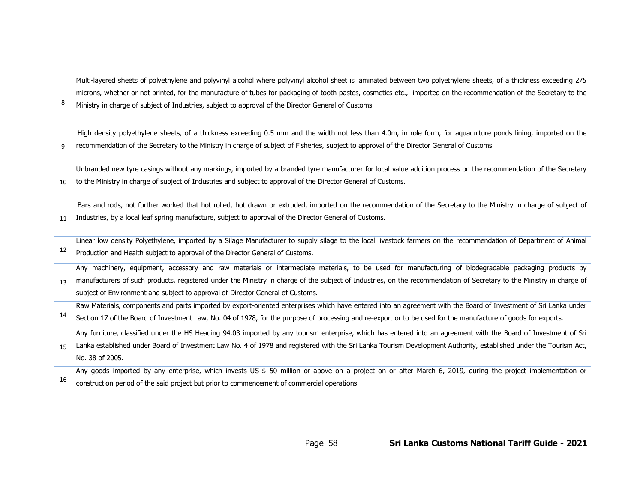| 8   | microns, whether or not printed, for the manufacture of tubes for packaging of tooth-pastes, cosmetics etc., imported on the recommendation of the Secretary to the<br>Ministry in charge of subject of Industries, subject to approval of the Director General of Customs.                                   |
|-----|---------------------------------------------------------------------------------------------------------------------------------------------------------------------------------------------------------------------------------------------------------------------------------------------------------------|
| 9   | High density polyethylene sheets, of a thickness exceeding 0.5 mm and the width not less than 4.0m, in role form, for aquaculture ponds lining, imported on the<br>recommendation of the Secretary to the Ministry in charge of subject of Fisheries, subject to approval of the Director General of Customs. |
|     |                                                                                                                                                                                                                                                                                                               |
|     | Unbranded new tyre casings without any markings, imported by a branded tyre manufacturer for local value addition process on the recommendation of the Secretary                                                                                                                                              |
| 10  | to the Ministry in charge of subject of Industries and subject to approval of the Director General of Customs.                                                                                                                                                                                                |
|     | Bars and rods, not further worked that hot rolled, hot drawn or extruded, imported on the recommendation of the Secretary to the Ministry in charge of subject of                                                                                                                                             |
| 11  | Industries, by a local leaf spring manufacture, subject to approval of the Director General of Customs.                                                                                                                                                                                                       |
|     | Linear low density Polyethylene, imported by a Silage Manufacturer to supply silage to the local livestock farmers on the recommendation of Department of Animal                                                                                                                                              |
| 12  | Production and Health subject to approval of the Director General of Customs.                                                                                                                                                                                                                                 |
|     | Any machinery, equipment, accessory and raw materials or intermediate materials, to be used for manufacturing of biodegradable packaging products by                                                                                                                                                          |
| 13  | manufacturers of such products, registered under the Ministry in charge of the subject of Industries, on the recommendation of Secretary to the Ministry in charge of                                                                                                                                         |
|     | subject of Environment and subject to approval of Director General of Customs.                                                                                                                                                                                                                                |
| 14  | Raw Materials, components and parts imported by export-oriented enterprises which have entered into an agreement with the Board of Investment of Sri Lanka under                                                                                                                                              |
|     | Section 17 of the Board of Investment Law, No. 04 of 1978, for the purpose of processing and re-export or to be used for the manufacture of goods for exports.                                                                                                                                                |
|     | Any furniture, classified under the HS Heading 94.03 imported by any tourism enterprise, which has entered into an agreement with the Board of Investment of Sri                                                                                                                                              |
| 15  | Lanka established under Board of Investment Law No. 4 of 1978 and registered with the Sri Lanka Tourism Development Authority, established under the Tourism Act,                                                                                                                                             |
|     | No. 38 of 2005.                                                                                                                                                                                                                                                                                               |
|     | Any goods imported by any enterprise, which invests US \$ 50 million or above on a project on or after March 6, 2019, during the project implementation or                                                                                                                                                    |
| -16 | construction period of the said project but prior to commencement of commercial operations                                                                                                                                                                                                                    |

Multi-layered sheets of polyethylene and polyvinyl alcohol where polyvinyl alcohol sheet is laminated between two polyethylene sheets, of a thickness exceeding 275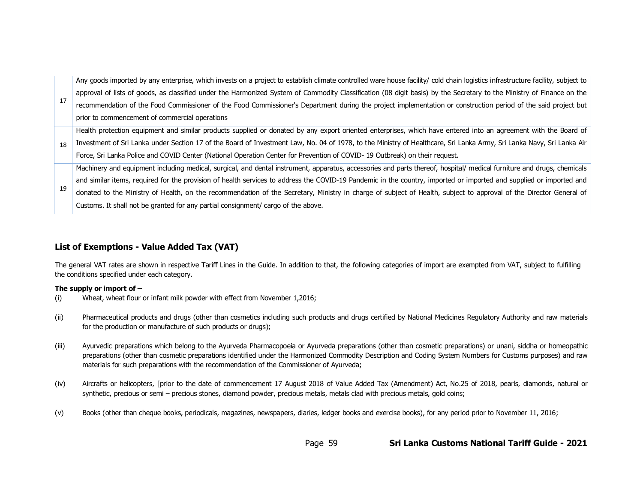17 Any goods imported by any enterprise, which invests on a project to establish climate controlled ware house facility/ cold chain logistics infrastructure facility, subject to approval of lists of goods, as classified under the Harmonized System of Commodity Classification (08 digit basis) by the Secretary to the Ministry of Finance on the recommendation of the Food Commissioner of the Food Commissioner's Department during the project implementation or construction period of the said project but prior to commencement of commercial operations 18 Health protection equipment and similar products supplied or donated by any export oriented enterprises, which have entered into an agreement with the Board of Investment of Sri Lanka under Section 17 of the Board of Investment Law, No. 04 of 1978, to the Ministry of Healthcare, Sri Lanka Army, Sri Lanka Navy, Sri Lanka Air Force, Sri Lanka Police and COVID Center (National Operation Center for Prevention of COVID- 19 Outbreak) on their request. 19 Machinery and equipment including medical, surgical, and dental instrument, apparatus, accessories and parts thereof, hospital/ medical furniture and drugs, chemicals and similar items, required for the provision of health services to address the COVID-19 Pandemic in the country, imported or imported and supplied or imported and donated to the Ministry of Health, on the recommendation of the Secretary, Ministry in charge of subject of Health, subject to approval of the Director General of Customs. It shall not be granted for any partial consignment/ cargo of the above.

# **List of Exemptions - Value Added Tax (VAT)**

The general VAT rates are shown in respective Tariff Lines in the Guide. In addition to that, the following categories of import are exempted from VAT, subject to fulfilling the conditions specified under each category.

#### **The supply or import of –**

- (i) Wheat, wheat flour or infant milk powder with effect from November 1,2016;
- (ii) Pharmaceutical products and drugs (other than cosmetics including such products and drugs certified by National Medicines Regulatory Authority and raw materials for the production or manufacture of such products or drugs);
- (iii) Ayurvedic preparations which belong to the Ayurveda Pharmacopoeia or Ayurveda preparations (other than cosmetic preparations) or unani, siddha or homeopathic preparations (other than cosmetic preparations identified under the Harmonized Commodity Description and Coding System Numbers for Customs purposes) and raw materials for such preparations with the recommendation of the Commissioner of Ayurveda;
- (iv) Aircrafts or helicopters, [prior to the date of commencement 17 August 2018 of Value Added Tax (Amendment) Act, No.25 of 2018, pearls, diamonds, natural or synthetic, precious or semi – precious stones, diamond powder, precious metals, metals clad with precious metals, gold coins;
- (v) Books (other than cheque books, periodicals, magazines, newspapers, diaries, ledger books and exercise books), for any period prior to November 11, 2016;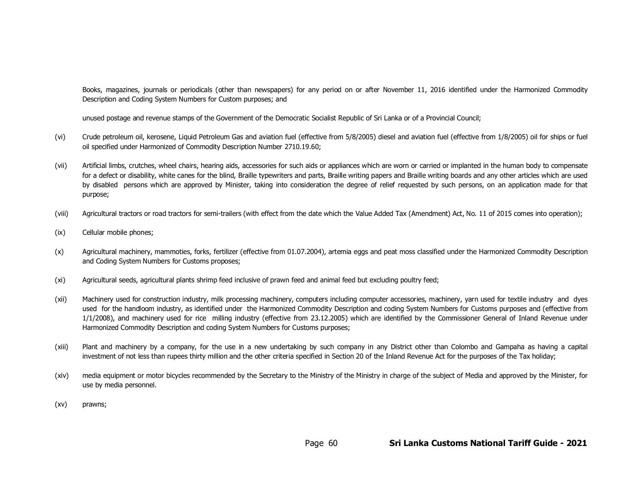Books, magazines, journals or periodicals (other than newspapers) for any period on or after November 11, 2016 identified under the Harmonized Commodity Description and Coding System Numbers for Custom purposes; and

unused postage and revenue stamps of the Government of the Democratic Socialist Republic of Sri Lanka or of a Provincial Council;

- (vi) Crude petroleum oil, kerosene, Liquid Petroleum Gas and aviation fuel (effective from 5/8/2005) diesel and aviation fuel (effective from 1/8/2005) oil for ships or fuel oil specified under Harmonized of Commodity Description Number 2710.19.60;
- (vii) Artificial limbs, crutches, wheel chairs, hearing aids, accessories for such aids or appliances which are worn or carried or implanted in the human body to compensate for a defect or disability, white canes for the blind, Braille typewriters and parts, Braille writing papers and Braille writing boards and any other articles which are used by disabled persons which are approved by Minister, taking into consideration the degree of relief requested by such persons, on an application made for that purpose;
- (viii) Agricultural tractors or road tractors for semi-trailers (with effect from the date which the Value Added Tax (Amendment) Act, No. 11 of 2015 comes into operation);
- (ix) Cellular mobile phones;
- (x) Agricultural machinery, mammoties, forks, fertilizer (effective from 01.07.2004), artemia eggs and peat moss classified under the Harmonized Commodity Description and Coding System Numbers for Customs proposes;
- (xi) Agricultural seeds, agricultural plants shrimp feed inclusive of prawn feed and animal feed but excluding poultry feed;
- (xii) Machinery used for construction industry, milk processing machinery, computers including computer accessories, machinery, yarn used for textile industry and dyes used for the handloom industry, as identified under the Harmonized Commodity Description and coding System Numbers for Customs purposes and (effective from 1/1/2008), and machinery used for rice milling industry (effective from 23.12.2005) which are identified by the Commissioner General of Inland Revenue under Harmonized Commodity Description and coding System Numbers for Customs purposes;
- (xiii) Plant and machinery by a company, for the use in a new undertaking by such company in any District other than Colombo and Gampaha as having a capital investment of not less than rupees thirty million and the other criteria specified in Section 20 of the Inland Revenue Act for the purposes of the Tax holiday;
- (xiv) media equipment or motor bicycles recommended by the Secretary to the Ministry of the Ministry in charge of the subject of Media and approved by the Minister, for use by media personnel.
- (xv) prawns;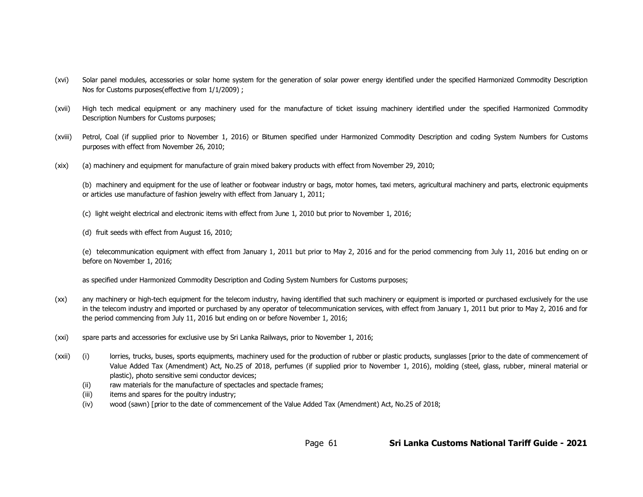- (xvi) Solar panel modules, accessories or solar home system for the generation of solar power energy identified under the specified Harmonized Commodity Description Nos for Customs purposes(effective from 1/1/2009) ;
- (xvii) High tech medical equipment or any machinery used for the manufacture of ticket issuing machinery identified under the specified Harmonized Commodity Description Numbers for Customs purposes;
- (xviii) Petrol, Coal (if supplied prior to November 1, 2016) or Bitumen specified under Harmonized Commodity Description and coding System Numbers for Customs purposes with effect from November 26, 2010;
- (xix) (a) machinery and equipment for manufacture of grain mixed bakery products with effect from November 29, 2010;

(b) machinery and equipment for the use of leather or footwear industry or bags, motor homes, taxi meters, agricultural machinery and parts, electronic equipments or articles use manufacture of fashion jewelry with effect from January 1, 2011;

- (c) light weight electrical and electronic items with effect from June 1, 2010 but prior to November 1, 2016;
- (d) fruit seeds with effect from August 16, 2010;

(e) telecommunication equipment with effect from January 1, 2011 but prior to May 2, 2016 and for the period commencing from July 11, 2016 but ending on or before on November 1, 2016;

as specified under Harmonized Commodity Description and Coding System Numbers for Customs purposes;

- (xx) any machinery or high-tech equipment for the telecom industry, having identified that such machinery or equipment is imported or purchased exclusively for the use in the telecom industry and imported or purchased by any operator of telecommunication services, with effect from January 1, 2011 but prior to May 2, 2016 and for the period commencing from July 11, 2016 but ending on or before November 1, 2016;
- (xxi) spare parts and accessories for exclusive use by Sri Lanka Railways, prior to November 1, 2016;
- (xxii) (i) lorries, trucks, buses, sports equipments, machinery used for the production of rubber or plastic products, sunglasses [prior to the date of commencement of Value Added Tax (Amendment) Act, No.25 of 2018, perfumes (if supplied prior to November 1, 2016), molding (steel, glass, rubber, mineral material or plastic), photo sensitive semi conductor devices;
	- (ii) raw materials for the manufacture of spectacles and spectacle frames;
	- (iii) items and spares for the poultry industry;
	- (iv) wood (sawn) [prior to the date of commencement of the Value Added Tax (Amendment) Act, No.25 of 2018;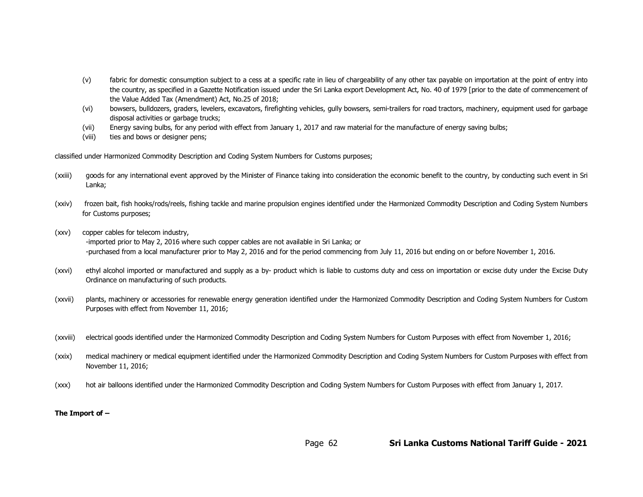- (v) fabric for domestic consumption subject to a cess at a specific rate in lieu of chargeability of any other tax payable on importation at the point of entry into the country, as specified in a Gazette Notification issued under the Sri Lanka export Development Act, No. 40 of 1979 [prior to the date of commencement of the Value Added Tax (Amendment) Act, No.25 of 2018;
- (vi) bowsers, bulldozers, graders, levelers, excavators, firefighting vehicles, gully bowsers, semi-trailers for road tractors, machinery, equipment used for garbage disposal activities or garbage trucks;
- (vii) Energy saving bulbs, for any period with effect from January 1, 2017 and raw material for the manufacture of energy saving bulbs;
- (viii) ties and bows or designer pens;

classified under Harmonized Commodity Description and Coding System Numbers for Customs purposes;

- (xxiii) goods for any international event approved by the Minister of Finance taking into consideration the economic benefit to the country, by conducting such event in Sri Lanka;
- (xxiv) frozen bait, fish hooks/rods/reels, fishing tackle and marine propulsion engines identified under the Harmonized Commodity Description and Coding System Numbers for Customs purposes;
- (xxv) copper cables for telecom industry,

-imported prior to May 2, 2016 where such copper cables are not available in Sri Lanka; or -purchased from a local manufacturer prior to May 2, 2016 and for the period commencing from July 11, 2016 but ending on or before November 1, 2016.

- (xxvi) ethyl alcohol imported or manufactured and supply as a by- product which is liable to customs duty and cess on importation or excise duty under the Excise Duty Ordinance on manufacturing of such products.
- (xxvii) plants, machinery or accessories for renewable energy generation identified under the Harmonized Commodity Description and Coding System Numbers for Custom Purposes with effect from November 11, 2016;
- (xxviii) electrical goods identified under the Harmonized Commodity Description and Coding System Numbers for Custom Purposes with effect from November 1, 2016;
- (xxix) medical machinery or medical equipment identified under the Harmonized Commodity Description and Coding System Numbers for Custom Purposes with effect from November 11, 2016;
- (xxx) hot air balloons identified under the Harmonized Commodity Description and Coding System Numbers for Custom Purposes with effect from January 1, 2017.

#### **The Import of –**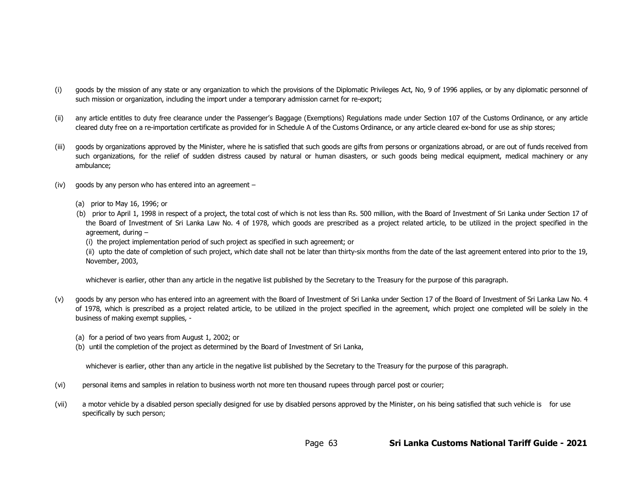- (i) goods by the mission of any state or any organization to which the provisions of the Diplomatic Privileges Act, No, 9 of 1996 applies, or by any diplomatic personnel of such mission or organization, including the import under a temporary admission carnet for re-export;
- (ii) any article entitles to duty free clearance under the Passenger's Baggage (Exemptions) Regulations made under Section 107 of the Customs Ordinance, or any article cleared duty free on a re-importation certificate as provided for in Schedule A of the Customs Ordinance, or any article cleared ex-bond for use as ship stores;
- (iii) goods by organizations approved by the Minister, where he is satisfied that such goods are gifts from persons or organizations abroad, or are out of funds received from such organizations, for the relief of sudden distress caused by natural or human disasters, or such goods being medical equipment, medical machinery or any ambulance;
- $(iv)$  goods by any person who has entered into an agreement
	- (a) prior to May 16, 1996; or
	- (b) prior to April 1, 1998 in respect of a project, the total cost of which is not less than Rs. 500 million, with the Board of Investment of Sri Lanka under Section 17 of the Board of Investment of Sri Lanka Law No. 4 of 1978, which goods are prescribed as a project related article, to be utilized in the project specified in the agreement, during –

(i) the project implementation period of such project as specified in such agreement; or

(ii) upto the date of completion of such project, which date shall not be later than thirty-six months from the date of the last agreement entered into prior to the 19, November, 2003,

whichever is earlier, other than any article in the negative list published by the Secretary to the Treasury for the purpose of this paragraph.

- (v) goods by any person who has entered into an agreement with the Board of Investment of Sri Lanka under Section 17 of the Board of Investment of Sri Lanka Law No. 4 of 1978, which is prescribed as a project related article, to be utilized in the project specified in the agreement, which project one completed will be solely in the business of making exempt supplies, -
	- (a) for a period of two years from August 1, 2002; or
	- (b) until the completion of the project as determined by the Board of Investment of Sri Lanka,

whichever is earlier, other than any article in the negative list published by the Secretary to the Treasury for the purpose of this paragraph.

- (vi) personal items and samples in relation to business worth not more ten thousand rupees through parcel post or courier;
- (vii) a motor vehicle by a disabled person specially designed for use by disabled persons approved by the Minister, on his being satisfied that such vehicle is for use specifically by such person;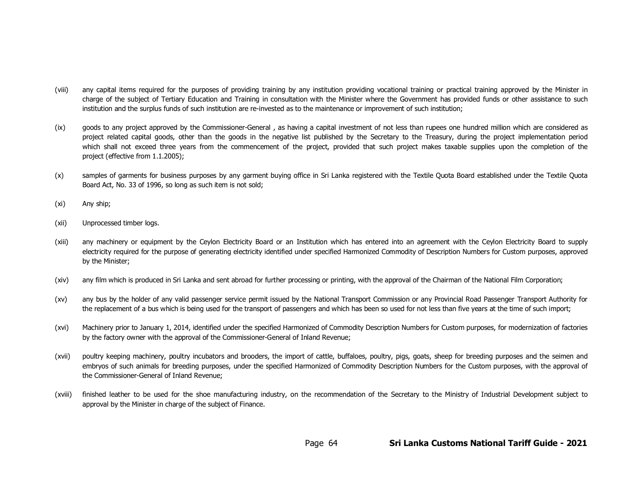- (viii) any capital items required for the purposes of providing training by any institution providing vocational training or practical training approved by the Minister in charge of the subject of Tertiary Education and Training in consultation with the Minister where the Government has provided funds or other assistance to such institution and the surplus funds of such institution are re-invested as to the maintenance or improvement of such institution;
- (ix) goods to any project approved by the Commissioner-General , as having a capital investment of not less than rupees one hundred million which are considered as project related capital goods, other than the goods in the negative list published by the Secretary to the Treasury, during the project implementation period which shall not exceed three years from the commencement of the project, provided that such project makes taxable supplies upon the completion of the project (effective from 1.1.2005);
- (x) samples of garments for business purposes by any garment buying office in Sri Lanka registered with the Textile Quota Board established under the Textile Quota Board Act, No. 33 of 1996, so long as such item is not sold;
- (xi) Any ship;
- (xii) Unprocessed timber logs.
- (xiii) any machinery or equipment by the Ceylon Electricity Board or an Institution which has entered into an agreement with the Ceylon Electricity Board to supply electricity required for the purpose of generating electricity identified under specified Harmonized Commodity of Description Numbers for Custom purposes, approved by the Minister;
- (xiv) any film which is produced in Sri Lanka and sent abroad for further processing or printing, with the approval of the Chairman of the National Film Corporation;
- (xv) any bus by the holder of any valid passenger service permit issued by the National Transport Commission or any Provincial Road Passenger Transport Authority for the replacement of a bus which is being used for the transport of passengers and which has been so used for not less than five years at the time of such import;
- (xvi) Machinery prior to January 1, 2014, identified under the specified Harmonized of Commodity Description Numbers for Custom purposes, for modernization of factories by the factory owner with the approval of the Commissioner-General of Inland Revenue;
- (xvii) poultry keeping machinery, poultry incubators and brooders, the import of cattle, buffaloes, poultry, pigs, goats, sheep for breeding purposes and the seimen and embryos of such animals for breeding purposes, under the specified Harmonized of Commodity Description Numbers for the Custom purposes, with the approval of the Commissioner-General of Inland Revenue;
- (xviii) finished leather to be used for the shoe manufacturing industry, on the recommendation of the Secretary to the Ministry of Industrial Development subject to approval by the Minister in charge of the subject of Finance.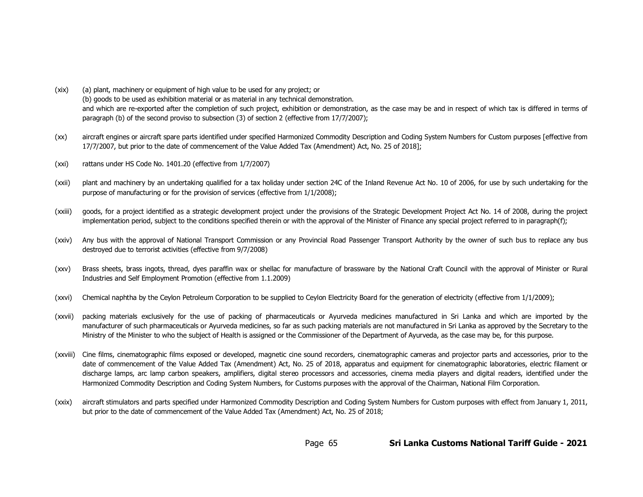- (xix) (a) plant, machinery or equipment of high value to be used for any project; or (b) goods to be used as exhibition material or as material in any technical demonstration. and which are re-exported after the completion of such project, exhibition or demonstration, as the case may be and in respect of which tax is differed in terms of paragraph (b) of the second proviso to subsection (3) of section 2 (effective from 17/7/2007);
- (xx) aircraft engines or aircraft spare parts identified under specified Harmonized Commodity Description and Coding System Numbers for Custom purposes [effective from 17/7/2007, but prior to the date of commencement of the Value Added Tax (Amendment) Act, No. 25 of 2018];
- (xxi) rattans under HS Code No. 1401.20 (effective from 1/7/2007)
- (xxii) plant and machinery by an undertaking qualified for a tax holiday under section 24C of the Inland Revenue Act No. 10 of 2006, for use by such undertaking for the purpose of manufacturing or for the provision of services (effective from 1/1/2008);
- (xxiii) goods, for a project identified as a strategic development project under the provisions of the Strategic Development Project Act No. 14 of 2008, during the project implementation period, subject to the conditions specified therein or with the approval of the Minister of Finance any special project referred to in paragraph(f);
- (xxiv) Any bus with the approval of National Transport Commission or any Provincial Road Passenger Transport Authority by the owner of such bus to replace any bus destroyed due to terrorist activities (effective from 9/7/2008)
- (xxv) Brass sheets, brass ingots, thread, dyes paraffin wax or shellac for manufacture of brassware by the National Craft Council with the approval of Minister or Rural Industries and Self Employment Promotion (effective from 1.1.2009)
- (xxvi) Chemical naphtha by the Ceylon Petroleum Corporation to be supplied to Ceylon Electricity Board for the generation of electricity (effective from 1/1/2009);
- (xxvii) packing materials exclusively for the use of packing of pharmaceuticals or Ayurveda medicines manufactured in Sri Lanka and which are imported by the manufacturer of such pharmaceuticals or Ayurveda medicines, so far as such packing materials are not manufactured in Sri Lanka as approved by the Secretary to the Ministry of the Minister to who the subject of Health is assigned or the Commissioner of the Department of Ayurveda, as the case may be, for this purpose.
- (xxviii) Cine films, cinematographic films exposed or developed, magnetic cine sound recorders, cinematographic cameras and projector parts and accessories, prior to the date of commencement of the Value Added Tax (Amendment) Act, No. 25 of 2018, apparatus and equipment for cinematographic laboratories, electric filament or discharge lamps, arc lamp carbon speakers, amplifiers, digital stereo processors and accessories, cinema media players and digital readers, identified under the Harmonized Commodity Description and Coding System Numbers, for Customs purposes with the approval of the Chairman, National Film Corporation.
- (xxix) aircraft stimulators and parts specified under Harmonized Commodity Description and Coding System Numbers for Custom purposes with effect from January 1, 2011, but prior to the date of commencement of the Value Added Tax (Amendment) Act, No. 25 of 2018;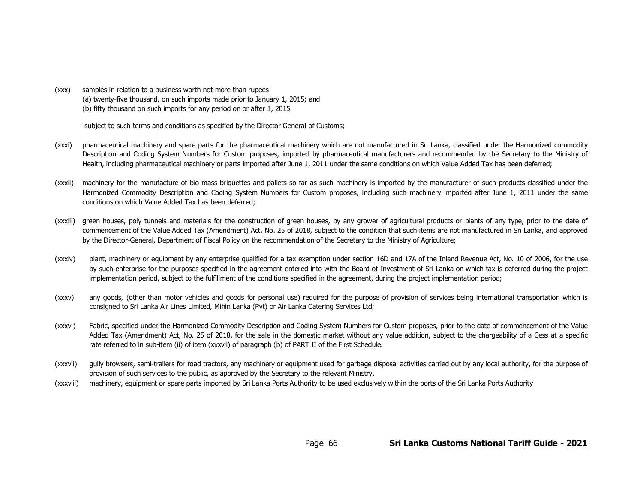(xxx) samples in relation to a business worth not more than rupees (a) twenty-five thousand, on such imports made prior to January 1, 2015; and (b) fifty thousand on such imports for any period on or after 1, 2015

subject to such terms and conditions as specified by the Director General of Customs;

- (xxxi) pharmaceutical machinery and spare parts for the pharmaceutical machinery which are not manufactured in Sri Lanka, classified under the Harmonized commodity Description and Coding System Numbers for Custom proposes, imported by pharmaceutical manufacturers and recommended by the Secretary to the Ministry of Health, including pharmaceutical machinery or parts imported after June 1, 2011 under the same conditions on which Value Added Tax has been deferred;
- (xxxii) machinery for the manufacture of bio mass briquettes and pallets so far as such machinery is imported by the manufacturer of such products classified under the Harmonized Commodity Description and Coding System Numbers for Custom proposes, including such machinery imported after June 1, 2011 under the same conditions on which Value Added Tax has been deferred;
- (xxxiii) green houses, poly tunnels and materials for the construction of green houses, by any grower of agricultural products or plants of any type, prior to the date of commencement of the Value Added Tax (Amendment) Act, No. 25 of 2018, subject to the condition that such items are not manufactured in Sri Lanka, and approved by the Director-General, Department of Fiscal Policy on the recommendation of the Secretary to the Ministry of Agriculture;
- (xxxiv) plant, machinery or equipment by any enterprise qualified for a tax exemption under section 16D and 17A of the Inland Revenue Act, No. 10 of 2006, for the use by such enterprise for the purposes specified in the agreement entered into with the Board of Investment of Sri Lanka on which tax is deferred during the project implementation period, subject to the fulfillment of the conditions specified in the agreement, during the project implementation period;
- (xxxv) any goods, (other than motor vehicles and goods for personal use) required for the purpose of provision of services being international transportation which is consigned to Sri Lanka Air Lines Limited, Mihin Lanka (Pvt) or Air Lanka Catering Services Ltd;
- (xxxvi) Fabric, specified under the Harmonized Commodity Description and Coding System Numbers for Custom proposes, prior to the date of commencement of the Value Added Tax (Amendment) Act, No. 25 of 2018, for the sale in the domestic market without any value addition, subject to the chargeability of a Cess at a specific rate referred to in sub-item (ii) of item (xxxvii) of paragraph (b) of PART II of the First Schedule.
- (xxxvii) gully browsers, semi-trailers for road tractors, any machinery or equipment used for garbage disposal activities carried out by any local authority, for the purpose of provision of such services to the public, as approved by the Secretary to the relevant Ministry.
- (xxxviii) machinery, equipment or spare parts imported by Sri Lanka Ports Authority to be used exclusively within the ports of the Sri Lanka Ports Authority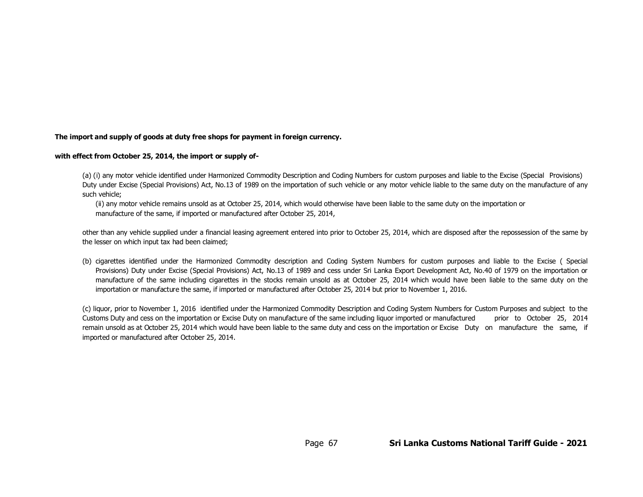#### **The import and supply of goods at duty free shops for payment in foreign currency.**

#### **with effect from October 25, 2014, the import or supply of-**

(a) (i) any motor vehicle identified under Harmonized Commodity Description and Coding Numbers for custom purposes and liable to the Excise (Special Provisions) Duty under Excise (Special Provisions) Act, No.13 of 1989 on the importation of such vehicle or any motor vehicle liable to the same duty on the manufacture of any such vehicle;

(ii) any motor vehicle remains unsold as at October 25, 2014, which would otherwise have been liable to the same duty on the importation or manufacture of the same, if imported or manufactured after October 25, 2014,

other than any vehicle supplied under a financial leasing agreement entered into prior to October 25, 2014, which are disposed after the repossession of the same by the lesser on which input tax had been claimed;

(b) cigarettes identified under the Harmonized Commodity description and Coding System Numbers for custom purposes and liable to the Excise ( Special Provisions) Duty under Excise (Special Provisions) Act, No.13 of 1989 and cess under Sri Lanka Export Development Act, No.40 of 1979 on the importation or manufacture of the same including cigarettes in the stocks remain unsold as at October 25, 2014 which would have been liable to the same duty on the importation or manufacture the same, if imported or manufactured after October 25, 2014 but prior to November 1, 2016.

(c) liquor, prior to November 1, 2016 identified under the Harmonized Commodity Description and Coding System Numbers for Custom Purposes and subject to the Customs Duty and cess on the importation or Excise Duty on manufacture of the same including liquor imported or manufactured prior to October 25, 2014 remain unsold as at October 25, 2014 which would have been liable to the same duty and cess on the importation or Excise Duty on manufacture the same, if imported or manufactured after October 25, 2014.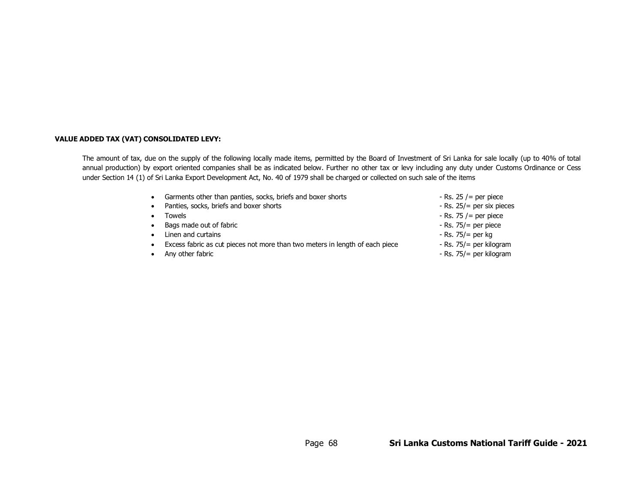#### **VALUE ADDED TAX (VAT) CONSOLIDATED LEVY:**

The amount of tax, due on the supply of the following locally made items, permitted by the Board of Investment of Sri Lanka for sale locally (up to 40% of total annual production) by export oriented companies shall be as indicated below. Further no other tax or levy including any duty under Customs Ordinance or Cess under Section 14 (1) of Sri Lanka Export Development Act, No. 40 of 1979 shall be charged or collected on such sale of the items

- Garments other than panties, socks, briefs and boxer shorts  $-$  Rs. 25 /= per piece
- Panties, socks, briefs and boxer shorts Rs. 25/= per six pieces
- 
- Bags made out of fabric  $\overline{\phantom{a}}$  and  $\overline{\phantom{a}}$  and  $\overline{\phantom{a}}$  are  $\overline{\phantom{a}}$  and  $\overline{\phantom{a}}$  and  $\overline{\phantom{a}}$  and  $\overline{\phantom{a}}$  and  $\overline{\phantom{a}}$  and  $\overline{\phantom{a}}$  and  $\overline{\phantom{a}}$  and  $\overline{\phantom{a}}$  and  $\overline{\phantom{a}}$  and  $\overline$
- Linen and curtains  **Rs. 75/= per kg**
- Excess fabric as cut pieces not more than two meters in length of each piece Rs. 75/= per kilogram
- 
- 
- 
- Towels  $\bullet$  Towels  $\bullet$  Towels  $\bullet$  Towels  $\bullet$  Towels  $\bullet$  Rs. 75 /= per piece
	-
	-
	-
- Any other fabric  $\overline{\phantom{a}}$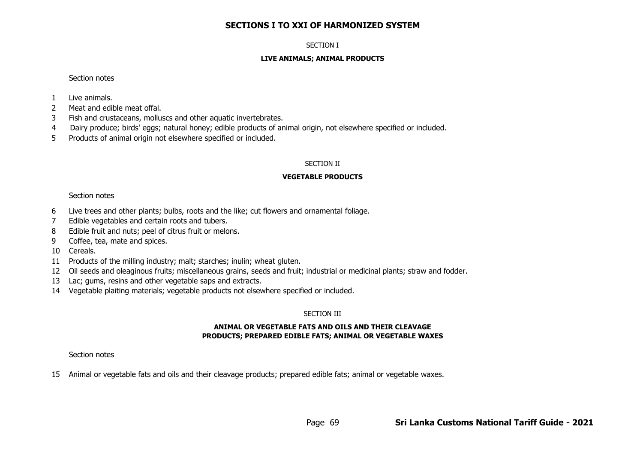# **SECTIONS I TO XXI OF HARMONIZED SYSTEM**

### SECTION I

### **LIVE ANIMALS; ANIMAL PRODUCTS**

### Section notes

- 1 Live animals.
- 2 Meat and edible meat offal.
- 3 Fish and crustaceans, molluscs and other aquatic invertebrates.
- 4 Dairy produce; birds' eggs; natural honey; edible products of animal origin, not elsewhere specified or included.
- 5 Products of animal origin not elsewhere specified or included.

# SECTION II

# **VEGETABLE PRODUCTS**

# Section notes

- 6 Live trees and other plants; bulbs, roots and the like; cut flowers and ornamental foliage.
- 7 Edible vegetables and certain roots and tubers.
- 8 Edible fruit and nuts; peel of citrus fruit or melons.
- 9 Coffee, tea, mate and spices.
- 10 Cereals.
- 11 Products of the milling industry; malt; starches; inulin; wheat gluten.
- 12 Oil seeds and oleaginous fruits; miscellaneous grains, seeds and fruit; industrial or medicinal plants; straw and fodder.
- 13 Lac; gums, resins and other vegetable saps and extracts.
- 14 Vegetable plaiting materials; vegetable products not elsewhere specified or included.

# SECTION III

# **ANIMAL OR VEGETABLE FATS AND OILS AND THEIR CLEAVAGE PRODUCTS; PREPARED EDIBLE FATS; ANIMAL OR VEGETABLE WAXES**

# Section notes

15 Animal or vegetable fats and oils and their cleavage products; prepared edible fats; animal or vegetable waxes.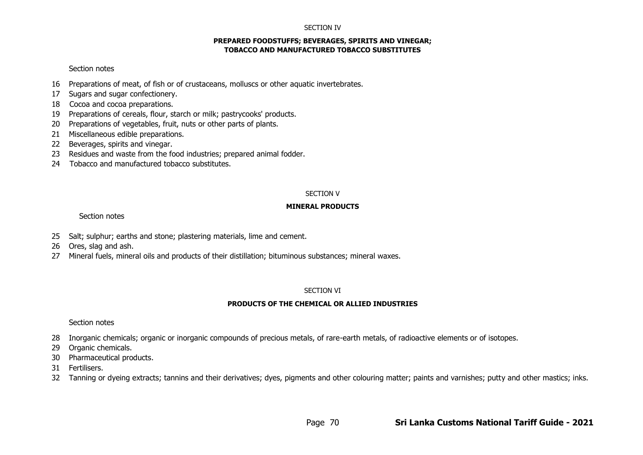#### SECTION IV

#### **PREPARED FOODSTUFFS; BEVERAGES, SPIRITS AND VINEGAR; TOBACCO AND MANUFACTURED TOBACCO SUBSTITUTES**

### Section notes

- 16 Preparations of meat, of fish or of crustaceans, molluscs or other aquatic invertebrates.
- 17 Sugars and sugar confectionery.
- 18 Cocoa and cocoa preparations.
- 19 Preparations of cereals, flour, starch or milk; pastrycooks' products.
- 20 Preparations of vegetables, fruit, nuts or other parts of plants.
- 21 Miscellaneous edible preparations.
- 22 Beverages, spirits and vinegar.
- 23 Residues and waste from the food industries; prepared animal fodder.
- 24 Tobacco and manufactured tobacco substitutes.

### SECTION V

## **MINERAL PRODUCTS**

## Section notes

- 25 Salt; sulphur; earths and stone; plastering materials, lime and cement.
- 26 Ores, slag and ash.
- 27 Mineral fuels, mineral oils and products of their distillation; bituminous substances; mineral waxes.

### SECTION VI

# **PRODUCTS OF THE CHEMICAL OR ALLIED INDUSTRIES**

# Section notes

- 28 Inorganic chemicals; organic or inorganic compounds of precious metals, of rare-earth metals, of radioactive elements or of isotopes.
- 29 Organic chemicals.
- 30 Pharmaceutical products.
- 31 Fertilisers.
- 32 Tanning or dyeing extracts; tannins and their derivatives; dyes, pigments and other colouring matter; paints and varnishes; putty and other mastics; inks.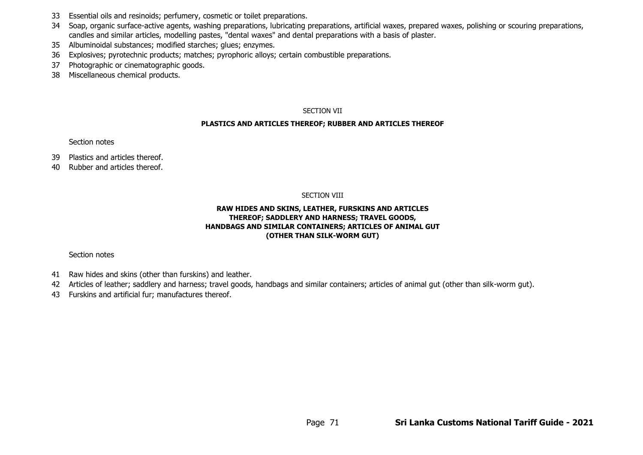- 33 Essential oils and resinoids; perfumery, cosmetic or toilet preparations.
- 34 Soap, organic surface-active agents, washing preparations, lubricating preparations, artificial waxes, prepared waxes, polishing or scouring preparations, candles and similar articles, modelling pastes, "dental waxes" and dental preparations with a basis of plaster.
- 35 Albuminoidal substances; modified starches; glues; enzymes.
- 36 Explosives; pyrotechnic products; matches; pyrophoric alloys; certain combustible preparations.
- 37 Photographic or cinematographic goods.
- 38 Miscellaneous chemical products.

## SECTION VII

## **PLASTICS AND ARTICLES THEREOF; RUBBER AND ARTICLES THEREOF**

# Section notes

- 39 Plastics and articles thereof.
- 40 Rubber and articles thereof.

## SECTION VIII

# **RAW HIDES AND SKINS, LEATHER, FURSKINS AND ARTICLES THEREOF; SADDLERY AND HARNESS; TRAVEL GOODS, HANDBAGS AND SIMILAR CONTAINERS; ARTICLES OF ANIMAL GUT (OTHER THAN SILK-WORM GUT)**

# Section notes

- 41 Raw hides and skins (other than furskins) and leather.
- 42 Articles of leather; saddlery and harness; travel goods, handbags and similar containers; articles of animal gut (other than silk-worm gut).
- 43 Furskins and artificial fur; manufactures thereof.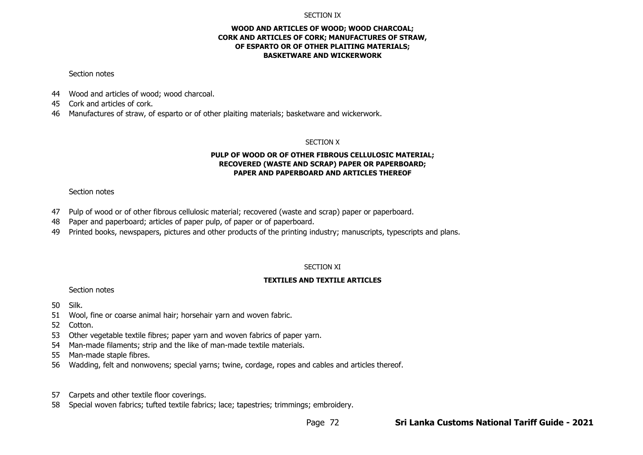#### SECTION IX

### **WOOD AND ARTICLES OF WOOD; WOOD CHARCOAL; CORK AND ARTICLES OF CORK; MANUFACTURES OF STRAW, OF ESPARTO OR OF OTHER PLAITING MATERIALS; BASKETWARE AND WICKERWORK**

#### Section notes

- 44 Wood and articles of wood; wood charcoal.
- 45 Cork and articles of cork.
- 46 Manufactures of straw, of esparto or of other plaiting materials; basketware and wickerwork.

#### SECTION X

### **PULP OF WOOD OR OF OTHER FIBROUS CELLULOSIC MATERIAL; RECOVERED (WASTE AND SCRAP) PAPER OR PAPERBOARD; PAPER AND PAPERBOARD AND ARTICLES THEREOF**

# Section notes

- 47 Pulp of wood or of other fibrous cellulosic material; recovered (waste and scrap) paper or paperboard.
- 48 Paper and paperboard; articles of paper pulp, of paper or of paperboard.
- 49 Printed books, newspapers, pictures and other products of the printing industry; manuscripts, typescripts and plans.

# SECTION XI

# **TEXTILES AND TEXTILE ARTICLES**

Section notes

50 Silk.

- 51 Wool, fine or coarse animal hair; horsehair yarn and woven fabric.
- 52 Cotton.
- 53 Other vegetable textile fibres; paper yarn and woven fabrics of paper yarn.
- 54 Man-made filaments; strip and the like of man-made textile materials.
- 55 Man-made staple fibres.
- 56 Wadding, felt and nonwovens; special yarns; twine, cordage, ropes and cables and articles thereof.
- 57 Carpets and other textile floor coverings.
- 58 Special woven fabrics; tufted textile fabrics; lace; tapestries; trimmings; embroidery.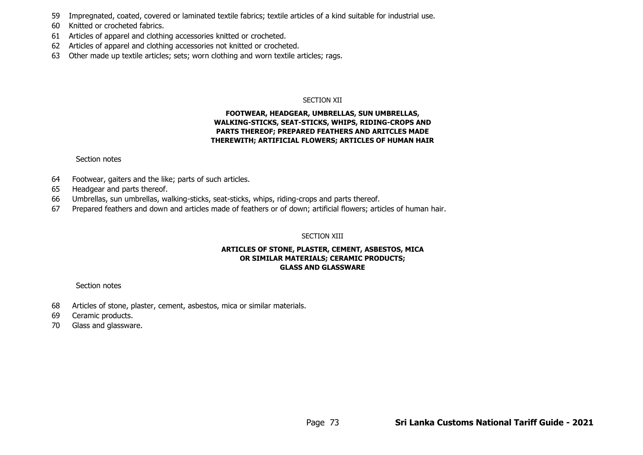- 59 Impregnated, coated, covered or laminated textile fabrics; textile articles of a kind suitable for industrial use.
- 60 Knitted or crocheted fabrics.
- 61 Articles of apparel and clothing accessories knitted or crocheted.
- 62 Articles of apparel and clothing accessories not knitted or crocheted.
- 63 Other made up textile articles; sets; worn clothing and worn textile articles; rags.

## SECTION XII

# **FOOTWEAR, HEADGEAR, UMBRELLAS, SUN UMBRELLAS, WALKING-STICKS, SEAT-STICKS, WHIPS, RIDING-CROPS AND PARTS THEREOF; PREPARED FEATHERS AND ARITCLES MADE THEREWITH; ARTIFICIAL FLOWERS; ARTICLES OF HUMAN HAIR**

## Section notes

- 64 Footwear, gaiters and the like; parts of such articles.
- 65 Headgear and parts thereof.
- 66 Umbrellas, sun umbrellas, walking-sticks, seat-sticks, whips, riding-crops and parts thereof.
- 67 Prepared feathers and down and articles made of feathers or of down; artificial flowers; articles of human hair.

# SECTION XIII

## **ARTICLES OF STONE, PLASTER, CEMENT, ASBESTOS, MICA OR SIMILAR MATERIALS; CERAMIC PRODUCTS; GLASS AND GLASSWARE**

# Section notes

- 68 Articles of stone, plaster, cement, asbestos, mica or similar materials.
- 69 Ceramic products.
- 70 Glass and glassware.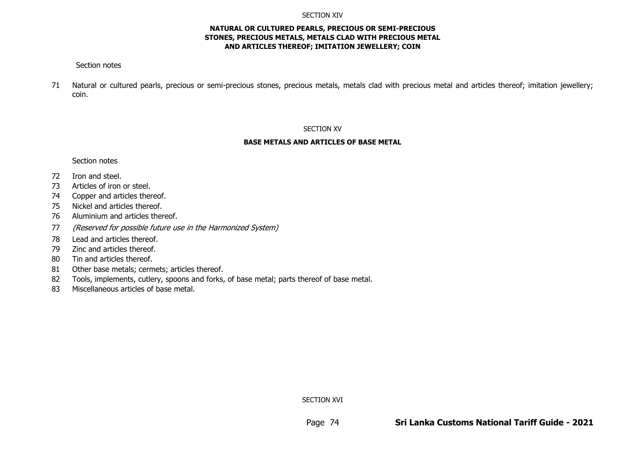#### SECTION XIV

## **NATURAL OR CULTURED PEARLS, PRECIOUS OR SEMI-PRECIOUS STONES, PRECIOUS METALS, METALS CLAD WITH PRECIOUS METAL AND ARTICLES THEREOF; IMITATION JEWELLERY; COIN**

## Section notes

71 Natural or cultured pearls, precious or semi-precious stones, precious metals, metals clad with precious metal and articles thereof; imitation jewellery; coin.

#### SECTION XV

#### **BASE METALS AND ARTICLES OF BASE METAL**

#### Section notes

- 72 Iron and steel.
- 73 Articles of iron or steel.
- 74 Copper and articles thereof.
- 75 Nickel and articles thereof.
- 76 Aluminium and articles thereof.
- 77 (Reserved for possible future use in the Harmonized System)
- 78 Lead and articles thereof.
- 79 Zinc and articles thereof.
- 80 Tin and articles thereof.
- 81 Other base metals; cermets; articles thereof.
- 82 Tools, implements, cutlery, spoons and forks, of base metal; parts thereof of base metal.
- 83 Miscellaneous articles of base metal.

SECTION XVI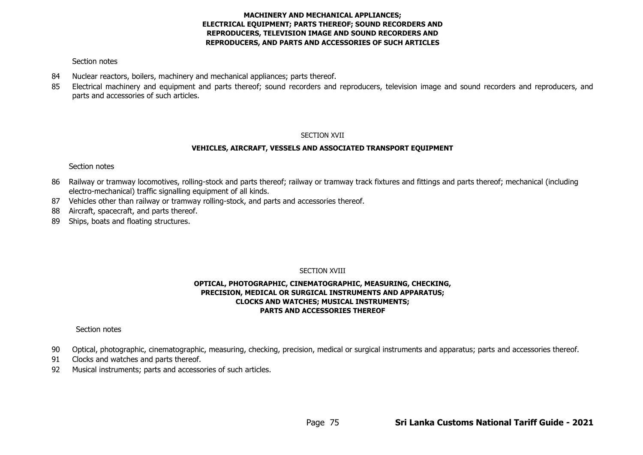# **MACHINERY AND MECHANICAL APPLIANCES; ELECTRICAL EQUIPMENT; PARTS THEREOF; SOUND RECORDERS AND REPRODUCERS, TELEVISION IMAGE AND SOUND RECORDERS AND REPRODUCERS, AND PARTS AND ACCESSORIES OF SUCH ARTICLES**

# Section notes

- 84 Nuclear reactors, boilers, machinery and mechanical appliances; parts thereof.
- 85 Electrical machinery and equipment and parts thereof; sound recorders and reproducers, television image and sound recorders and reproducers, and parts and accessories of such articles.

# SECTION XVII

# **VEHICLES, AIRCRAFT, VESSELS AND ASSOCIATED TRANSPORT EQUIPMENT**

# Section notes

- 86 Railway or tramway locomotives, rolling-stock and parts thereof; railway or tramway track fixtures and fittings and parts thereof; mechanical (including electro-mechanical) traffic signalling equipment of all kinds.
- 87 Vehicles other than railway or tramway rolling-stock, and parts and accessories thereof.
- 88 Aircraft, spacecraft, and parts thereof.
- 89 Ships, boats and floating structures.

# SECTION XVIII

# **OPTICAL, PHOTOGRAPHIC, CINEMATOGRAPHIC, MEASURING, CHECKING, PRECISION, MEDICAL OR SURGICAL INSTRUMENTS AND APPARATUS; CLOCKS AND WATCHES; MUSICAL INSTRUMENTS; PARTS AND ACCESSORIES THEREOF**

# Section notes

- 90 Optical, photographic, cinematographic, measuring, checking, precision, medical or surgical instruments and apparatus; parts and accessories thereof.
- 91 Clocks and watches and parts thereof.
- 92 Musical instruments; parts and accessories of such articles.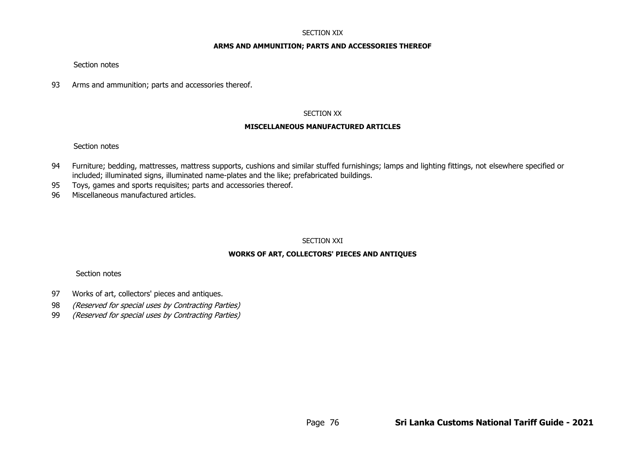#### SECTION XIX

#### **ARMS AND AMMUNITION; PARTS AND ACCESSORIES THEREOF**

Section notes

93 Arms and ammunition; parts and accessories thereof.

#### SECTION XX

#### **MISCELLANEOUS MANUFACTURED ARTICLES**

## Section notes

- 94 Furniture; bedding, mattresses, mattress supports, cushions and similar stuffed furnishings; lamps and lighting fittings, not elsewhere specified or included; illuminated signs, illuminated name-plates and the like; prefabricated buildings.
- 95 Toys, games and sports requisites; parts and accessories thereof.
- 96 Miscellaneous manufactured articles.

## SECTION XXI

## **WORKS OF ART, COLLECTORS' PIECES AND ANTIQUES**

## Section notes

- 97 Works of art, collectors' pieces and antiques.
- 98 (Reserved for special uses by Contracting Parties)
- 99 (Reserved for special uses by Contracting Parties)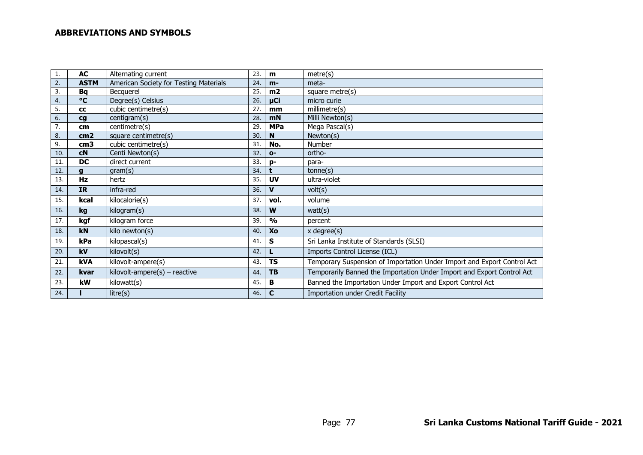# **ABBREVIATIONS AND SYMBOLS**

|     | <b>AC</b>              | Alternating current                    | 23. | m             | metre(s)                                                                |
|-----|------------------------|----------------------------------------|-----|---------------|-------------------------------------------------------------------------|
| 2.  | <b>ASTM</b>            | American Society for Testing Materials | 24. | $m-$          | meta-                                                                   |
| 3.  | Bq                     | <b>Becquerel</b>                       | 25. | m2            | square metre(s)                                                         |
| 4.  | °C                     | Degree(s) Celsius                      | 26. | µCi           | micro curie                                                             |
| 5.  | cc                     | cubic centimetre(s)                    | 27. | mm            | millimetre(s)                                                           |
| 6.  | $\mathbf{c}\mathbf{g}$ | centigram(s)                           | 28. | mN            | Milli Newton(s)                                                         |
|     | cm                     | centimetre(s)                          | 29. | <b>MPa</b>    | Mega Pascal(s)                                                          |
| 8.  | cm <sub>2</sub>        | square centimetre(s)                   | 30. | <sup>N</sup>  | Newton(s)                                                               |
| 9.  | cm <sub>3</sub>        | cubic centimetre(s)                    | 31  | No.           | Number                                                                  |
| 10. | cN                     | Centi Newton(s)                        | 32  | $O -$         | ortho-                                                                  |
| 11  | DC                     | direct current                         | 33. | D-            | para-                                                                   |
| 12. |                        | gram(s)                                | 34. |               | tonne(s)                                                                |
| 13. | Hz                     | hertz                                  | 35. | <b>UV</b>     | ultra-violet                                                            |
| 14. | <b>IR</b>              | infra-red                              | 36. | V             | volt(s)                                                                 |
| 15. | kcal                   | kilocalorie(s)                         | 37. | vol.          | volume                                                                  |
| 16. | kg                     | kilogram(s)                            | 38. | W             | watt(s)                                                                 |
| 17. | kgf                    | kilogram force                         | 39. | $\frac{0}{0}$ | percent                                                                 |
| 18. | kN                     | kilo newton(s)                         | 40. | Xo            | $x \text{ degree}(s)$                                                   |
| 19. | kPa                    | kilopascal(s)                          | 41. | S             | Sri Lanka Institute of Standards (SLSI)                                 |
| 20. | kV                     | kilovolt(s)                            | 42. |               | Imports Control License (ICL)                                           |
| 21. | kVA                    | kilovolt-ampere(s)                     | 43. | <b>TS</b>     | Temporary Suspension of Importation Under Import and Export Control Act |
| 22. | kvar                   | $kilovolt$ -ampere $(s)$ – reactive    | 44. | <b>TB</b>     | Temporarily Banned the Importation Under Import and Export Control Act  |
| 23. | kW                     | kilowatt(s)                            | 45. | В             | Banned the Importation Under Import and Export Control Act              |
| 24. |                        | litre(s)                               | 46. | $\mathbf c$   | Importation under Credit Facility                                       |